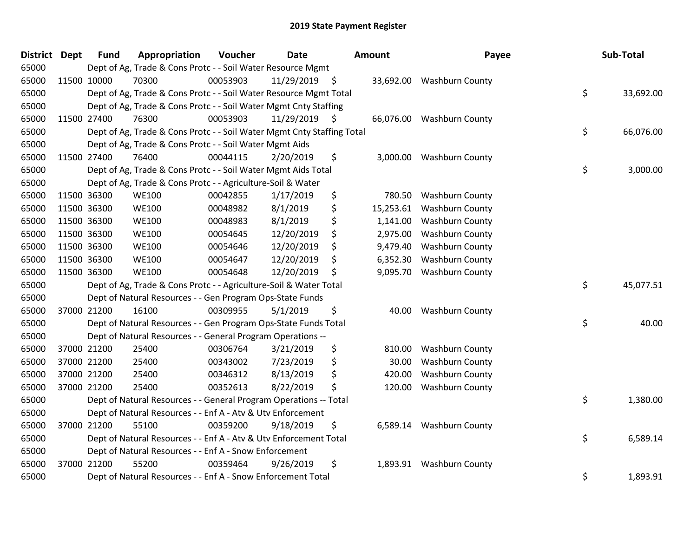| District | <b>Dept</b> | <b>Fund</b> | Appropriation                                                          | Voucher  | <b>Date</b> | <b>Amount</b>   | Payee                     | Sub-Total       |
|----------|-------------|-------------|------------------------------------------------------------------------|----------|-------------|-----------------|---------------------------|-----------------|
| 65000    |             |             | Dept of Ag, Trade & Cons Protc - - Soil Water Resource Mgmt            |          |             |                 |                           |                 |
| 65000    |             | 11500 10000 | 70300                                                                  | 00053903 | 11/29/2019  | \$              | 33,692.00 Washburn County |                 |
| 65000    |             |             | Dept of Ag, Trade & Cons Protc - - Soil Water Resource Mgmt Total      |          |             |                 |                           | \$<br>33,692.00 |
| 65000    |             |             | Dept of Ag, Trade & Cons Protc - - Soil Water Mgmt Cnty Staffing       |          |             |                 |                           |                 |
| 65000    |             | 11500 27400 | 76300                                                                  | 00053903 | 11/29/2019  | \$<br>66,076.00 | <b>Washburn County</b>    |                 |
| 65000    |             |             | Dept of Ag, Trade & Cons Protc - - Soil Water Mgmt Cnty Staffing Total |          |             |                 |                           | \$<br>66,076.00 |
| 65000    |             |             | Dept of Ag, Trade & Cons Protc - - Soil Water Mgmt Aids                |          |             |                 |                           |                 |
| 65000    |             | 11500 27400 | 76400                                                                  | 00044115 | 2/20/2019   | \$<br>3,000.00  | <b>Washburn County</b>    |                 |
| 65000    |             |             | Dept of Ag, Trade & Cons Protc - - Soil Water Mgmt Aids Total          |          |             |                 |                           | \$<br>3,000.00  |
| 65000    |             |             | Dept of Ag, Trade & Cons Protc - - Agriculture-Soil & Water            |          |             |                 |                           |                 |
| 65000    |             | 11500 36300 | <b>WE100</b>                                                           | 00042855 | 1/17/2019   | \$<br>780.50    | <b>Washburn County</b>    |                 |
| 65000    |             | 11500 36300 | <b>WE100</b>                                                           | 00048982 | 8/1/2019    | \$<br>15,253.61 | <b>Washburn County</b>    |                 |
| 65000    |             | 11500 36300 | <b>WE100</b>                                                           | 00048983 | 8/1/2019    | \$<br>1,141.00  | <b>Washburn County</b>    |                 |
| 65000    |             | 11500 36300 | <b>WE100</b>                                                           | 00054645 | 12/20/2019  | \$<br>2,975.00  | <b>Washburn County</b>    |                 |
| 65000    |             | 11500 36300 | <b>WE100</b>                                                           | 00054646 | 12/20/2019  | \$<br>9,479.40  | Washburn County           |                 |
| 65000    |             | 11500 36300 | <b>WE100</b>                                                           | 00054647 | 12/20/2019  | \$<br>6,352.30  | <b>Washburn County</b>    |                 |
| 65000    |             | 11500 36300 | <b>WE100</b>                                                           | 00054648 | 12/20/2019  | \$<br>9,095.70  | <b>Washburn County</b>    |                 |
| 65000    |             |             | Dept of Ag, Trade & Cons Protc - - Agriculture-Soil & Water Total      |          |             |                 |                           | \$<br>45,077.51 |
| 65000    |             |             | Dept of Natural Resources - - Gen Program Ops-State Funds              |          |             |                 |                           |                 |
| 65000    |             | 37000 21200 | 16100                                                                  | 00309955 | 5/1/2019    | \$<br>40.00     | <b>Washburn County</b>    |                 |
| 65000    |             |             | Dept of Natural Resources - - Gen Program Ops-State Funds Total        |          |             |                 |                           | \$<br>40.00     |
| 65000    |             |             | Dept of Natural Resources - - General Program Operations --            |          |             |                 |                           |                 |
| 65000    |             | 37000 21200 | 25400                                                                  | 00306764 | 3/21/2019   | \$<br>810.00    | <b>Washburn County</b>    |                 |
| 65000    |             | 37000 21200 | 25400                                                                  | 00343002 | 7/23/2019   | \$<br>30.00     | <b>Washburn County</b>    |                 |
| 65000    |             | 37000 21200 | 25400                                                                  | 00346312 | 8/13/2019   | \$<br>420.00    | <b>Washburn County</b>    |                 |
| 65000    |             | 37000 21200 | 25400                                                                  | 00352613 | 8/22/2019   | \$<br>120.00    | Washburn County           |                 |
| 65000    |             |             | Dept of Natural Resources - - General Program Operations -- Total      |          |             |                 |                           | \$<br>1,380.00  |
| 65000    |             |             | Dept of Natural Resources - - Enf A - Atv & Utv Enforcement            |          |             |                 |                           |                 |
| 65000    |             | 37000 21200 | 55100                                                                  | 00359200 | 9/18/2019   | \$<br>6,589.14  | <b>Washburn County</b>    |                 |
| 65000    |             |             | Dept of Natural Resources - - Enf A - Atv & Utv Enforcement Total      |          |             |                 |                           | \$<br>6,589.14  |
| 65000    |             |             | Dept of Natural Resources - - Enf A - Snow Enforcement                 |          |             |                 |                           |                 |
| 65000    |             | 37000 21200 | 55200                                                                  | 00359464 | 9/26/2019   | \$<br>1,893.91  | <b>Washburn County</b>    |                 |
| 65000    |             |             | Dept of Natural Resources - - Enf A - Snow Enforcement Total           |          |             |                 |                           | \$<br>1,893.91  |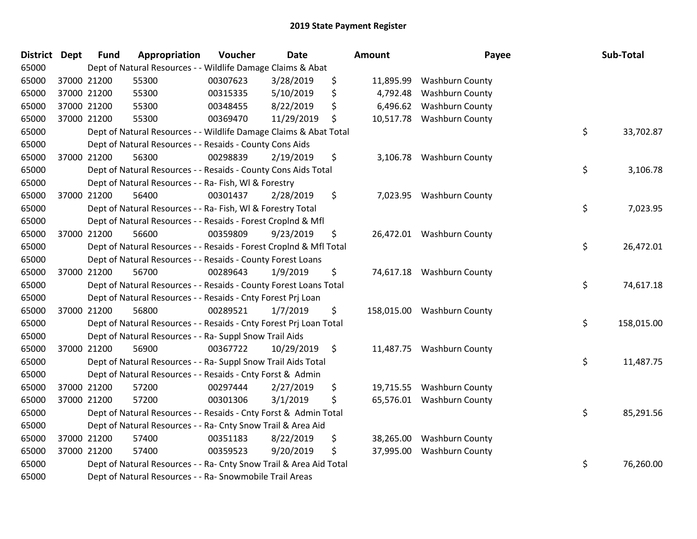| <b>District</b> | <b>Dept</b> | <b>Fund</b> | Appropriation                                                      | Voucher  | <b>Date</b>   | Amount           | Payee                     | Sub-Total        |
|-----------------|-------------|-------------|--------------------------------------------------------------------|----------|---------------|------------------|---------------------------|------------------|
| 65000           |             |             | Dept of Natural Resources - - Wildlife Damage Claims & Abat        |          |               |                  |                           |                  |
| 65000           |             | 37000 21200 | 55300                                                              | 00307623 | 3/28/2019     | \$<br>11,895.99  | <b>Washburn County</b>    |                  |
| 65000           |             | 37000 21200 | 55300                                                              | 00315335 | 5/10/2019     | \$<br>4,792.48   | <b>Washburn County</b>    |                  |
| 65000           | 37000 21200 |             | 55300                                                              | 00348455 | 8/22/2019     | \$<br>6,496.62   | <b>Washburn County</b>    |                  |
| 65000           |             | 37000 21200 | 55300                                                              | 00369470 | 11/29/2019    | \$<br>10,517.78  | <b>Washburn County</b>    |                  |
| 65000           |             |             | Dept of Natural Resources - - Wildlife Damage Claims & Abat Total  |          |               |                  |                           | \$<br>33,702.87  |
| 65000           |             |             | Dept of Natural Resources - - Resaids - County Cons Aids           |          |               |                  |                           |                  |
| 65000           |             | 37000 21200 | 56300                                                              | 00298839 | 2/19/2019     | \$<br>3,106.78   | <b>Washburn County</b>    |                  |
| 65000           |             |             | Dept of Natural Resources - - Resaids - County Cons Aids Total     |          |               |                  |                           | \$<br>3,106.78   |
| 65000           |             |             | Dept of Natural Resources - - Ra- Fish, WI & Forestry              |          |               |                  |                           |                  |
| 65000           |             | 37000 21200 | 56400                                                              | 00301437 | 2/28/2019     | \$               | 7,023.95 Washburn County  |                  |
| 65000           |             |             | Dept of Natural Resources - - Ra- Fish, WI & Forestry Total        |          |               |                  |                           | \$<br>7,023.95   |
| 65000           |             |             | Dept of Natural Resources - - Resaids - Forest Croplnd & Mfl       |          |               |                  |                           |                  |
| 65000           |             | 37000 21200 | 56600                                                              | 00359809 | 9/23/2019     | \$               | 26,472.01 Washburn County |                  |
| 65000           |             |             | Dept of Natural Resources - - Resaids - Forest CropInd & Mfl Total |          |               |                  |                           | \$<br>26,472.01  |
| 65000           |             |             | Dept of Natural Resources - - Resaids - County Forest Loans        |          |               |                  |                           |                  |
| 65000           |             | 37000 21200 | 56700                                                              | 00289643 | 1/9/2019      | \$<br>74,617.18  | <b>Washburn County</b>    |                  |
| 65000           |             |             | Dept of Natural Resources - - Resaids - County Forest Loans Total  |          |               |                  |                           | \$<br>74,617.18  |
| 65000           |             |             | Dept of Natural Resources - - Resaids - Cnty Forest Prj Loan       |          |               |                  |                           |                  |
| 65000           |             | 37000 21200 | 56800                                                              | 00289521 | 1/7/2019      | \$<br>158,015.00 | <b>Washburn County</b>    |                  |
| 65000           |             |             | Dept of Natural Resources - - Resaids - Cnty Forest Prj Loan Total |          |               |                  |                           | \$<br>158,015.00 |
| 65000           |             |             | Dept of Natural Resources - - Ra- Suppl Snow Trail Aids            |          |               |                  |                           |                  |
| 65000           |             | 37000 21200 | 56900                                                              | 00367722 | 10/29/2019 \$ |                  | 11,487.75 Washburn County |                  |
| 65000           |             |             | Dept of Natural Resources - - Ra- Suppl Snow Trail Aids Total      |          |               |                  |                           | \$<br>11,487.75  |
| 65000           |             |             | Dept of Natural Resources - - Resaids - Cnty Forst & Admin         |          |               |                  |                           |                  |
| 65000           |             | 37000 21200 | 57200                                                              | 00297444 | 2/27/2019     | \$<br>19,715.55  | <b>Washburn County</b>    |                  |
| 65000           |             | 37000 21200 | 57200                                                              | 00301306 | 3/1/2019      | \$<br>65,576.01  | <b>Washburn County</b>    |                  |
| 65000           |             |             | Dept of Natural Resources - - Resaids - Cnty Forst & Admin Total   |          |               |                  |                           | \$<br>85,291.56  |
| 65000           |             |             | Dept of Natural Resources - - Ra- Cnty Snow Trail & Area Aid       |          |               |                  |                           |                  |
| 65000           |             | 37000 21200 | 57400                                                              | 00351183 | 8/22/2019     | \$<br>38,265.00  | <b>Washburn County</b>    |                  |
| 65000           |             | 37000 21200 | 57400                                                              | 00359523 | 9/20/2019     | \$<br>37,995.00  | <b>Washburn County</b>    |                  |
| 65000           |             |             | Dept of Natural Resources - - Ra- Cnty Snow Trail & Area Aid Total |          |               |                  |                           | \$<br>76,260.00  |
| 65000           |             |             | Dept of Natural Resources - - Ra- Snowmobile Trail Areas           |          |               |                  |                           |                  |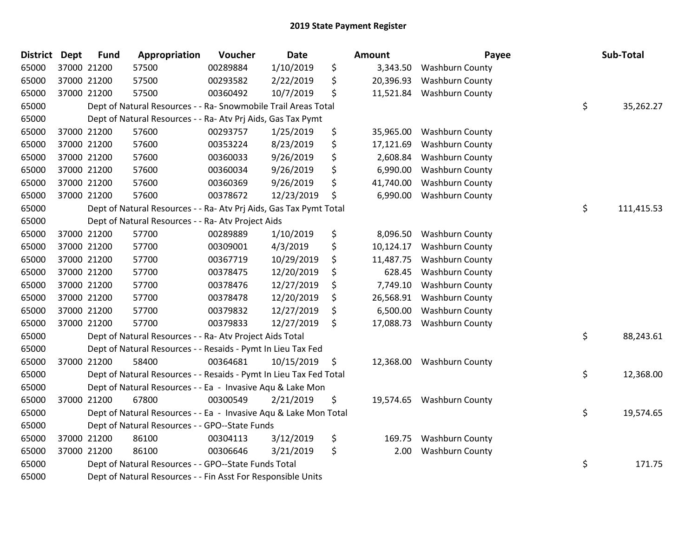| <b>District</b> | <b>Dept</b> | <b>Fund</b> | Appropriation                                                      | Voucher  | <b>Date</b> | <b>Amount</b>   | Payee                  | Sub-Total        |
|-----------------|-------------|-------------|--------------------------------------------------------------------|----------|-------------|-----------------|------------------------|------------------|
| 65000           |             | 37000 21200 | 57500                                                              | 00289884 | 1/10/2019   | \$<br>3,343.50  | <b>Washburn County</b> |                  |
| 65000           |             | 37000 21200 | 57500                                                              | 00293582 | 2/22/2019   | \$<br>20,396.93 | Washburn County        |                  |
| 65000           |             | 37000 21200 | 57500                                                              | 00360492 | 10/7/2019   | \$<br>11,521.84 | <b>Washburn County</b> |                  |
| 65000           |             |             | Dept of Natural Resources - - Ra- Snowmobile Trail Areas Total     |          |             |                 |                        | \$<br>35,262.27  |
| 65000           |             |             | Dept of Natural Resources - - Ra- Atv Prj Aids, Gas Tax Pymt       |          |             |                 |                        |                  |
| 65000           |             | 37000 21200 | 57600                                                              | 00293757 | 1/25/2019   | \$<br>35,965.00 | Washburn County        |                  |
| 65000           |             | 37000 21200 | 57600                                                              | 00353224 | 8/23/2019   | \$<br>17,121.69 | <b>Washburn County</b> |                  |
| 65000           |             | 37000 21200 | 57600                                                              | 00360033 | 9/26/2019   | \$<br>2,608.84  | <b>Washburn County</b> |                  |
| 65000           |             | 37000 21200 | 57600                                                              | 00360034 | 9/26/2019   | \$<br>6,990.00  | Washburn County        |                  |
| 65000           |             | 37000 21200 | 57600                                                              | 00360369 | 9/26/2019   | \$<br>41,740.00 | <b>Washburn County</b> |                  |
| 65000           |             | 37000 21200 | 57600                                                              | 00378672 | 12/23/2019  | \$<br>6,990.00  | <b>Washburn County</b> |                  |
| 65000           |             |             | Dept of Natural Resources - - Ra- Atv Prj Aids, Gas Tax Pymt Total |          |             |                 |                        | \$<br>111,415.53 |
| 65000           |             |             | Dept of Natural Resources - - Ra- Atv Project Aids                 |          |             |                 |                        |                  |
| 65000           |             | 37000 21200 | 57700                                                              | 00289889 | 1/10/2019   | \$<br>8,096.50  | <b>Washburn County</b> |                  |
| 65000           |             | 37000 21200 | 57700                                                              | 00309001 | 4/3/2019    | \$<br>10,124.17 | <b>Washburn County</b> |                  |
| 65000           |             | 37000 21200 | 57700                                                              | 00367719 | 10/29/2019  | \$<br>11,487.75 | <b>Washburn County</b> |                  |
| 65000           |             | 37000 21200 | 57700                                                              | 00378475 | 12/20/2019  | \$<br>628.45    | Washburn County        |                  |
| 65000           |             | 37000 21200 | 57700                                                              | 00378476 | 12/27/2019  | \$<br>7,749.10  | <b>Washburn County</b> |                  |
| 65000           |             | 37000 21200 | 57700                                                              | 00378478 | 12/20/2019  | \$<br>26,568.91 | Washburn County        |                  |
| 65000           |             | 37000 21200 | 57700                                                              | 00379832 | 12/27/2019  | \$<br>6,500.00  | <b>Washburn County</b> |                  |
| 65000           |             | 37000 21200 | 57700                                                              | 00379833 | 12/27/2019  | \$<br>17,088.73 | <b>Washburn County</b> |                  |
| 65000           |             |             | Dept of Natural Resources - - Ra- Atv Project Aids Total           |          |             |                 |                        | \$<br>88,243.61  |
| 65000           |             |             | Dept of Natural Resources - - Resaids - Pymt In Lieu Tax Fed       |          |             |                 |                        |                  |
| 65000           |             | 37000 21200 | 58400                                                              | 00364681 | 10/15/2019  | \$<br>12,368.00 | <b>Washburn County</b> |                  |
| 65000           |             |             | Dept of Natural Resources - - Resaids - Pymt In Lieu Tax Fed Total |          |             |                 |                        | \$<br>12,368.00  |
| 65000           |             |             | Dept of Natural Resources - - Ea - Invasive Aqu & Lake Mon         |          |             |                 |                        |                  |
| 65000           |             | 37000 21200 | 67800                                                              | 00300549 | 2/21/2019   | \$<br>19,574.65 | <b>Washburn County</b> |                  |
| 65000           |             |             | Dept of Natural Resources - - Ea - Invasive Aqu & Lake Mon Total   |          |             |                 |                        | \$<br>19,574.65  |
| 65000           |             |             | Dept of Natural Resources - - GPO--State Funds                     |          |             |                 |                        |                  |
| 65000           |             | 37000 21200 | 86100                                                              | 00304113 | 3/12/2019   | \$<br>169.75    | Washburn County        |                  |
| 65000           |             | 37000 21200 | 86100                                                              | 00306646 | 3/21/2019   | \$<br>2.00      | <b>Washburn County</b> |                  |
| 65000           |             |             | Dept of Natural Resources - - GPO--State Funds Total               |          |             |                 |                        | \$<br>171.75     |
| 65000           |             |             | Dept of Natural Resources - - Fin Asst For Responsible Units       |          |             |                 |                        |                  |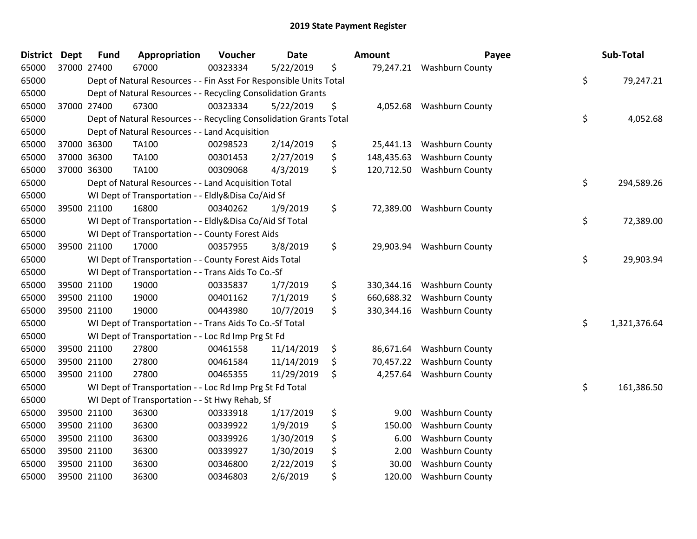| <b>District</b> | <b>Dept</b> | <b>Fund</b> | Appropriation                                                      | Voucher  | <b>Date</b> | Amount           | Payee                     | Sub-Total          |
|-----------------|-------------|-------------|--------------------------------------------------------------------|----------|-------------|------------------|---------------------------|--------------------|
| 65000           | 37000 27400 |             | 67000                                                              | 00323334 | 5/22/2019   | \$               | 79,247.21 Washburn County |                    |
| 65000           |             |             | Dept of Natural Resources - - Fin Asst For Responsible Units Total |          |             |                  |                           | \$<br>79,247.21    |
| 65000           |             |             | Dept of Natural Resources - - Recycling Consolidation Grants       |          |             |                  |                           |                    |
| 65000           | 37000 27400 |             | 67300                                                              | 00323334 | 5/22/2019   | \$               | 4,052.68 Washburn County  |                    |
| 65000           |             |             | Dept of Natural Resources - - Recycling Consolidation Grants Total |          |             |                  |                           | \$<br>4,052.68     |
| 65000           |             |             | Dept of Natural Resources - - Land Acquisition                     |          |             |                  |                           |                    |
| 65000           | 37000 36300 |             | <b>TA100</b>                                                       | 00298523 | 2/14/2019   | \$<br>25,441.13  | <b>Washburn County</b>    |                    |
| 65000           | 37000 36300 |             | <b>TA100</b>                                                       | 00301453 | 2/27/2019   | \$<br>148,435.63 | <b>Washburn County</b>    |                    |
| 65000           | 37000 36300 |             | <b>TA100</b>                                                       | 00309068 | 4/3/2019    | \$<br>120,712.50 | <b>Washburn County</b>    |                    |
| 65000           |             |             | Dept of Natural Resources - - Land Acquisition Total               |          |             |                  |                           | \$<br>294,589.26   |
| 65000           |             |             | WI Dept of Transportation - - Eldly&Disa Co/Aid Sf                 |          |             |                  |                           |                    |
| 65000           | 39500 21100 |             | 16800                                                              | 00340262 | 1/9/2019    | \$               | 72,389.00 Washburn County |                    |
| 65000           |             |             | WI Dept of Transportation - - Eldly&Disa Co/Aid Sf Total           |          |             |                  |                           | \$<br>72,389.00    |
| 65000           |             |             | WI Dept of Transportation - - County Forest Aids                   |          |             |                  |                           |                    |
| 65000           | 39500 21100 |             | 17000                                                              | 00357955 | 3/8/2019    | \$               | 29,903.94 Washburn County |                    |
| 65000           |             |             | WI Dept of Transportation - - County Forest Aids Total             |          |             |                  |                           | \$<br>29,903.94    |
| 65000           |             |             | WI Dept of Transportation - - Trans Aids To Co.-Sf                 |          |             |                  |                           |                    |
| 65000           | 39500 21100 |             | 19000                                                              | 00335837 | 1/7/2019    | \$<br>330,344.16 | <b>Washburn County</b>    |                    |
| 65000           | 39500 21100 |             | 19000                                                              | 00401162 | 7/1/2019    | \$<br>660,688.32 | <b>Washburn County</b>    |                    |
| 65000           | 39500 21100 |             | 19000                                                              | 00443980 | 10/7/2019   | \$<br>330,344.16 | <b>Washburn County</b>    |                    |
| 65000           |             |             | WI Dept of Transportation - - Trans Aids To Co.-Sf Total           |          |             |                  |                           | \$<br>1,321,376.64 |
| 65000           |             |             | WI Dept of Transportation - - Loc Rd Imp Prg St Fd                 |          |             |                  |                           |                    |
| 65000           | 39500 21100 |             | 27800                                                              | 00461558 | 11/14/2019  | \$<br>86,671.64  | <b>Washburn County</b>    |                    |
| 65000           | 39500 21100 |             | 27800                                                              | 00461584 | 11/14/2019  | \$<br>70,457.22  | <b>Washburn County</b>    |                    |
| 65000           | 39500 21100 |             | 27800                                                              | 00465355 | 11/29/2019  | \$<br>4,257.64   | <b>Washburn County</b>    |                    |
| 65000           |             |             | WI Dept of Transportation - - Loc Rd Imp Prg St Fd Total           |          |             |                  |                           | \$<br>161,386.50   |
| 65000           |             |             | WI Dept of Transportation - - St Hwy Rehab, Sf                     |          |             |                  |                           |                    |
| 65000           | 39500 21100 |             | 36300                                                              | 00333918 | 1/17/2019   | \$<br>9.00       | <b>Washburn County</b>    |                    |
| 65000           | 39500 21100 |             | 36300                                                              | 00339922 | 1/9/2019    | \$<br>150.00     | <b>Washburn County</b>    |                    |
| 65000           | 39500 21100 |             | 36300                                                              | 00339926 | 1/30/2019   | \$<br>6.00       | <b>Washburn County</b>    |                    |
| 65000           | 39500 21100 |             | 36300                                                              | 00339927 | 1/30/2019   | \$<br>2.00       | <b>Washburn County</b>    |                    |
| 65000           | 39500 21100 |             | 36300                                                              | 00346800 | 2/22/2019   | \$<br>30.00      | Washburn County           |                    |
| 65000           | 39500 21100 |             | 36300                                                              | 00346803 | 2/6/2019    | \$<br>120.00     | <b>Washburn County</b>    |                    |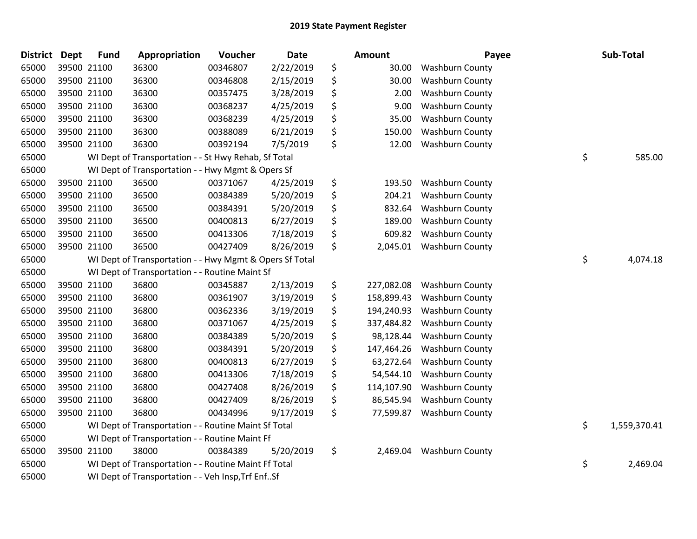| <b>District</b> | <b>Dept</b> | <b>Fund</b> | Appropriation                                           | Voucher  | Date      | <b>Amount</b>    | Payee                  | Sub-Total          |
|-----------------|-------------|-------------|---------------------------------------------------------|----------|-----------|------------------|------------------------|--------------------|
| 65000           |             | 39500 21100 | 36300                                                   | 00346807 | 2/22/2019 | \$<br>30.00      | <b>Washburn County</b> |                    |
| 65000           |             | 39500 21100 | 36300                                                   | 00346808 | 2/15/2019 | \$<br>30.00      | <b>Washburn County</b> |                    |
| 65000           |             | 39500 21100 | 36300                                                   | 00357475 | 3/28/2019 | \$<br>2.00       | <b>Washburn County</b> |                    |
| 65000           |             | 39500 21100 | 36300                                                   | 00368237 | 4/25/2019 | \$<br>9.00       | Washburn County        |                    |
| 65000           |             | 39500 21100 | 36300                                                   | 00368239 | 4/25/2019 | \$<br>35.00      | Washburn County        |                    |
| 65000           |             | 39500 21100 | 36300                                                   | 00388089 | 6/21/2019 | \$<br>150.00     | Washburn County        |                    |
| 65000           |             | 39500 21100 | 36300                                                   | 00392194 | 7/5/2019  | \$<br>12.00      | <b>Washburn County</b> |                    |
| 65000           |             |             | WI Dept of Transportation - - St Hwy Rehab, Sf Total    |          |           |                  |                        | \$<br>585.00       |
| 65000           |             |             | WI Dept of Transportation - - Hwy Mgmt & Opers Sf       |          |           |                  |                        |                    |
| 65000           |             | 39500 21100 | 36500                                                   | 00371067 | 4/25/2019 | \$<br>193.50     | <b>Washburn County</b> |                    |
| 65000           |             | 39500 21100 | 36500                                                   | 00384389 | 5/20/2019 | \$<br>204.21     | <b>Washburn County</b> |                    |
| 65000           |             | 39500 21100 | 36500                                                   | 00384391 | 5/20/2019 | \$<br>832.64     | <b>Washburn County</b> |                    |
| 65000           |             | 39500 21100 | 36500                                                   | 00400813 | 6/27/2019 | \$<br>189.00     | <b>Washburn County</b> |                    |
| 65000           |             | 39500 21100 | 36500                                                   | 00413306 | 7/18/2019 | \$<br>609.82     | <b>Washburn County</b> |                    |
| 65000           |             | 39500 21100 | 36500                                                   | 00427409 | 8/26/2019 | \$<br>2,045.01   | <b>Washburn County</b> |                    |
| 65000           |             |             | WI Dept of Transportation - - Hwy Mgmt & Opers Sf Total |          |           |                  |                        | \$<br>4,074.18     |
| 65000           |             |             | WI Dept of Transportation - - Routine Maint Sf          |          |           |                  |                        |                    |
| 65000           |             | 39500 21100 | 36800                                                   | 00345887 | 2/13/2019 | \$<br>227,082.08 | <b>Washburn County</b> |                    |
| 65000           |             | 39500 21100 | 36800                                                   | 00361907 | 3/19/2019 | \$<br>158,899.43 | Washburn County        |                    |
| 65000           |             | 39500 21100 | 36800                                                   | 00362336 | 3/19/2019 | \$<br>194,240.93 | <b>Washburn County</b> |                    |
| 65000           |             | 39500 21100 | 36800                                                   | 00371067 | 4/25/2019 | \$<br>337,484.82 | <b>Washburn County</b> |                    |
| 65000           |             | 39500 21100 | 36800                                                   | 00384389 | 5/20/2019 | \$<br>98,128.44  | <b>Washburn County</b> |                    |
| 65000           |             | 39500 21100 | 36800                                                   | 00384391 | 5/20/2019 | \$<br>147,464.26 | <b>Washburn County</b> |                    |
| 65000           |             | 39500 21100 | 36800                                                   | 00400813 | 6/27/2019 | \$<br>63,272.64  | <b>Washburn County</b> |                    |
| 65000           |             | 39500 21100 | 36800                                                   | 00413306 | 7/18/2019 | \$<br>54,544.10  | Washburn County        |                    |
| 65000           |             | 39500 21100 | 36800                                                   | 00427408 | 8/26/2019 | \$<br>114,107.90 | Washburn County        |                    |
| 65000           |             | 39500 21100 | 36800                                                   | 00427409 | 8/26/2019 | \$<br>86,545.94  | <b>Washburn County</b> |                    |
| 65000           |             | 39500 21100 | 36800                                                   | 00434996 | 9/17/2019 | \$<br>77,599.87  | <b>Washburn County</b> |                    |
| 65000           |             |             | WI Dept of Transportation - - Routine Maint Sf Total    |          |           |                  |                        | \$<br>1,559,370.41 |
| 65000           |             |             | WI Dept of Transportation - - Routine Maint Ff          |          |           |                  |                        |                    |
| 65000           |             | 39500 21100 | 38000                                                   | 00384389 | 5/20/2019 | \$<br>2,469.04   | <b>Washburn County</b> |                    |
| 65000           |             |             | WI Dept of Transportation - - Routine Maint Ff Total    |          |           |                  |                        | \$<br>2,469.04     |
| 65000           |             |             | WI Dept of Transportation - - Veh Insp, Trf EnfSf       |          |           |                  |                        |                    |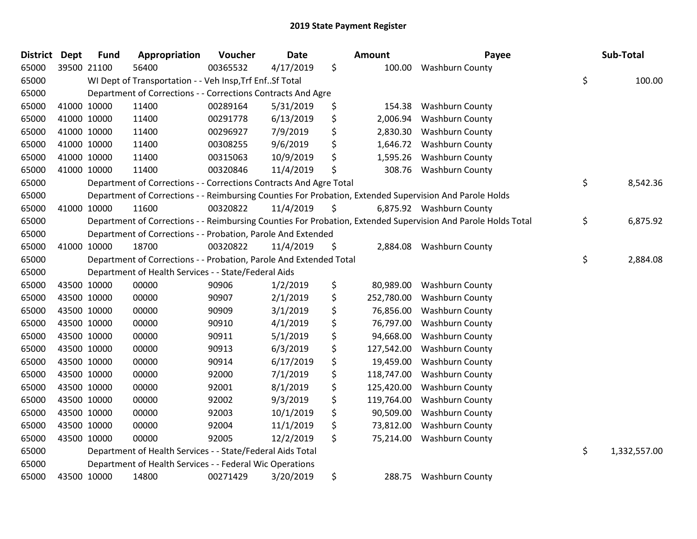| <b>District</b> | <b>Dept</b> | <b>Fund</b> | Appropriation                                                      | Voucher  | <b>Date</b> | <b>Amount</b>    | Payee                                                                                                         | Sub-Total          |
|-----------------|-------------|-------------|--------------------------------------------------------------------|----------|-------------|------------------|---------------------------------------------------------------------------------------------------------------|--------------------|
| 65000           | 39500 21100 |             | 56400                                                              | 00365532 | 4/17/2019   | \$<br>100.00     | <b>Washburn County</b>                                                                                        |                    |
| 65000           |             |             | WI Dept of Transportation - - Veh Insp, Trf EnfSf Total            |          |             |                  |                                                                                                               | \$<br>100.00       |
| 65000           |             |             | Department of Corrections - - Corrections Contracts And Agre       |          |             |                  |                                                                                                               |                    |
| 65000           |             | 41000 10000 | 11400                                                              | 00289164 | 5/31/2019   | \$<br>154.38     | <b>Washburn County</b>                                                                                        |                    |
| 65000           |             | 41000 10000 | 11400                                                              | 00291778 | 6/13/2019   | \$<br>2,006.94   | <b>Washburn County</b>                                                                                        |                    |
| 65000           |             | 41000 10000 | 11400                                                              | 00296927 | 7/9/2019    | \$<br>2,830.30   | Washburn County                                                                                               |                    |
| 65000           |             | 41000 10000 | 11400                                                              | 00308255 | 9/6/2019    | \$<br>1,646.72   | <b>Washburn County</b>                                                                                        |                    |
| 65000           |             | 41000 10000 | 11400                                                              | 00315063 | 10/9/2019   | \$<br>1,595.26   | <b>Washburn County</b>                                                                                        |                    |
| 65000           |             | 41000 10000 | 11400                                                              | 00320846 | 11/4/2019   | \$<br>308.76     | <b>Washburn County</b>                                                                                        |                    |
| 65000           |             |             | Department of Corrections - - Corrections Contracts And Agre Total |          |             |                  |                                                                                                               | \$<br>8,542.36     |
| 65000           |             |             |                                                                    |          |             |                  | Department of Corrections - - Reimbursing Counties For Probation, Extended Supervision And Parole Holds       |                    |
| 65000           | 41000 10000 |             | 11600                                                              | 00320822 | 11/4/2019   | \$               | 6,875.92 Washburn County                                                                                      |                    |
| 65000           |             |             |                                                                    |          |             |                  | Department of Corrections - - Reimbursing Counties For Probation, Extended Supervision And Parole Holds Total | \$<br>6,875.92     |
| 65000           |             |             | Department of Corrections - - Probation, Parole And Extended       |          |             |                  |                                                                                                               |                    |
| 65000           |             | 41000 10000 | 18700                                                              | 00320822 | 11/4/2019   | \$               | 2,884.08 Washburn County                                                                                      |                    |
| 65000           |             |             | Department of Corrections - - Probation, Parole And Extended Total |          |             |                  |                                                                                                               | \$<br>2,884.08     |
| 65000           |             |             | Department of Health Services - - State/Federal Aids               |          |             |                  |                                                                                                               |                    |
| 65000           | 43500 10000 |             | 00000                                                              | 90906    | 1/2/2019    | \$<br>80,989.00  | <b>Washburn County</b>                                                                                        |                    |
| 65000           |             | 43500 10000 | 00000                                                              | 90907    | 2/1/2019    | \$<br>252,780.00 | Washburn County                                                                                               |                    |
| 65000           |             | 43500 10000 | 00000                                                              | 90909    | 3/1/2019    | \$<br>76,856.00  | <b>Washburn County</b>                                                                                        |                    |
| 65000           |             | 43500 10000 | 00000                                                              | 90910    | 4/1/2019    | \$<br>76,797.00  | <b>Washburn County</b>                                                                                        |                    |
| 65000           | 43500 10000 |             | 00000                                                              | 90911    | 5/1/2019    | \$<br>94,668.00  | Washburn County                                                                                               |                    |
| 65000           |             | 43500 10000 | 00000                                                              | 90913    | 6/3/2019    | \$<br>127,542.00 | <b>Washburn County</b>                                                                                        |                    |
| 65000           |             | 43500 10000 | 00000                                                              | 90914    | 6/17/2019   | \$<br>19,459.00  | <b>Washburn County</b>                                                                                        |                    |
| 65000           | 43500 10000 |             | 00000                                                              | 92000    | 7/1/2019    | \$<br>118,747.00 | <b>Washburn County</b>                                                                                        |                    |
| 65000           | 43500 10000 |             | 00000                                                              | 92001    | 8/1/2019    | \$<br>125,420.00 | <b>Washburn County</b>                                                                                        |                    |
| 65000           | 43500 10000 |             | 00000                                                              | 92002    | 9/3/2019    | \$<br>119,764.00 | <b>Washburn County</b>                                                                                        |                    |
| 65000           | 43500 10000 |             | 00000                                                              | 92003    | 10/1/2019   | \$<br>90,509.00  | <b>Washburn County</b>                                                                                        |                    |
| 65000           |             | 43500 10000 | 00000                                                              | 92004    | 11/1/2019   | \$<br>73,812.00  | <b>Washburn County</b>                                                                                        |                    |
| 65000           |             | 43500 10000 | 00000                                                              | 92005    | 12/2/2019   | \$<br>75,214.00  | <b>Washburn County</b>                                                                                        |                    |
| 65000           |             |             | Department of Health Services - - State/Federal Aids Total         |          |             |                  |                                                                                                               | \$<br>1,332,557.00 |
| 65000           |             |             | Department of Health Services - - Federal Wic Operations           |          |             |                  |                                                                                                               |                    |
| 65000           | 43500 10000 |             | 14800                                                              | 00271429 | 3/20/2019   | \$<br>288.75     | <b>Washburn County</b>                                                                                        |                    |
|                 |             |             |                                                                    |          |             |                  |                                                                                                               |                    |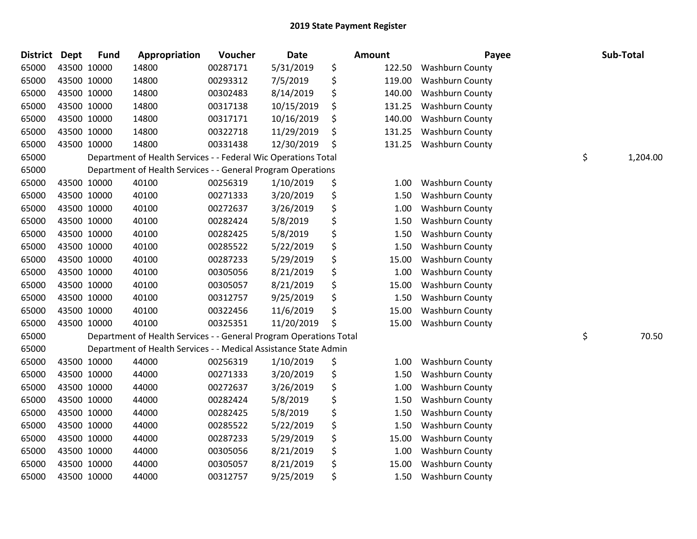| District Dept | <b>Fund</b> | Appropriation                                                      | Voucher  | <b>Date</b> | Amount       | Payee                  | Sub-Total      |
|---------------|-------------|--------------------------------------------------------------------|----------|-------------|--------------|------------------------|----------------|
| 65000         | 43500 10000 | 14800                                                              | 00287171 | 5/31/2019   | \$<br>122.50 | <b>Washburn County</b> |                |
| 65000         | 43500 10000 | 14800                                                              | 00293312 | 7/5/2019    | \$<br>119.00 | <b>Washburn County</b> |                |
| 65000         | 43500 10000 | 14800                                                              | 00302483 | 8/14/2019   | \$<br>140.00 | <b>Washburn County</b> |                |
| 65000         | 43500 10000 | 14800                                                              | 00317138 | 10/15/2019  | \$<br>131.25 | <b>Washburn County</b> |                |
| 65000         | 43500 10000 | 14800                                                              | 00317171 | 10/16/2019  | \$<br>140.00 | Washburn County        |                |
| 65000         | 43500 10000 | 14800                                                              | 00322718 | 11/29/2019  | \$<br>131.25 | <b>Washburn County</b> |                |
| 65000         | 43500 10000 | 14800                                                              | 00331438 | 12/30/2019  | \$<br>131.25 | <b>Washburn County</b> |                |
| 65000         |             | Department of Health Services - - Federal Wic Operations Total     |          |             |              |                        | \$<br>1,204.00 |
| 65000         |             | Department of Health Services - - General Program Operations       |          |             |              |                        |                |
| 65000         | 43500 10000 | 40100                                                              | 00256319 | 1/10/2019   | \$<br>1.00   | <b>Washburn County</b> |                |
| 65000         | 43500 10000 | 40100                                                              | 00271333 | 3/20/2019   | \$<br>1.50   | <b>Washburn County</b> |                |
| 65000         | 43500 10000 | 40100                                                              | 00272637 | 3/26/2019   | \$<br>1.00   | <b>Washburn County</b> |                |
| 65000         | 43500 10000 | 40100                                                              | 00282424 | 5/8/2019    | \$<br>1.50   | <b>Washburn County</b> |                |
| 65000         | 43500 10000 | 40100                                                              | 00282425 | 5/8/2019    | \$<br>1.50   | <b>Washburn County</b> |                |
| 65000         | 43500 10000 | 40100                                                              | 00285522 | 5/22/2019   | \$<br>1.50   | Washburn County        |                |
| 65000         | 43500 10000 | 40100                                                              | 00287233 | 5/29/2019   | \$<br>15.00  | <b>Washburn County</b> |                |
| 65000         | 43500 10000 | 40100                                                              | 00305056 | 8/21/2019   | \$<br>1.00   | <b>Washburn County</b> |                |
| 65000         | 43500 10000 | 40100                                                              | 00305057 | 8/21/2019   | \$<br>15.00  | <b>Washburn County</b> |                |
| 65000         | 43500 10000 | 40100                                                              | 00312757 | 9/25/2019   | \$<br>1.50   | <b>Washburn County</b> |                |
| 65000         | 43500 10000 | 40100                                                              | 00322456 | 11/6/2019   | \$<br>15.00  | <b>Washburn County</b> |                |
| 65000         | 43500 10000 | 40100                                                              | 00325351 | 11/20/2019  | \$<br>15.00  | <b>Washburn County</b> |                |
| 65000         |             | Department of Health Services - - General Program Operations Total |          |             |              |                        | \$<br>70.50    |
| 65000         |             | Department of Health Services - - Medical Assistance State Admin   |          |             |              |                        |                |
| 65000         | 43500 10000 | 44000                                                              | 00256319 | 1/10/2019   | \$<br>1.00   | <b>Washburn County</b> |                |
| 65000         | 43500 10000 | 44000                                                              | 00271333 | 3/20/2019   | \$<br>1.50   | Washburn County        |                |
| 65000         | 43500 10000 | 44000                                                              | 00272637 | 3/26/2019   | \$<br>1.00   | <b>Washburn County</b> |                |
| 65000         | 43500 10000 | 44000                                                              | 00282424 | 5/8/2019    | \$<br>1.50   | <b>Washburn County</b> |                |
| 65000         | 43500 10000 | 44000                                                              | 00282425 | 5/8/2019    | \$<br>1.50   | <b>Washburn County</b> |                |
| 65000         | 43500 10000 | 44000                                                              | 00285522 | 5/22/2019   | \$<br>1.50   | Washburn County        |                |
| 65000         | 43500 10000 | 44000                                                              | 00287233 | 5/29/2019   | \$<br>15.00  | <b>Washburn County</b> |                |
| 65000         | 43500 10000 | 44000                                                              | 00305056 | 8/21/2019   | \$<br>1.00   | <b>Washburn County</b> |                |
| 65000         | 43500 10000 | 44000                                                              | 00305057 | 8/21/2019   | \$<br>15.00  | <b>Washburn County</b> |                |
| 65000         | 43500 10000 | 44000                                                              | 00312757 | 9/25/2019   | \$<br>1.50   | <b>Washburn County</b> |                |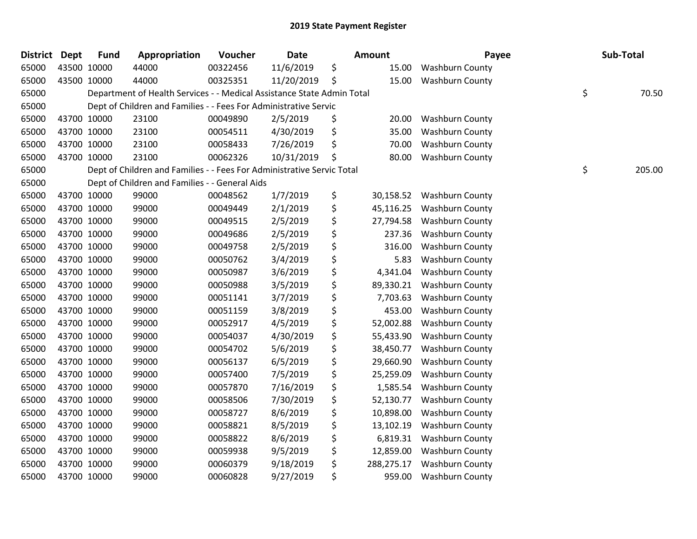| <b>District</b> | <b>Dept</b> | <b>Fund</b> | Appropriation                                                          | Voucher  | Date       | Amount           | Payee                  | Sub-Total    |
|-----------------|-------------|-------------|------------------------------------------------------------------------|----------|------------|------------------|------------------------|--------------|
| 65000           | 43500 10000 |             | 44000                                                                  | 00322456 | 11/6/2019  | \$<br>15.00      | <b>Washburn County</b> |              |
| 65000           |             | 43500 10000 | 44000                                                                  | 00325351 | 11/20/2019 | \$<br>15.00      | <b>Washburn County</b> |              |
| 65000           |             |             | Department of Health Services - - Medical Assistance State Admin Total |          |            |                  |                        | \$<br>70.50  |
| 65000           |             |             | Dept of Children and Families - - Fees For Administrative Servic       |          |            |                  |                        |              |
| 65000           |             | 43700 10000 | 23100                                                                  | 00049890 | 2/5/2019   | \$<br>20.00      | <b>Washburn County</b> |              |
| 65000           |             | 43700 10000 | 23100                                                                  | 00054511 | 4/30/2019  | \$<br>35.00      | <b>Washburn County</b> |              |
| 65000           | 43700 10000 |             | 23100                                                                  | 00058433 | 7/26/2019  | \$<br>70.00      | <b>Washburn County</b> |              |
| 65000           | 43700 10000 |             | 23100                                                                  | 00062326 | 10/31/2019 | \$<br>80.00      | <b>Washburn County</b> |              |
| 65000           |             |             | Dept of Children and Families - - Fees For Administrative Servic Total |          |            |                  |                        | \$<br>205.00 |
| 65000           |             |             | Dept of Children and Families - - General Aids                         |          |            |                  |                        |              |
| 65000           |             | 43700 10000 | 99000                                                                  | 00048562 | 1/7/2019   | \$<br>30,158.52  | <b>Washburn County</b> |              |
| 65000           | 43700 10000 |             | 99000                                                                  | 00049449 | 2/1/2019   | \$<br>45,116.25  | <b>Washburn County</b> |              |
| 65000           | 43700 10000 |             | 99000                                                                  | 00049515 | 2/5/2019   | \$<br>27,794.58  | <b>Washburn County</b> |              |
| 65000           | 43700 10000 |             | 99000                                                                  | 00049686 | 2/5/2019   | \$<br>237.36     | <b>Washburn County</b> |              |
| 65000           |             | 43700 10000 | 99000                                                                  | 00049758 | 2/5/2019   | \$<br>316.00     | <b>Washburn County</b> |              |
| 65000           |             | 43700 10000 | 99000                                                                  | 00050762 | 3/4/2019   | \$<br>5.83       | Washburn County        |              |
| 65000           | 43700 10000 |             | 99000                                                                  | 00050987 | 3/6/2019   | \$<br>4,341.04   | Washburn County        |              |
| 65000           | 43700 10000 |             | 99000                                                                  | 00050988 | 3/5/2019   | \$<br>89,330.21  | <b>Washburn County</b> |              |
| 65000           | 43700 10000 |             | 99000                                                                  | 00051141 | 3/7/2019   | \$<br>7,703.63   | <b>Washburn County</b> |              |
| 65000           | 43700 10000 |             | 99000                                                                  | 00051159 | 3/8/2019   | \$<br>453.00     | <b>Washburn County</b> |              |
| 65000           |             | 43700 10000 | 99000                                                                  | 00052917 | 4/5/2019   | \$<br>52,002.88  | <b>Washburn County</b> |              |
| 65000           | 43700 10000 |             | 99000                                                                  | 00054037 | 4/30/2019  | \$<br>55,433.90  | <b>Washburn County</b> |              |
| 65000           | 43700 10000 |             | 99000                                                                  | 00054702 | 5/6/2019   | \$<br>38,450.77  | <b>Washburn County</b> |              |
| 65000           | 43700 10000 |             | 99000                                                                  | 00056137 | 6/5/2019   | \$<br>29,660.90  | Washburn County        |              |
| 65000           |             | 43700 10000 | 99000                                                                  | 00057400 | 7/5/2019   | \$<br>25,259.09  | <b>Washburn County</b> |              |
| 65000           |             | 43700 10000 | 99000                                                                  | 00057870 | 7/16/2019  | \$<br>1,585.54   | <b>Washburn County</b> |              |
| 65000           | 43700 10000 |             | 99000                                                                  | 00058506 | 7/30/2019  | \$<br>52,130.77  | <b>Washburn County</b> |              |
| 65000           | 43700 10000 |             | 99000                                                                  | 00058727 | 8/6/2019   | \$<br>10,898.00  | <b>Washburn County</b> |              |
| 65000           | 43700 10000 |             | 99000                                                                  | 00058821 | 8/5/2019   | \$<br>13,102.19  | <b>Washburn County</b> |              |
| 65000           | 43700 10000 |             | 99000                                                                  | 00058822 | 8/6/2019   | \$<br>6,819.31   | Washburn County        |              |
| 65000           | 43700 10000 |             | 99000                                                                  | 00059938 | 9/5/2019   | \$<br>12,859.00  | <b>Washburn County</b> |              |
| 65000           | 43700 10000 |             | 99000                                                                  | 00060379 | 9/18/2019  | \$<br>288,275.17 | <b>Washburn County</b> |              |
| 65000           | 43700 10000 |             | 99000                                                                  | 00060828 | 9/27/2019  | \$<br>959.00     | <b>Washburn County</b> |              |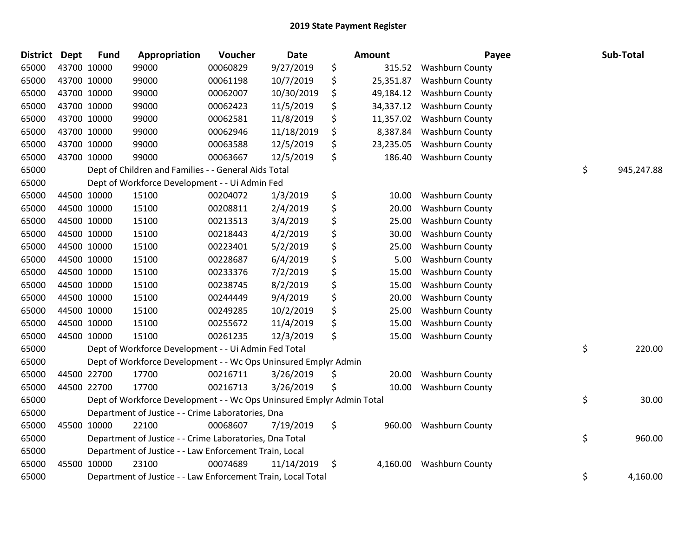| District Dept | <b>Fund</b> | Appropriation                                                         | Voucher  | <b>Date</b> | <b>Amount</b>   | Payee                  | Sub-Total        |
|---------------|-------------|-----------------------------------------------------------------------|----------|-------------|-----------------|------------------------|------------------|
| 65000         | 43700 10000 | 99000                                                                 | 00060829 | 9/27/2019   | \$<br>315.52    | <b>Washburn County</b> |                  |
| 65000         | 43700 10000 | 99000                                                                 | 00061198 | 10/7/2019   | \$<br>25,351.87 | <b>Washburn County</b> |                  |
| 65000         | 43700 10000 | 99000                                                                 | 00062007 | 10/30/2019  | \$<br>49,184.12 | <b>Washburn County</b> |                  |
| 65000         | 43700 10000 | 99000                                                                 | 00062423 | 11/5/2019   | \$<br>34,337.12 | <b>Washburn County</b> |                  |
| 65000         | 43700 10000 | 99000                                                                 | 00062581 | 11/8/2019   | \$<br>11,357.02 | <b>Washburn County</b> |                  |
| 65000         | 43700 10000 | 99000                                                                 | 00062946 | 11/18/2019  | \$<br>8,387.84  | Washburn County        |                  |
| 65000         | 43700 10000 | 99000                                                                 | 00063588 | 12/5/2019   | \$<br>23,235.05 | <b>Washburn County</b> |                  |
| 65000         | 43700 10000 | 99000                                                                 | 00063667 | 12/5/2019   | \$<br>186.40    | <b>Washburn County</b> |                  |
| 65000         |             | Dept of Children and Families - - General Aids Total                  |          |             |                 |                        | \$<br>945,247.88 |
| 65000         |             | Dept of Workforce Development - - Ui Admin Fed                        |          |             |                 |                        |                  |
| 65000         | 44500 10000 | 15100                                                                 | 00204072 | 1/3/2019    | \$<br>10.00     | <b>Washburn County</b> |                  |
| 65000         | 44500 10000 | 15100                                                                 | 00208811 | 2/4/2019    | \$<br>20.00     | <b>Washburn County</b> |                  |
| 65000         | 44500 10000 | 15100                                                                 | 00213513 | 3/4/2019    | \$<br>25.00     | <b>Washburn County</b> |                  |
| 65000         | 44500 10000 | 15100                                                                 | 00218443 | 4/2/2019    | \$<br>30.00     | <b>Washburn County</b> |                  |
| 65000         | 44500 10000 | 15100                                                                 | 00223401 | 5/2/2019    | \$<br>25.00     | <b>Washburn County</b> |                  |
| 65000         | 44500 10000 | 15100                                                                 | 00228687 | 6/4/2019    | \$<br>5.00      | Washburn County        |                  |
| 65000         | 44500 10000 | 15100                                                                 | 00233376 | 7/2/2019    | \$<br>15.00     | <b>Washburn County</b> |                  |
| 65000         | 44500 10000 | 15100                                                                 | 00238745 | 8/2/2019    | \$<br>15.00     | <b>Washburn County</b> |                  |
| 65000         | 44500 10000 | 15100                                                                 | 00244449 | 9/4/2019    | \$<br>20.00     | Washburn County        |                  |
| 65000         | 44500 10000 | 15100                                                                 | 00249285 | 10/2/2019   | \$<br>25.00     | <b>Washburn County</b> |                  |
| 65000         | 44500 10000 | 15100                                                                 | 00255672 | 11/4/2019   | \$<br>15.00     | <b>Washburn County</b> |                  |
| 65000         | 44500 10000 | 15100                                                                 | 00261235 | 12/3/2019   | \$<br>15.00     | <b>Washburn County</b> |                  |
| 65000         |             | Dept of Workforce Development - - Ui Admin Fed Total                  |          |             |                 |                        | \$<br>220.00     |
| 65000         |             | Dept of Workforce Development - - Wc Ops Uninsured Emplyr Admin       |          |             |                 |                        |                  |
| 65000         | 44500 22700 | 17700                                                                 | 00216711 | 3/26/2019   | \$<br>20.00     | <b>Washburn County</b> |                  |
| 65000         | 44500 22700 | 17700                                                                 | 00216713 | 3/26/2019   | \$<br>10.00     | <b>Washburn County</b> |                  |
| 65000         |             | Dept of Workforce Development - - Wc Ops Uninsured Emplyr Admin Total |          |             |                 |                        | \$<br>30.00      |
| 65000         |             | Department of Justice - - Crime Laboratories, Dna                     |          |             |                 |                        |                  |
| 65000         | 45500 10000 | 22100                                                                 | 00068607 | 7/19/2019   | \$<br>960.00    | <b>Washburn County</b> |                  |
| 65000         |             | Department of Justice - - Crime Laboratories, Dna Total               |          |             |                 |                        | \$<br>960.00     |
| 65000         |             | Department of Justice - - Law Enforcement Train, Local                |          |             |                 |                        |                  |
| 65000         | 45500 10000 | 23100                                                                 | 00074689 | 11/14/2019  | \$<br>4,160.00  | <b>Washburn County</b> |                  |
| 65000         |             | Department of Justice - - Law Enforcement Train, Local Total          |          |             |                 |                        | \$<br>4,160.00   |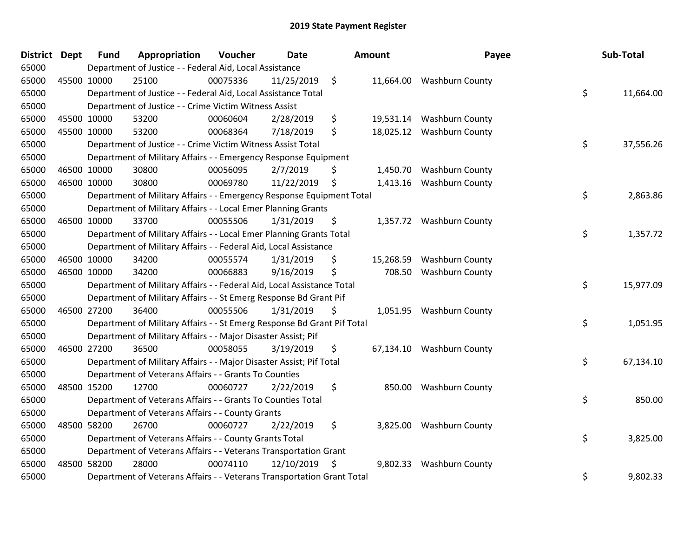| District Dept |             | <b>Fund</b> | Appropriation                                                           | <b>Voucher</b> | <b>Date</b> |         | Amount    | Payee                     | Sub-Total       |
|---------------|-------------|-------------|-------------------------------------------------------------------------|----------------|-------------|---------|-----------|---------------------------|-----------------|
| 65000         |             |             | Department of Justice - - Federal Aid, Local Assistance                 |                |             |         |           |                           |                 |
| 65000         |             | 45500 10000 | 25100                                                                   | 00075336       | 11/25/2019  | $\zeta$ |           | 11,664.00 Washburn County |                 |
| 65000         |             |             | Department of Justice - - Federal Aid, Local Assistance Total           |                |             |         |           |                           | \$<br>11,664.00 |
| 65000         |             |             | Department of Justice - - Crime Victim Witness Assist                   |                |             |         |           |                           |                 |
| 65000         |             | 45500 10000 | 53200                                                                   | 00060604       | 2/28/2019   | \$      | 19,531.14 | <b>Washburn County</b>    |                 |
| 65000         |             | 45500 10000 | 53200                                                                   | 00068364       | 7/18/2019   | \$      | 18,025.12 | <b>Washburn County</b>    |                 |
| 65000         |             |             | Department of Justice - - Crime Victim Witness Assist Total             |                |             |         |           |                           | \$<br>37,556.26 |
| 65000         |             |             | Department of Military Affairs - - Emergency Response Equipment         |                |             |         |           |                           |                 |
| 65000         |             | 46500 10000 | 30800                                                                   | 00056095       | 2/7/2019    | \$      |           | 1,450.70 Washburn County  |                 |
| 65000         |             | 46500 10000 | 30800                                                                   | 00069780       | 11/22/2019  | \$      | 1,413.16  | <b>Washburn County</b>    |                 |
| 65000         |             |             | Department of Military Affairs - - Emergency Response Equipment Total   |                |             |         |           |                           | \$<br>2,863.86  |
| 65000         |             |             | Department of Military Affairs - - Local Emer Planning Grants           |                |             |         |           |                           |                 |
| 65000         |             | 46500 10000 | 33700                                                                   | 00055506       | 1/31/2019   | \$      |           | 1,357.72 Washburn County  |                 |
| 65000         |             |             | Department of Military Affairs - - Local Emer Planning Grants Total     |                |             |         |           |                           | \$<br>1,357.72  |
| 65000         |             |             | Department of Military Affairs - - Federal Aid, Local Assistance        |                |             |         |           |                           |                 |
| 65000         |             | 46500 10000 | 34200                                                                   | 00055574       | 1/31/2019   | \$      | 15,268.59 | <b>Washburn County</b>    |                 |
| 65000         |             | 46500 10000 | 34200                                                                   | 00066883       | 9/16/2019   | \$      | 708.50    | <b>Washburn County</b>    |                 |
| 65000         |             |             | Department of Military Affairs - - Federal Aid, Local Assistance Total  |                |             |         |           |                           | \$<br>15,977.09 |
| 65000         |             |             | Department of Military Affairs - - St Emerg Response Bd Grant Pif       |                |             |         |           |                           |                 |
| 65000         | 46500 27200 |             | 36400                                                                   | 00055506       | 1/31/2019   | \$      | 1,051.95  | <b>Washburn County</b>    |                 |
| 65000         |             |             | Department of Military Affairs - - St Emerg Response Bd Grant Pif Total |                |             |         |           |                           | \$<br>1,051.95  |
| 65000         |             |             | Department of Military Affairs - - Major Disaster Assist; Pif           |                |             |         |           |                           |                 |
| 65000         |             | 46500 27200 | 36500                                                                   | 00058055       | 3/19/2019   | \$      |           | 67,134.10 Washburn County |                 |
| 65000         |             |             | Department of Military Affairs - - Major Disaster Assist; Pif Total     |                |             |         |           |                           | \$<br>67,134.10 |
| 65000         |             |             | Department of Veterans Affairs - - Grants To Counties                   |                |             |         |           |                           |                 |
| 65000         |             | 48500 15200 | 12700                                                                   | 00060727       | 2/22/2019   | \$      | 850.00    | <b>Washburn County</b>    |                 |
| 65000         |             |             | Department of Veterans Affairs - - Grants To Counties Total             |                |             |         |           |                           | \$<br>850.00    |
| 65000         |             |             | Department of Veterans Affairs - - County Grants                        |                |             |         |           |                           |                 |
| 65000         | 48500 58200 |             | 26700                                                                   | 00060727       | 2/22/2019   | \$      | 3,825.00  | <b>Washburn County</b>    |                 |
| 65000         |             |             | Department of Veterans Affairs - - County Grants Total                  |                |             |         |           |                           | \$<br>3,825.00  |
| 65000         |             |             | Department of Veterans Affairs - - Veterans Transportation Grant        |                |             |         |           |                           |                 |
| 65000         |             | 48500 58200 | 28000                                                                   | 00074110       | 12/10/2019  | \$      | 9,802.33  | <b>Washburn County</b>    |                 |
| 65000         |             |             | Department of Veterans Affairs - - Veterans Transportation Grant Total  |                |             |         |           |                           | \$<br>9,802.33  |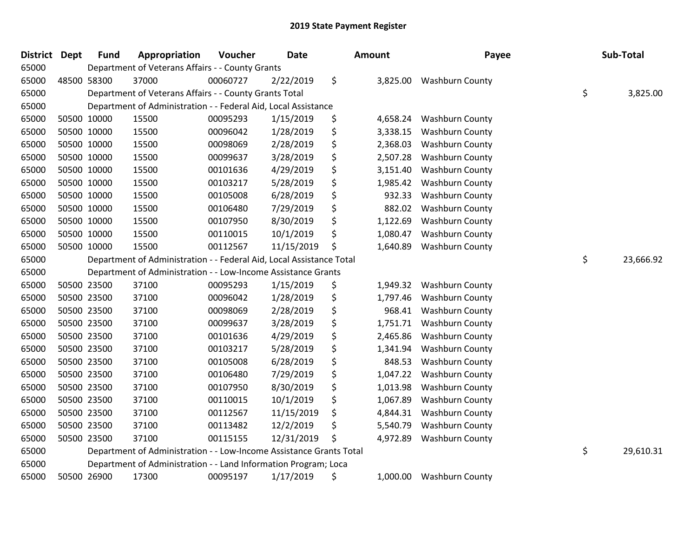| <b>District Dept</b> |             | <b>Fund</b> | Appropriation                                                        | Voucher  | Date       | Amount |          | Payee                  | Sub-Total       |
|----------------------|-------------|-------------|----------------------------------------------------------------------|----------|------------|--------|----------|------------------------|-----------------|
| 65000                |             |             | Department of Veterans Affairs - - County Grants                     |          |            |        |          |                        |                 |
| 65000                |             | 48500 58300 | 37000                                                                | 00060727 | 2/22/2019  | \$     | 3,825.00 | <b>Washburn County</b> |                 |
| 65000                |             |             | Department of Veterans Affairs - - County Grants Total               |          |            |        |          |                        | \$<br>3,825.00  |
| 65000                |             |             | Department of Administration - - Federal Aid, Local Assistance       |          |            |        |          |                        |                 |
| 65000                |             | 50500 10000 | 15500                                                                | 00095293 | 1/15/2019  | \$     | 4,658.24 | Washburn County        |                 |
| 65000                |             | 50500 10000 | 15500                                                                | 00096042 | 1/28/2019  | \$     | 3,338.15 | <b>Washburn County</b> |                 |
| 65000                |             | 50500 10000 | 15500                                                                | 00098069 | 2/28/2019  | \$     | 2,368.03 | <b>Washburn County</b> |                 |
| 65000                |             | 50500 10000 | 15500                                                                | 00099637 | 3/28/2019  | \$     | 2,507.28 | <b>Washburn County</b> |                 |
| 65000                | 50500 10000 |             | 15500                                                                | 00101636 | 4/29/2019  | \$     | 3,151.40 | <b>Washburn County</b> |                 |
| 65000                |             | 50500 10000 | 15500                                                                | 00103217 | 5/28/2019  | \$     | 1,985.42 | <b>Washburn County</b> |                 |
| 65000                |             | 50500 10000 | 15500                                                                | 00105008 | 6/28/2019  | \$     | 932.33   | <b>Washburn County</b> |                 |
| 65000                |             | 50500 10000 | 15500                                                                | 00106480 | 7/29/2019  | \$     | 882.02   | Washburn County        |                 |
| 65000                |             | 50500 10000 | 15500                                                                | 00107950 | 8/30/2019  | \$     | 1,122.69 | <b>Washburn County</b> |                 |
| 65000                |             | 50500 10000 | 15500                                                                | 00110015 | 10/1/2019  | \$     | 1,080.47 | Washburn County        |                 |
| 65000                |             | 50500 10000 | 15500                                                                | 00112567 | 11/15/2019 | \$     | 1,640.89 | <b>Washburn County</b> |                 |
| 65000                |             |             | Department of Administration - - Federal Aid, Local Assistance Total |          |            |        |          |                        | \$<br>23,666.92 |
| 65000                |             |             | Department of Administration - - Low-Income Assistance Grants        |          |            |        |          |                        |                 |
| 65000                |             | 50500 23500 | 37100                                                                | 00095293 | 1/15/2019  | \$     | 1,949.32 | <b>Washburn County</b> |                 |
| 65000                | 50500 23500 |             | 37100                                                                | 00096042 | 1/28/2019  | \$     | 1,797.46 | <b>Washburn County</b> |                 |
| 65000                |             | 50500 23500 | 37100                                                                | 00098069 | 2/28/2019  | \$     | 968.41   | <b>Washburn County</b> |                 |
| 65000                |             | 50500 23500 | 37100                                                                | 00099637 | 3/28/2019  | \$     | 1,751.71 | <b>Washburn County</b> |                 |
| 65000                |             | 50500 23500 | 37100                                                                | 00101636 | 4/29/2019  | \$     | 2,465.86 | <b>Washburn County</b> |                 |
| 65000                |             | 50500 23500 | 37100                                                                | 00103217 | 5/28/2019  | \$     | 1,341.94 | Washburn County        |                 |
| 65000                | 50500 23500 |             | 37100                                                                | 00105008 | 6/28/2019  | \$     | 848.53   | <b>Washburn County</b> |                 |
| 65000                |             | 50500 23500 | 37100                                                                | 00106480 | 7/29/2019  | \$     | 1,047.22 | <b>Washburn County</b> |                 |
| 65000                |             | 50500 23500 | 37100                                                                | 00107950 | 8/30/2019  | \$     | 1,013.98 | Washburn County        |                 |
| 65000                |             | 50500 23500 | 37100                                                                | 00110015 | 10/1/2019  | \$     | 1,067.89 | <b>Washburn County</b> |                 |
| 65000                |             | 50500 23500 | 37100                                                                | 00112567 | 11/15/2019 | \$     | 4,844.31 | <b>Washburn County</b> |                 |
| 65000                |             | 50500 23500 | 37100                                                                | 00113482 | 12/2/2019  | \$     | 5,540.79 | <b>Washburn County</b> |                 |
| 65000                |             | 50500 23500 | 37100                                                                | 00115155 | 12/31/2019 | \$     | 4,972.89 | Washburn County        |                 |
| 65000                |             |             | Department of Administration - - Low-Income Assistance Grants Total  |          |            |        |          |                        | \$<br>29,610.31 |
| 65000                |             |             | Department of Administration - - Land Information Program; Loca      |          |            |        |          |                        |                 |
| 65000                |             | 50500 26900 | 17300                                                                | 00095197 | 1/17/2019  | \$     | 1,000.00 | <b>Washburn County</b> |                 |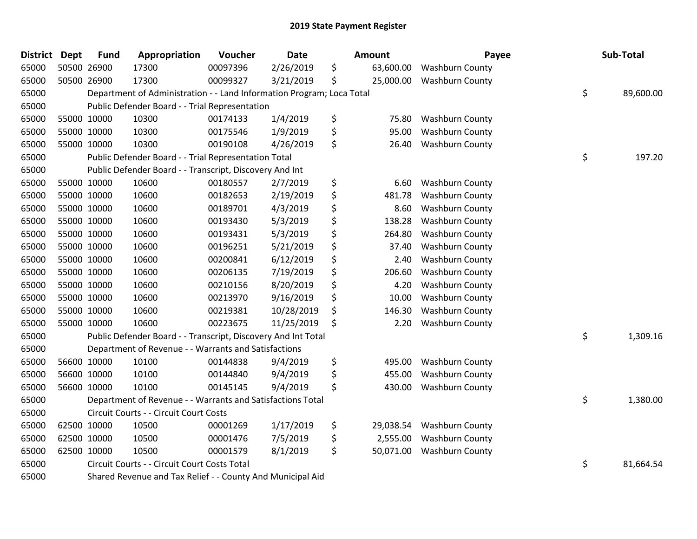| <b>District</b> | <b>Dept</b> | <b>Fund</b> | Appropriation                                                         | Voucher  | <b>Date</b> | <b>Amount</b>   | Payee                  | Sub-Total       |
|-----------------|-------------|-------------|-----------------------------------------------------------------------|----------|-------------|-----------------|------------------------|-----------------|
| 65000           |             | 50500 26900 | 17300                                                                 | 00097396 | 2/26/2019   | \$<br>63,600.00 | <b>Washburn County</b> |                 |
| 65000           |             | 50500 26900 | 17300                                                                 | 00099327 | 3/21/2019   | \$<br>25,000.00 | <b>Washburn County</b> |                 |
| 65000           |             |             | Department of Administration - - Land Information Program; Loca Total |          |             |                 |                        | \$<br>89,600.00 |
| 65000           |             |             | Public Defender Board - - Trial Representation                        |          |             |                 |                        |                 |
| 65000           |             | 55000 10000 | 10300                                                                 | 00174133 | 1/4/2019    | \$<br>75.80     | <b>Washburn County</b> |                 |
| 65000           |             | 55000 10000 | 10300                                                                 | 00175546 | 1/9/2019    | \$<br>95.00     | <b>Washburn County</b> |                 |
| 65000           |             | 55000 10000 | 10300                                                                 | 00190108 | 4/26/2019   | \$<br>26.40     | <b>Washburn County</b> |                 |
| 65000           |             |             | Public Defender Board - - Trial Representation Total                  |          |             |                 |                        | \$<br>197.20    |
| 65000           |             |             | Public Defender Board - - Transcript, Discovery And Int               |          |             |                 |                        |                 |
| 65000           |             | 55000 10000 | 10600                                                                 | 00180557 | 2/7/2019    | \$<br>6.60      | <b>Washburn County</b> |                 |
| 65000           |             | 55000 10000 | 10600                                                                 | 00182653 | 2/19/2019   | \$<br>481.78    | <b>Washburn County</b> |                 |
| 65000           |             | 55000 10000 | 10600                                                                 | 00189701 | 4/3/2019    | \$<br>8.60      | <b>Washburn County</b> |                 |
| 65000           |             | 55000 10000 | 10600                                                                 | 00193430 | 5/3/2019    | \$<br>138.28    | <b>Washburn County</b> |                 |
| 65000           |             | 55000 10000 | 10600                                                                 | 00193431 | 5/3/2019    | \$<br>264.80    | <b>Washburn County</b> |                 |
| 65000           |             | 55000 10000 | 10600                                                                 | 00196251 | 5/21/2019   | \$<br>37.40     | <b>Washburn County</b> |                 |
| 65000           |             | 55000 10000 | 10600                                                                 | 00200841 | 6/12/2019   | \$<br>2.40      | <b>Washburn County</b> |                 |
| 65000           |             | 55000 10000 | 10600                                                                 | 00206135 | 7/19/2019   | \$<br>206.60    | Washburn County        |                 |
| 65000           |             | 55000 10000 | 10600                                                                 | 00210156 | 8/20/2019   | \$<br>4.20      | <b>Washburn County</b> |                 |
| 65000           |             | 55000 10000 | 10600                                                                 | 00213970 | 9/16/2019   | \$<br>10.00     | <b>Washburn County</b> |                 |
| 65000           |             | 55000 10000 | 10600                                                                 | 00219381 | 10/28/2019  | \$<br>146.30    | <b>Washburn County</b> |                 |
| 65000           |             | 55000 10000 | 10600                                                                 | 00223675 | 11/25/2019  | \$<br>2.20      | <b>Washburn County</b> |                 |
| 65000           |             |             | Public Defender Board - - Transcript, Discovery And Int Total         |          |             |                 |                        | \$<br>1,309.16  |
| 65000           |             |             | Department of Revenue - - Warrants and Satisfactions                  |          |             |                 |                        |                 |
| 65000           |             | 56600 10000 | 10100                                                                 | 00144838 | 9/4/2019    | \$<br>495.00    | Washburn County        |                 |
| 65000           |             | 56600 10000 | 10100                                                                 | 00144840 | 9/4/2019    | \$<br>455.00    | <b>Washburn County</b> |                 |
| 65000           |             | 56600 10000 | 10100                                                                 | 00145145 | 9/4/2019    | \$<br>430.00    | <b>Washburn County</b> |                 |
| 65000           |             |             | Department of Revenue - - Warrants and Satisfactions Total            |          |             |                 |                        | \$<br>1,380.00  |
| 65000           |             |             | Circuit Courts - - Circuit Court Costs                                |          |             |                 |                        |                 |
| 65000           |             | 62500 10000 | 10500                                                                 | 00001269 | 1/17/2019   | \$<br>29,038.54 | <b>Washburn County</b> |                 |
| 65000           |             | 62500 10000 | 10500                                                                 | 00001476 | 7/5/2019    | \$<br>2,555.00  | <b>Washburn County</b> |                 |
| 65000           |             | 62500 10000 | 10500                                                                 | 00001579 | 8/1/2019    | \$<br>50,071.00 | <b>Washburn County</b> |                 |
| 65000           |             |             | Circuit Courts - - Circuit Court Costs Total                          |          |             |                 |                        | \$<br>81,664.54 |
| 65000           |             |             | Shared Revenue and Tax Relief - - County And Municipal Aid            |          |             |                 |                        |                 |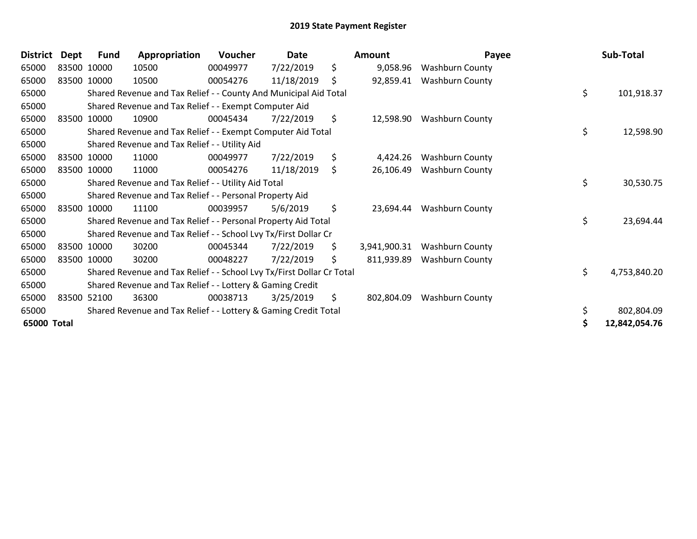| <b>District</b> | Dept | <b>Fund</b> | Appropriation                                                         | Voucher  | Date       | Amount             | Payee                  | Sub-Total           |
|-----------------|------|-------------|-----------------------------------------------------------------------|----------|------------|--------------------|------------------------|---------------------|
| 65000           |      | 83500 10000 | 10500                                                                 | 00049977 | 7/22/2019  | \$<br>9,058.96     | <b>Washburn County</b> |                     |
| 65000           |      | 83500 10000 | 10500                                                                 | 00054276 | 11/18/2019 | \$<br>92,859.41    | <b>Washburn County</b> |                     |
| 65000           |      |             | Shared Revenue and Tax Relief - - County And Municipal Aid Total      |          |            |                    |                        | \$<br>101,918.37    |
| 65000           |      |             | Shared Revenue and Tax Relief - - Exempt Computer Aid                 |          |            |                    |                        |                     |
| 65000           |      | 83500 10000 | 10900                                                                 | 00045434 | 7/22/2019  | \$<br>12,598.90    | <b>Washburn County</b> |                     |
| 65000           |      |             | Shared Revenue and Tax Relief - - Exempt Computer Aid Total           |          |            |                    |                        | \$<br>12,598.90     |
| 65000           |      |             | Shared Revenue and Tax Relief - - Utility Aid                         |          |            |                    |                        |                     |
| 65000           |      | 83500 10000 | 11000                                                                 | 00049977 | 7/22/2019  | \$<br>4,424.26     | Washburn County        |                     |
| 65000           |      | 83500 10000 | 11000                                                                 | 00054276 | 11/18/2019 | \$<br>26,106.49    | <b>Washburn County</b> |                     |
| 65000           |      |             | Shared Revenue and Tax Relief - - Utility Aid Total                   |          |            |                    |                        | \$<br>30,530.75     |
| 65000           |      |             | Shared Revenue and Tax Relief - - Personal Property Aid               |          |            |                    |                        |                     |
| 65000           |      | 83500 10000 | 11100                                                                 | 00039957 | 5/6/2019   | \$<br>23,694.44    | <b>Washburn County</b> |                     |
| 65000           |      |             | Shared Revenue and Tax Relief - - Personal Property Aid Total         |          |            |                    |                        | \$<br>23,694.44     |
| 65000           |      |             | Shared Revenue and Tax Relief - - School Lvy Tx/First Dollar Cr       |          |            |                    |                        |                     |
| 65000           |      | 83500 10000 | 30200                                                                 | 00045344 | 7/22/2019  | \$<br>3,941,900.31 | <b>Washburn County</b> |                     |
| 65000           |      | 83500 10000 | 30200                                                                 | 00048227 | 7/22/2019  | \$<br>811,939.89   | <b>Washburn County</b> |                     |
| 65000           |      |             | Shared Revenue and Tax Relief - - School Lvy Tx/First Dollar Cr Total |          |            |                    |                        | \$<br>4,753,840.20  |
| 65000           |      |             | Shared Revenue and Tax Relief - - Lottery & Gaming Credit             |          |            |                    |                        |                     |
| 65000           |      | 83500 52100 | 36300                                                                 | 00038713 | 3/25/2019  | \$<br>802,804.09   | Washburn County        |                     |
| 65000           |      |             | Shared Revenue and Tax Relief - - Lottery & Gaming Credit Total       |          |            |                    |                        | \$<br>802,804.09    |
| 65000 Total     |      |             |                                                                       |          |            |                    |                        | \$<br>12,842,054.76 |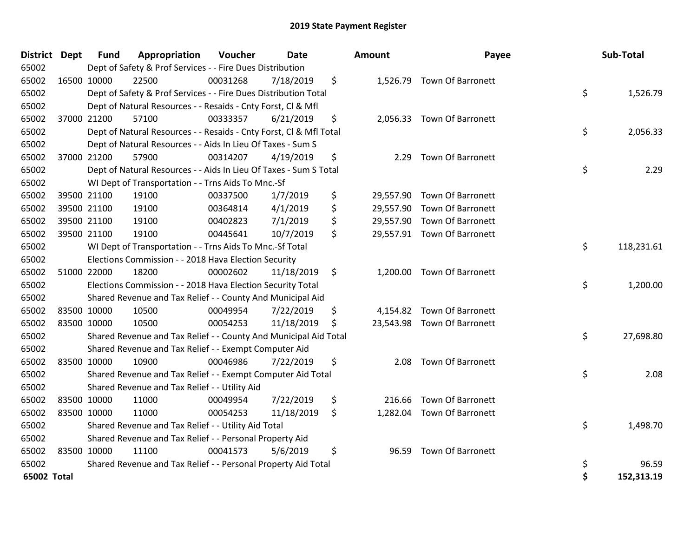| District Dept | <b>Fund</b> | Appropriation                                                                | Voucher  | Date       |    | <b>Amount</b> | Payee                       |    | Sub-Total  |
|---------------|-------------|------------------------------------------------------------------------------|----------|------------|----|---------------|-----------------------------|----|------------|
| 65002         |             | Dept of Safety & Prof Services - - Fire Dues Distribution                    |          |            |    |               |                             |    |            |
| 65002         | 16500 10000 | 22500                                                                        | 00031268 | 7/18/2019  | \$ |               | 1,526.79 Town Of Barronett  |    |            |
| 65002         |             | Dept of Safety & Prof Services - - Fire Dues Distribution Total              |          |            |    |               |                             | \$ | 1,526.79   |
| 65002         |             | Dept of Natural Resources - - Resaids - Cnty Forst, CI & Mfl                 |          |            |    |               |                             |    |            |
| 65002         | 37000 21200 | 57100                                                                        | 00333357 | 6/21/2019  | \$ |               | 2,056.33 Town Of Barronett  |    |            |
| 65002         |             | Dept of Natural Resources - - Resaids - Cnty Forst, Cl & Mfl Total           |          |            |    |               |                             | \$ | 2,056.33   |
| 65002         |             | Dept of Natural Resources - - Aids In Lieu Of Taxes - Sum S                  |          |            |    |               |                             |    |            |
| 65002         | 37000 21200 | 57900                                                                        | 00314207 | 4/19/2019  | \$ | 2.29          | <b>Town Of Barronett</b>    |    |            |
| 65002         |             | Dept of Natural Resources - - Aids In Lieu Of Taxes - Sum S Total            |          |            |    |               |                             | \$ | 2.29       |
| 65002         |             | WI Dept of Transportation - - Trns Aids To Mnc.-Sf                           |          |            |    |               |                             |    |            |
| 65002         | 39500 21100 | 19100                                                                        | 00337500 | 1/7/2019   | \$ |               | 29,557.90 Town Of Barronett |    |            |
| 65002         | 39500 21100 | 19100                                                                        | 00364814 | 4/1/2019   | \$ |               | 29,557.90 Town Of Barronett |    |            |
| 65002         | 39500 21100 | 19100                                                                        | 00402823 | 7/1/2019   | \$ |               | 29,557.90 Town Of Barronett |    |            |
| 65002         | 39500 21100 | 19100                                                                        | 00445641 | 10/7/2019  | \$ |               | 29,557.91 Town Of Barronett |    |            |
| 65002         |             | \$<br>WI Dept of Transportation - - Trns Aids To Mnc.-Sf Total<br>118,231.61 |          |            |    |               |                             |    |            |
| 65002         |             | Elections Commission - - 2018 Hava Election Security                         |          |            |    |               |                             |    |            |
| 65002         | 51000 22000 | 18200                                                                        | 00002602 | 11/18/2019 | \$ |               | 1,200.00 Town Of Barronett  |    |            |
| 65002         |             | Elections Commission - - 2018 Hava Election Security Total                   |          |            |    |               |                             | \$ | 1,200.00   |
| 65002         |             | Shared Revenue and Tax Relief - - County And Municipal Aid                   |          |            |    |               |                             |    |            |
| 65002         | 83500 10000 | 10500                                                                        | 00049954 | 7/22/2019  | \$ |               | 4,154.82 Town Of Barronett  |    |            |
| 65002         | 83500 10000 | 10500                                                                        | 00054253 | 11/18/2019 | \$ |               | 23,543.98 Town Of Barronett |    |            |
| 65002         |             | Shared Revenue and Tax Relief - - County And Municipal Aid Total             |          |            |    |               |                             | \$ | 27,698.80  |
| 65002         |             | Shared Revenue and Tax Relief - - Exempt Computer Aid                        |          |            |    |               |                             |    |            |
| 65002         | 83500 10000 | 10900                                                                        | 00046986 | 7/22/2019  | \$ | 2.08          | <b>Town Of Barronett</b>    |    |            |
| 65002         |             | Shared Revenue and Tax Relief - - Exempt Computer Aid Total                  |          |            |    |               |                             | \$ | 2.08       |
| 65002         |             | Shared Revenue and Tax Relief - - Utility Aid                                |          |            |    |               |                             |    |            |
| 65002         | 83500 10000 | 11000                                                                        | 00049954 | 7/22/2019  | \$ | 216.66        | <b>Town Of Barronett</b>    |    |            |
| 65002         | 83500 10000 | 11000                                                                        | 00054253 | 11/18/2019 | \$ |               | 1,282.04 Town Of Barronett  |    |            |
| 65002         |             | Shared Revenue and Tax Relief - - Utility Aid Total                          |          |            |    |               |                             | \$ | 1,498.70   |
| 65002         |             | Shared Revenue and Tax Relief - - Personal Property Aid                      |          |            |    |               |                             |    |            |
| 65002         | 83500 10000 | 11100                                                                        | 00041573 | 5/6/2019   | \$ | 96.59         | Town Of Barronett           |    |            |
| 65002         |             | Shared Revenue and Tax Relief - - Personal Property Aid Total                |          |            |    |               |                             | \$ | 96.59      |
| 65002 Total   |             |                                                                              |          |            |    |               |                             | \$ | 152,313.19 |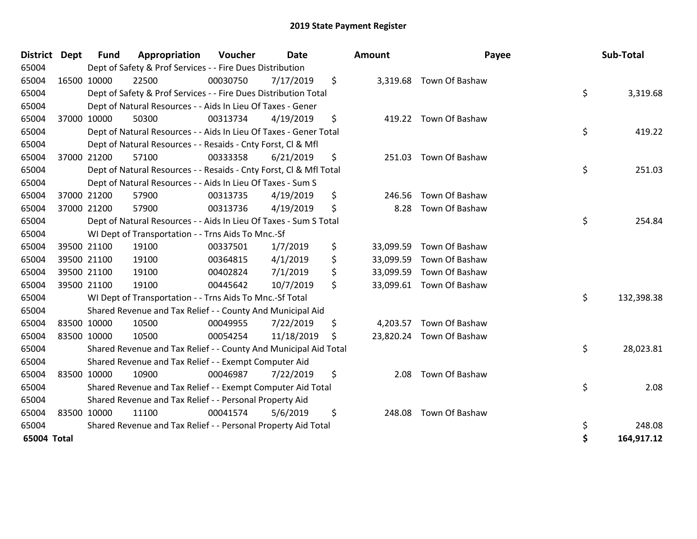| <b>District</b> | <b>Dept</b> | Fund        | Appropriation                                                      | Voucher  | Date       |    | <b>Amount</b> | Payee                    |    | Sub-Total  |
|-----------------|-------------|-------------|--------------------------------------------------------------------|----------|------------|----|---------------|--------------------------|----|------------|
| 65004           |             |             | Dept of Safety & Prof Services - - Fire Dues Distribution          |          |            |    |               |                          |    |            |
| 65004           |             | 16500 10000 | 22500                                                              | 00030750 | 7/17/2019  | \$ |               | 3,319.68 Town Of Bashaw  |    |            |
| 65004           |             |             | Dept of Safety & Prof Services - - Fire Dues Distribution Total    |          |            |    |               |                          | \$ | 3,319.68   |
| 65004           |             |             | Dept of Natural Resources - - Aids In Lieu Of Taxes - Gener        |          |            |    |               |                          |    |            |
| 65004           |             | 37000 10000 | 50300                                                              | 00313734 | 4/19/2019  | \$ |               | 419.22 Town Of Bashaw    |    |            |
| 65004           |             |             | Dept of Natural Resources - - Aids In Lieu Of Taxes - Gener Total  |          |            |    |               |                          | \$ | 419.22     |
| 65004           |             |             | Dept of Natural Resources - - Resaids - Cnty Forst, Cl & Mfl       |          |            |    |               |                          |    |            |
| 65004           |             | 37000 21200 | 57100                                                              | 00333358 | 6/21/2019  | \$ | 251.03        | Town Of Bashaw           |    |            |
| 65004           |             |             | Dept of Natural Resources - - Resaids - Cnty Forst, Cl & Mfl Total |          |            |    |               |                          | \$ | 251.03     |
| 65004           |             |             | Dept of Natural Resources - - Aids In Lieu Of Taxes - Sum S        |          |            |    |               |                          |    |            |
| 65004           |             | 37000 21200 | 57900                                                              | 00313735 | 4/19/2019  | \$ | 246.56        | Town Of Bashaw           |    |            |
| 65004           |             | 37000 21200 | 57900                                                              | 00313736 | 4/19/2019  | \$ | 8.28          | Town Of Bashaw           |    |            |
| 65004           |             |             | Dept of Natural Resources - - Aids In Lieu Of Taxes - Sum S Total  |          |            |    |               |                          |    | 254.84     |
| 65004           |             |             | WI Dept of Transportation - - Trns Aids To Mnc.-Sf                 |          |            |    |               |                          |    |            |
| 65004           |             | 39500 21100 | 19100                                                              | 00337501 | 1/7/2019   | \$ | 33,099.59     | Town Of Bashaw           |    |            |
| 65004           |             | 39500 21100 | 19100                                                              | 00364815 | 4/1/2019   | \$ | 33,099.59     | Town Of Bashaw           |    |            |
| 65004           |             | 39500 21100 | 19100                                                              | 00402824 | 7/1/2019   | \$ | 33,099.59     | Town Of Bashaw           |    |            |
| 65004           |             | 39500 21100 | 19100                                                              | 00445642 | 10/7/2019  | \$ |               | 33,099.61 Town Of Bashaw |    |            |
| 65004           |             |             | WI Dept of Transportation - - Trns Aids To Mnc.-Sf Total           |          |            |    |               |                          | \$ | 132,398.38 |
| 65004           |             |             | Shared Revenue and Tax Relief - - County And Municipal Aid         |          |            |    |               |                          |    |            |
| 65004           |             | 83500 10000 | 10500                                                              | 00049955 | 7/22/2019  | \$ | 4,203.57      | Town Of Bashaw           |    |            |
| 65004           |             | 83500 10000 | 10500                                                              | 00054254 | 11/18/2019 | \$ | 23,820.24     | Town Of Bashaw           |    |            |
| 65004           |             |             | Shared Revenue and Tax Relief - - County And Municipal Aid Total   |          |            |    |               |                          | \$ | 28,023.81  |
| 65004           |             |             | Shared Revenue and Tax Relief - - Exempt Computer Aid              |          |            |    |               |                          |    |            |
| 65004           | 83500 10000 |             | 10900                                                              | 00046987 | 7/22/2019  | \$ | 2.08          | Town Of Bashaw           |    |            |
| 65004           |             |             | Shared Revenue and Tax Relief - - Exempt Computer Aid Total        |          |            |    |               |                          | \$ | 2.08       |
| 65004           |             |             | Shared Revenue and Tax Relief - - Personal Property Aid            |          |            |    |               |                          |    |            |
| 65004           |             | 83500 10000 | 11100                                                              | 00041574 | 5/6/2019   | \$ | 248.08        | Town Of Bashaw           |    |            |
| 65004           |             |             | Shared Revenue and Tax Relief - - Personal Property Aid Total      |          |            |    |               |                          | \$ | 248.08     |
| 65004 Total     |             |             |                                                                    |          |            |    |               |                          | \$ | 164,917.12 |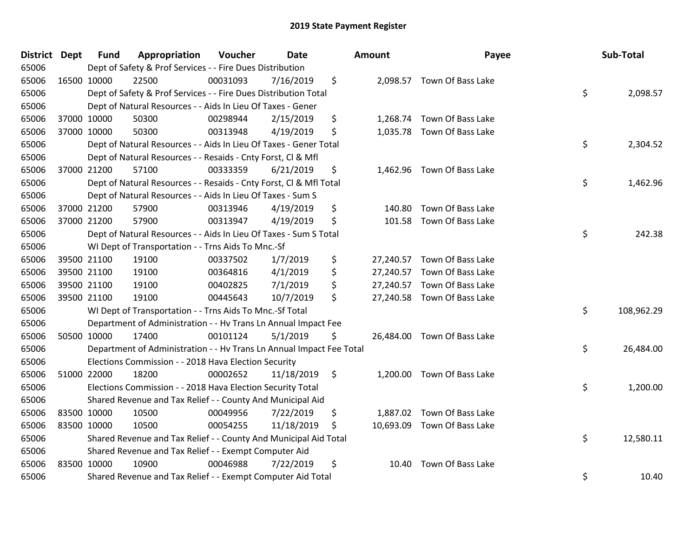| District Dept |             | <b>Fund</b> | Appropriation                                                        | Voucher  | <b>Date</b> |    | Amount | Payee                       |    | Sub-Total  |
|---------------|-------------|-------------|----------------------------------------------------------------------|----------|-------------|----|--------|-----------------------------|----|------------|
| 65006         |             |             | Dept of Safety & Prof Services - - Fire Dues Distribution            |          |             |    |        |                             |    |            |
| 65006         | 16500 10000 |             | 22500                                                                | 00031093 | 7/16/2019   | \$ |        | 2,098.57 Town Of Bass Lake  |    |            |
| 65006         |             |             | Dept of Safety & Prof Services - - Fire Dues Distribution Total      |          |             |    |        |                             | \$ | 2,098.57   |
| 65006         |             |             | Dept of Natural Resources - - Aids In Lieu Of Taxes - Gener          |          |             |    |        |                             |    |            |
| 65006         | 37000 10000 |             | 50300                                                                | 00298944 | 2/15/2019   | \$ |        | 1,268.74 Town Of Bass Lake  |    |            |
| 65006         |             | 37000 10000 | 50300                                                                | 00313948 | 4/19/2019   | \$ |        | 1,035.78 Town Of Bass Lake  |    |            |
| 65006         |             |             | Dept of Natural Resources - - Aids In Lieu Of Taxes - Gener Total    |          |             |    |        |                             | \$ | 2,304.52   |
| 65006         |             |             | Dept of Natural Resources - - Resaids - Cnty Forst, CI & Mfl         |          |             |    |        |                             |    |            |
| 65006         |             | 37000 21200 | 57100                                                                | 00333359 | 6/21/2019   | \$ |        | 1,462.96 Town Of Bass Lake  |    |            |
| 65006         |             |             | Dept of Natural Resources - - Resaids - Cnty Forst, Cl & Mfl Total   |          |             |    |        |                             | \$ | 1,462.96   |
| 65006         |             |             | Dept of Natural Resources - - Aids In Lieu Of Taxes - Sum S          |          |             |    |        |                             |    |            |
| 65006         |             | 37000 21200 | 57900                                                                | 00313946 | 4/19/2019   | \$ | 140.80 | Town Of Bass Lake           |    |            |
| 65006         | 37000 21200 |             | 57900                                                                | 00313947 | 4/19/2019   | \$ | 101.58 | Town Of Bass Lake           |    |            |
| 65006         |             |             | Dept of Natural Resources - - Aids In Lieu Of Taxes - Sum S Total    |          |             |    |        |                             | \$ | 242.38     |
| 65006         |             |             | WI Dept of Transportation - - Trns Aids To Mnc.-Sf                   |          |             |    |        |                             |    |            |
| 65006         |             | 39500 21100 | 19100                                                                | 00337502 | 1/7/2019    | \$ |        | 27,240.57 Town Of Bass Lake |    |            |
| 65006         |             | 39500 21100 | 19100                                                                | 00364816 | 4/1/2019    | \$ |        | 27,240.57 Town Of Bass Lake |    |            |
| 65006         | 39500 21100 |             | 19100                                                                | 00402825 | 7/1/2019    | \$ |        | 27,240.57 Town Of Bass Lake |    |            |
| 65006         | 39500 21100 |             | 19100                                                                | 00445643 | 10/7/2019   | \$ |        | 27,240.58 Town Of Bass Lake |    |            |
| 65006         |             |             | WI Dept of Transportation - - Trns Aids To Mnc.-Sf Total             |          |             |    |        |                             | \$ | 108,962.29 |
| 65006         |             |             | Department of Administration - - Hv Trans Ln Annual Impact Fee       |          |             |    |        |                             |    |            |
| 65006         |             | 50500 10000 | 17400                                                                | 00101124 | 5/1/2019    | \$ |        | 26,484.00 Town Of Bass Lake |    |            |
| 65006         |             |             | Department of Administration - - Hv Trans Ln Annual Impact Fee Total |          |             |    |        |                             | \$ | 26,484.00  |
| 65006         |             |             | Elections Commission - - 2018 Hava Election Security                 |          |             |    |        |                             |    |            |
| 65006         | 51000 22000 |             | 18200                                                                | 00002652 | 11/18/2019  | \$ |        | 1,200.00 Town Of Bass Lake  |    |            |
| 65006         |             |             | Elections Commission - - 2018 Hava Election Security Total           |          |             |    |        |                             | \$ | 1,200.00   |
| 65006         |             |             | Shared Revenue and Tax Relief - - County And Municipal Aid           |          |             |    |        |                             |    |            |
| 65006         | 83500 10000 |             | 10500                                                                | 00049956 | 7/22/2019   | \$ |        | 1,887.02 Town Of Bass Lake  |    |            |
| 65006         | 83500 10000 |             | 10500                                                                | 00054255 | 11/18/2019  | \$ |        | 10,693.09 Town Of Bass Lake |    |            |
| 65006         |             |             | Shared Revenue and Tax Relief - - County And Municipal Aid Total     |          |             |    |        |                             | \$ | 12,580.11  |
| 65006         |             |             | Shared Revenue and Tax Relief - - Exempt Computer Aid                |          |             |    |        |                             |    |            |
| 65006         | 83500 10000 |             | 10900                                                                | 00046988 | 7/22/2019   | \$ | 10.40  | Town Of Bass Lake           |    |            |
| 65006         |             |             | Shared Revenue and Tax Relief - - Exempt Computer Aid Total          |          |             |    |        |                             | \$ | 10.40      |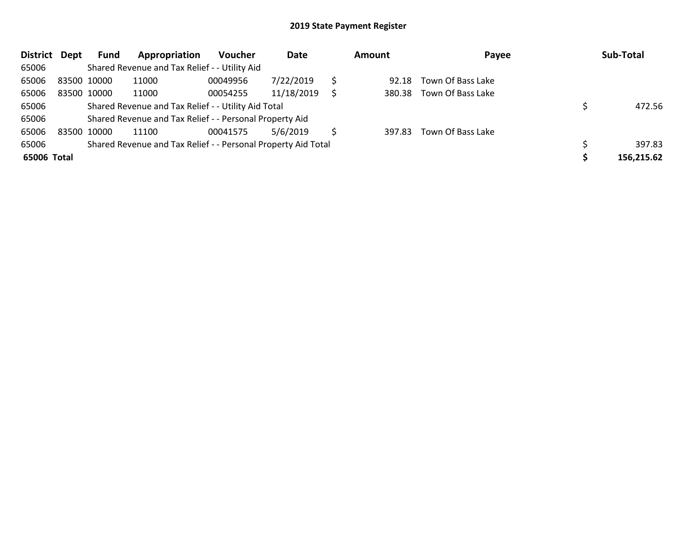| <b>District</b> | Dept | Fund        | Appropriation                                                 | <b>Voucher</b> | Date       |   | <b>Amount</b> | Payee             | Sub-Total  |
|-----------------|------|-------------|---------------------------------------------------------------|----------------|------------|---|---------------|-------------------|------------|
| 65006           |      |             | Shared Revenue and Tax Relief - - Utility Aid                 |                |            |   |               |                   |            |
| 65006           |      | 83500 10000 | 11000                                                         | 00049956       | 7/22/2019  |   | 92.18         | Town Of Bass Lake |            |
| 65006           |      | 83500 10000 | 11000                                                         | 00054255       | 11/18/2019 | S | 380.38        | Town Of Bass Lake |            |
| 65006           |      |             | Shared Revenue and Tax Relief - - Utility Aid Total           |                | 472.56     |   |               |                   |            |
| 65006           |      |             | Shared Revenue and Tax Relief - - Personal Property Aid       |                |            |   |               |                   |            |
| 65006           |      | 83500 10000 | 11100                                                         | 00041575       | 5/6/2019   |   | 397.83        | Town Of Bass Lake |            |
| 65006           |      |             | Shared Revenue and Tax Relief - - Personal Property Aid Total |                |            |   |               |                   | 397.83     |
| 65006 Total     |      |             |                                                               |                |            |   |               |                   | 156,215.62 |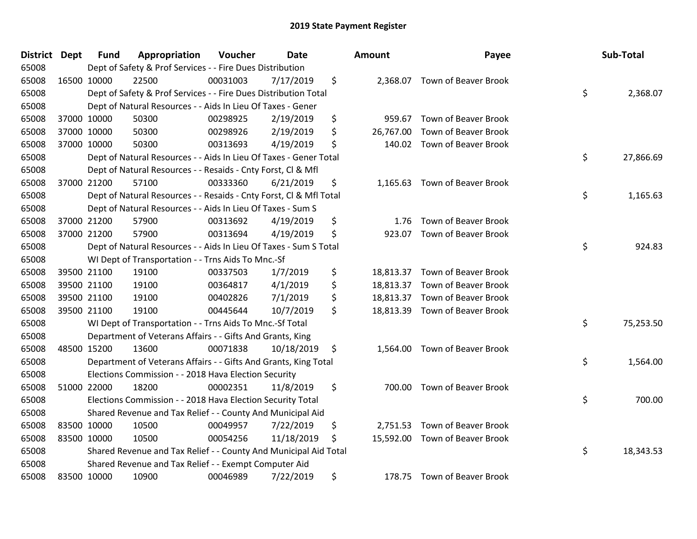| District Dept | <b>Fund</b> | Appropriation                                                      | Voucher  | <b>Date</b> | <b>Amount</b>   | Payee                          | Sub-Total       |
|---------------|-------------|--------------------------------------------------------------------|----------|-------------|-----------------|--------------------------------|-----------------|
| 65008         |             | Dept of Safety & Prof Services - - Fire Dues Distribution          |          |             |                 |                                |                 |
| 65008         | 16500 10000 | 22500                                                              | 00031003 | 7/17/2019   | \$              | 2,368.07 Town of Beaver Brook  |                 |
| 65008         |             | Dept of Safety & Prof Services - - Fire Dues Distribution Total    |          |             |                 |                                | \$<br>2,368.07  |
| 65008         |             | Dept of Natural Resources - - Aids In Lieu Of Taxes - Gener        |          |             |                 |                                |                 |
| 65008         | 37000 10000 | 50300                                                              | 00298925 | 2/19/2019   | \$<br>959.67    | <b>Town of Beaver Brook</b>    |                 |
| 65008         | 37000 10000 | 50300                                                              | 00298926 | 2/19/2019   | \$<br>26,767.00 | Town of Beaver Brook           |                 |
| 65008         | 37000 10000 | 50300                                                              | 00313693 | 4/19/2019   | \$<br>140.02    | <b>Town of Beaver Brook</b>    |                 |
| 65008         |             | Dept of Natural Resources - - Aids In Lieu Of Taxes - Gener Total  |          |             |                 |                                | \$<br>27,866.69 |
| 65008         |             | Dept of Natural Resources - - Resaids - Cnty Forst, Cl & Mfl       |          |             |                 |                                |                 |
| 65008         | 37000 21200 | 57100                                                              | 00333360 | 6/21/2019   | \$<br>1,165.63  | Town of Beaver Brook           |                 |
| 65008         |             | Dept of Natural Resources - - Resaids - Cnty Forst, Cl & Mfl Total |          |             |                 |                                | \$<br>1,165.63  |
| 65008         |             | Dept of Natural Resources - - Aids In Lieu Of Taxes - Sum S        |          |             |                 |                                |                 |
| 65008         | 37000 21200 | 57900                                                              | 00313692 | 4/19/2019   | \$<br>1.76      | <b>Town of Beaver Brook</b>    |                 |
| 65008         | 37000 21200 | 57900                                                              | 00313694 | 4/19/2019   | \$<br>923.07    | <b>Town of Beaver Brook</b>    |                 |
| 65008         |             | Dept of Natural Resources - - Aids In Lieu Of Taxes - Sum S Total  |          |             |                 |                                | \$<br>924.83    |
| 65008         |             | WI Dept of Transportation - - Trns Aids To Mnc.-Sf                 |          |             |                 |                                |                 |
| 65008         | 39500 21100 | 19100                                                              | 00337503 | 1/7/2019    | \$<br>18,813.37 | <b>Town of Beaver Brook</b>    |                 |
| 65008         | 39500 21100 | 19100                                                              | 00364817 | 4/1/2019    | \$              | 18,813.37 Town of Beaver Brook |                 |
| 65008         | 39500 21100 | 19100                                                              | 00402826 | 7/1/2019    | \$              | 18,813.37 Town of Beaver Brook |                 |
| 65008         | 39500 21100 | 19100                                                              | 00445644 | 10/7/2019   | \$              | 18,813.39 Town of Beaver Brook |                 |
| 65008         |             | WI Dept of Transportation - - Trns Aids To Mnc.-Sf Total           |          |             |                 |                                | \$<br>75,253.50 |
| 65008         |             | Department of Veterans Affairs - - Gifts And Grants, King          |          |             |                 |                                |                 |
| 65008         | 48500 15200 | 13600                                                              | 00071838 | 10/18/2019  | \$              | 1,564.00 Town of Beaver Brook  |                 |
| 65008         |             | Department of Veterans Affairs - - Gifts And Grants, King Total    |          |             |                 |                                | \$<br>1,564.00  |
| 65008         |             | Elections Commission - - 2018 Hava Election Security               |          |             |                 |                                |                 |
| 65008         | 51000 22000 | 18200                                                              | 00002351 | 11/8/2019   | \$<br>700.00    | <b>Town of Beaver Brook</b>    |                 |
| 65008         |             | Elections Commission - - 2018 Hava Election Security Total         |          |             |                 |                                | \$<br>700.00    |
| 65008         |             | Shared Revenue and Tax Relief - - County And Municipal Aid         |          |             |                 |                                |                 |
| 65008         | 83500 10000 | 10500                                                              | 00049957 | 7/22/2019   | \$              | 2,751.53 Town of Beaver Brook  |                 |
| 65008         | 83500 10000 | 10500                                                              | 00054256 | 11/18/2019  | \$              | 15,592.00 Town of Beaver Brook |                 |
| 65008         |             | Shared Revenue and Tax Relief - - County And Municipal Aid Total   |          |             |                 |                                | \$<br>18,343.53 |
| 65008         |             | Shared Revenue and Tax Relief - - Exempt Computer Aid              |          |             |                 |                                |                 |
| 65008         | 83500 10000 | 10900                                                              | 00046989 | 7/22/2019   | \$              | 178.75 Town of Beaver Brook    |                 |

| าount     | Payee                       | Sub-Total       |
|-----------|-----------------------------|-----------------|
| 2,368.07  | Town of Beaver Brook        | \$<br>2,368.07  |
| 959.67    | <b>Town of Beaver Brook</b> |                 |
| 26,767.00 | <b>Town of Beaver Brook</b> |                 |
| 140.02    | <b>Town of Beaver Brook</b> |                 |
|           |                             | \$<br>27,866.69 |
| 1,165.63  | Town of Beaver Brook        |                 |
|           |                             | \$<br>1,165.63  |
| 1.76      | <b>Town of Beaver Brook</b> |                 |
| 923.07    | <b>Town of Beaver Brook</b> |                 |
|           |                             | \$<br>924.83    |
| 18,813.37 | <b>Town of Beaver Brook</b> |                 |
| 18,813.37 | Town of Beaver Brook        |                 |
| 18,813.37 | <b>Town of Beaver Brook</b> |                 |
| 18,813.39 | <b>Town of Beaver Brook</b> |                 |
|           |                             | \$<br>75,253.50 |
| 1,564.00  | Town of Beaver Brook        |                 |
|           |                             | \$<br>1,564.00  |
| 700.00    | <b>Town of Beaver Brook</b> |                 |
|           |                             | \$<br>700.00    |
| 2,751.53  | <b>Town of Beaver Brook</b> |                 |
| 15,592.00 | Town of Beaver Brook        |                 |
|           |                             | \$<br>18,343.53 |
| 178.75    | Town of Beaver Brook        |                 |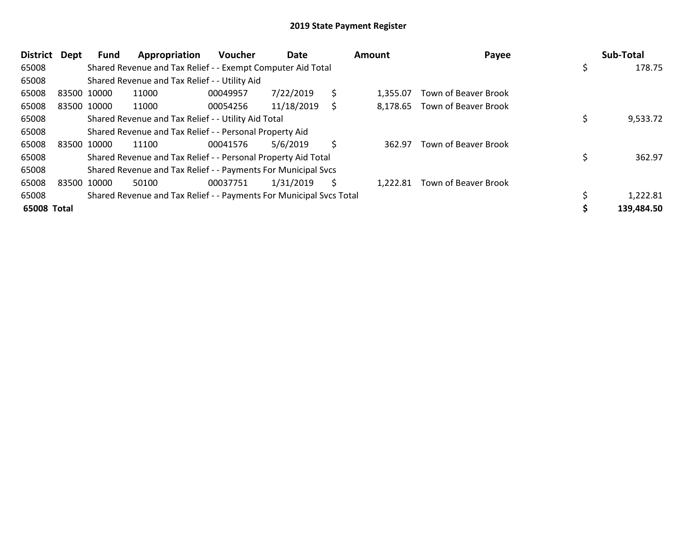| <b>District</b> | Dept        | Fund        | Appropriation                                                       | Voucher  | Date       |    | Amount   | Payee                       | Sub-Total    |
|-----------------|-------------|-------------|---------------------------------------------------------------------|----------|------------|----|----------|-----------------------------|--------------|
| 65008           |             |             | Shared Revenue and Tax Relief - - Exempt Computer Aid Total         |          |            |    |          |                             | \$<br>178.75 |
| 65008           |             |             | Shared Revenue and Tax Relief - - Utility Aid                       |          |            |    |          |                             |              |
| 65008           | 83500 10000 |             | 11000                                                               | 00049957 | 7/22/2019  | \$ | 1.355.07 | <b>Town of Beaver Brook</b> |              |
| 65008           |             | 83500 10000 | 11000                                                               | 00054256 | 11/18/2019 | S  | 8.178.65 | Town of Beaver Brook        |              |
| 65008           |             |             | Shared Revenue and Tax Relief - - Utility Aid Total                 |          |            |    |          |                             | 9,533.72     |
| 65008           |             |             | Shared Revenue and Tax Relief - - Personal Property Aid             |          |            |    |          |                             |              |
| 65008           |             | 83500 10000 | 11100                                                               | 00041576 | 5/6/2019   | \$ | 362.97   | <b>Town of Beaver Brook</b> |              |
| 65008           |             |             | Shared Revenue and Tax Relief - - Personal Property Aid Total       |          |            |    |          |                             | 362.97       |
| 65008           |             |             | Shared Revenue and Tax Relief - - Payments For Municipal Svcs       |          |            |    |          |                             |              |
| 65008           |             | 83500 10000 | 50100                                                               | 00037751 | 1/31/2019  | Ś. | 1,222.81 | Town of Beaver Brook        |              |
| 65008           |             |             | Shared Revenue and Tax Relief - - Payments For Municipal Svcs Total |          |            |    |          |                             | 1,222.81     |
| 65008 Total     |             |             |                                                                     |          |            |    |          |                             | 139,484.50   |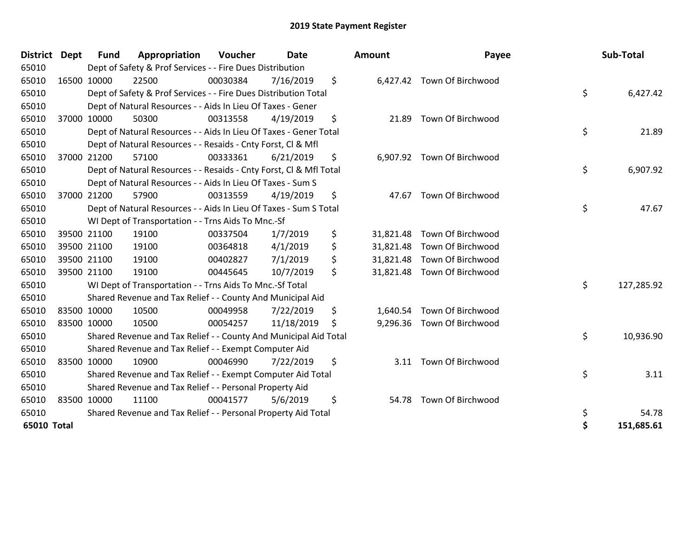| <b>District Dept</b> | <b>Fund</b> | Appropriation                                                      | Voucher  | <b>Date</b> |    | <b>Amount</b> | Payee                       |    | Sub-Total  |
|----------------------|-------------|--------------------------------------------------------------------|----------|-------------|----|---------------|-----------------------------|----|------------|
| 65010                |             | Dept of Safety & Prof Services - - Fire Dues Distribution          |          |             |    |               |                             |    |            |
| 65010                | 16500 10000 | 22500                                                              | 00030384 | 7/16/2019   | \$ |               | 6,427.42 Town Of Birchwood  |    |            |
| 65010                |             | Dept of Safety & Prof Services - - Fire Dues Distribution Total    |          |             |    |               |                             | \$ | 6,427.42   |
| 65010                |             | Dept of Natural Resources - - Aids In Lieu Of Taxes - Gener        |          |             |    |               |                             |    |            |
| 65010                | 37000 10000 | 50300                                                              | 00313558 | 4/19/2019   | \$ | 21.89         | Town Of Birchwood           |    |            |
| 65010                |             | Dept of Natural Resources - - Aids In Lieu Of Taxes - Gener Total  |          |             |    |               |                             | \$ | 21.89      |
| 65010                |             | Dept of Natural Resources - - Resaids - Cnty Forst, CI & Mfl       |          |             |    |               |                             |    |            |
| 65010                | 37000 21200 | 57100                                                              | 00333361 | 6/21/2019   | \$ |               | 6,907.92 Town Of Birchwood  |    |            |
| 65010                |             | Dept of Natural Resources - - Resaids - Cnty Forst, Cl & Mfl Total |          |             |    |               |                             | \$ | 6,907.92   |
| 65010                |             | Dept of Natural Resources - - Aids In Lieu Of Taxes - Sum S        |          |             |    |               |                             |    |            |
| 65010                | 37000 21200 | 57900                                                              | 00313559 | 4/19/2019   | \$ | 47.67         | Town Of Birchwood           |    |            |
| 65010                |             | Dept of Natural Resources - - Aids In Lieu Of Taxes - Sum S Total  |          |             |    |               |                             | \$ | 47.67      |
| 65010                |             | WI Dept of Transportation - - Trns Aids To Mnc.-Sf                 |          |             |    |               |                             |    |            |
| 65010                | 39500 21100 | 19100                                                              | 00337504 | 1/7/2019    | \$ | 31,821.48     | Town Of Birchwood           |    |            |
| 65010                | 39500 21100 | 19100                                                              | 00364818 | 4/1/2019    | \$ |               | 31,821.48 Town Of Birchwood |    |            |
| 65010                | 39500 21100 | 19100                                                              | 00402827 | 7/1/2019    | \$ | 31,821.48     | Town Of Birchwood           |    |            |
| 65010                | 39500 21100 | 19100                                                              | 00445645 | 10/7/2019   | \$ |               | 31,821.48 Town Of Birchwood |    |            |
| 65010                |             | WI Dept of Transportation - - Trns Aids To Mnc .- Sf Total         |          |             |    |               |                             | \$ | 127,285.92 |
| 65010                |             | Shared Revenue and Tax Relief - - County And Municipal Aid         |          |             |    |               |                             |    |            |
| 65010                | 83500 10000 | 10500                                                              | 00049958 | 7/22/2019   | \$ | 1,640.54      | Town Of Birchwood           |    |            |
| 65010                | 83500 10000 | 10500                                                              | 00054257 | 11/18/2019  | \$ | 9,296.36      | Town Of Birchwood           |    |            |
| 65010                |             | Shared Revenue and Tax Relief - - County And Municipal Aid Total   |          |             |    |               |                             | \$ | 10,936.90  |
| 65010                |             | Shared Revenue and Tax Relief - - Exempt Computer Aid              |          |             |    |               |                             |    |            |
| 65010                | 83500 10000 | 10900                                                              | 00046990 | 7/22/2019   | \$ | 3.11          | Town Of Birchwood           |    |            |
| 65010                |             | Shared Revenue and Tax Relief - - Exempt Computer Aid Total        |          |             |    |               |                             | \$ | 3.11       |
| 65010                |             | Shared Revenue and Tax Relief - - Personal Property Aid            |          |             |    |               |                             |    |            |
| 65010                | 83500 10000 | 11100                                                              | 00041577 | 5/6/2019    | \$ | 54.78         | Town Of Birchwood           |    |            |
| 65010                |             | Shared Revenue and Tax Relief - - Personal Property Aid Total      |          |             |    |               |                             | \$ | 54.78      |
| 65010 Total          |             |                                                                    |          |             |    |               |                             | \$ | 151,685.61 |

| District Dept | <b>Fund</b> | Appropriation                                                      | Voucher  | <b>Date</b> |    | <b>Amount</b> | Payee                       | Sub-Total        |
|---------------|-------------|--------------------------------------------------------------------|----------|-------------|----|---------------|-----------------------------|------------------|
| 65010         |             | Dept of Safety & Prof Services - - Fire Dues Distribution          |          |             |    |               |                             |                  |
| 65010         | 16500 10000 | 22500                                                              | 00030384 | 7/16/2019   | \$ |               | 6,427.42 Town Of Birchwood  |                  |
| 65010         |             | Dept of Safety & Prof Services - - Fire Dues Distribution Total    |          |             |    |               |                             | \$<br>6,427.42   |
| 65010         |             | Dept of Natural Resources - - Aids In Lieu Of Taxes - Gener        |          |             |    |               |                             |                  |
| 65010         | 37000 10000 | 50300                                                              | 00313558 | 4/19/2019   | \$ | 21.89         | Town Of Birchwood           |                  |
| 65010         |             | Dept of Natural Resources - - Aids In Lieu Of Taxes - Gener Total  |          |             |    |               |                             | \$<br>21.89      |
| 65010         |             | Dept of Natural Resources - - Resaids - Cnty Forst, CI & Mfl       |          |             |    |               |                             |                  |
| 65010         | 37000 21200 | 57100                                                              | 00333361 | 6/21/2019   | \$ |               | 6,907.92 Town Of Birchwood  |                  |
| 65010         |             | Dept of Natural Resources - - Resaids - Cnty Forst, Cl & Mfl Total |          |             |    |               |                             | \$<br>6,907.92   |
| 65010         |             | Dept of Natural Resources - - Aids In Lieu Of Taxes - Sum S        |          |             |    |               |                             |                  |
| 65010         | 37000 21200 | 57900                                                              | 00313559 | 4/19/2019   | \$ | 47.67         | Town Of Birchwood           |                  |
| 65010         |             | Dept of Natural Resources - - Aids In Lieu Of Taxes - Sum S Total  |          |             |    |               |                             | \$<br>47.67      |
| 65010         |             | WI Dept of Transportation - - Trns Aids To Mnc.-Sf                 |          |             |    |               |                             |                  |
| 65010         | 39500 21100 | 19100                                                              | 00337504 | 1/7/2019    | \$ |               | 31,821.48 Town Of Birchwood |                  |
| 65010         | 39500 21100 | 19100                                                              | 00364818 | 4/1/2019    | \$ |               | 31,821.48 Town Of Birchwood |                  |
| 65010         | 39500 21100 | 19100                                                              | 00402827 | 7/1/2019    | \$ |               | 31,821.48 Town Of Birchwood |                  |
| 65010         | 39500 21100 | 19100                                                              | 00445645 | 10/7/2019   | \$ |               | 31,821.48 Town Of Birchwood |                  |
| 65010         |             | WI Dept of Transportation - - Trns Aids To Mnc.-Sf Total           |          |             |    |               |                             | \$<br>127,285.92 |
| 65010         |             | Shared Revenue and Tax Relief - - County And Municipal Aid         |          |             |    |               |                             |                  |
| 65010         | 83500 10000 | 10500                                                              | 00049958 | 7/22/2019   | \$ | 1,640.54      | Town Of Birchwood           |                  |
| 65010         | 83500 10000 | 10500                                                              | 00054257 | 11/18/2019  | Ŝ. |               | 9,296.36 Town Of Birchwood  |                  |
| 65010         |             | Shared Revenue and Tax Relief - - County And Municipal Aid Total   |          |             |    |               |                             | \$<br>10,936.90  |
| 65010         |             | Shared Revenue and Tax Relief - - Exempt Computer Aid              |          |             |    |               |                             |                  |
| 65010         | 83500 10000 | 10900                                                              | 00046990 | 7/22/2019   | \$ | 3.11          | Town Of Birchwood           |                  |
| 65010         |             | Shared Revenue and Tax Relief - - Exempt Computer Aid Total        |          |             |    |               |                             | \$<br>3.11       |
| 65010         |             | Shared Revenue and Tax Relief - - Personal Property Aid            |          |             |    |               |                             |                  |
| 65010         | 83500 10000 | 11100                                                              | 00041577 | 5/6/2019    | \$ | 54.78         | Town Of Birchwood           |                  |
| 65010         |             | Shared Revenue and Tax Relief - - Personal Property Aid Total      |          |             |    |               |                             | \$<br>54.78      |
| 65010 Total   |             |                                                                    |          |             |    |               |                             | \$<br>151,685.61 |
|               |             |                                                                    |          |             |    |               |                             |                  |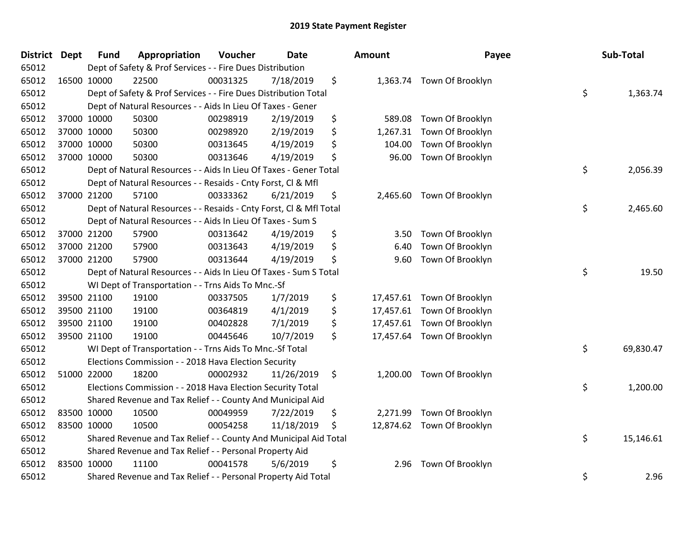| <b>District</b> | Dept | <b>Fund</b> | Appropriation                                                      | Voucher  | <b>Date</b> | <b>Amount</b>  | Payee                      | Sub-Total       |
|-----------------|------|-------------|--------------------------------------------------------------------|----------|-------------|----------------|----------------------------|-----------------|
| 65012           |      |             | Dept of Safety & Prof Services - - Fire Dues Distribution          |          |             |                |                            |                 |
| 65012           |      | 16500 10000 | 22500                                                              | 00031325 | 7/18/2019   | \$             | 1,363.74 Town Of Brooklyn  |                 |
| 65012           |      |             | Dept of Safety & Prof Services - - Fire Dues Distribution Total    |          |             |                |                            | \$<br>1,363.74  |
| 65012           |      |             | Dept of Natural Resources - - Aids In Lieu Of Taxes - Gener        |          |             |                |                            |                 |
| 65012           |      | 37000 10000 | 50300                                                              | 00298919 | 2/19/2019   | \$<br>589.08   | Town Of Brooklyn           |                 |
| 65012           |      | 37000 10000 | 50300                                                              | 00298920 | 2/19/2019   | \$<br>1,267.31 | Town Of Brooklyn           |                 |
| 65012           |      | 37000 10000 | 50300                                                              | 00313645 | 4/19/2019   | \$<br>104.00   | Town Of Brooklyn           |                 |
| 65012           |      | 37000 10000 | 50300                                                              | 00313646 | 4/19/2019   | \$<br>96.00    | Town Of Brooklyn           |                 |
| 65012           |      |             | Dept of Natural Resources - - Aids In Lieu Of Taxes - Gener Total  |          |             |                |                            | \$<br>2,056.39  |
| 65012           |      |             | Dept of Natural Resources - - Resaids - Cnty Forst, Cl & Mfl       |          |             |                |                            |                 |
| 65012           |      | 37000 21200 | 57100                                                              | 00333362 | 6/21/2019   | \$             | 2,465.60 Town Of Brooklyn  |                 |
| 65012           |      |             | Dept of Natural Resources - - Resaids - Cnty Forst, Cl & Mfl Total |          |             |                |                            | \$<br>2,465.60  |
| 65012           |      |             | Dept of Natural Resources - - Aids In Lieu Of Taxes - Sum S        |          |             |                |                            |                 |
| 65012           |      | 37000 21200 | 57900                                                              | 00313642 | 4/19/2019   | \$<br>3.50     | Town Of Brooklyn           |                 |
| 65012           |      | 37000 21200 | 57900                                                              | 00313643 | 4/19/2019   | \$<br>6.40     | Town Of Brooklyn           |                 |
| 65012           |      | 37000 21200 | 57900                                                              | 00313644 | 4/19/2019   | \$<br>9.60     | Town Of Brooklyn           |                 |
| 65012           |      |             | Dept of Natural Resources - - Aids In Lieu Of Taxes - Sum S Total  |          |             |                |                            | \$<br>19.50     |
| 65012           |      |             | WI Dept of Transportation - - Trns Aids To Mnc.-Sf                 |          |             |                |                            |                 |
| 65012           |      | 39500 21100 | 19100                                                              | 00337505 | 1/7/2019    | \$             | 17,457.61 Town Of Brooklyn |                 |
| 65012           |      | 39500 21100 | 19100                                                              | 00364819 | 4/1/2019    | \$             | 17,457.61 Town Of Brooklyn |                 |
| 65012           |      | 39500 21100 | 19100                                                              | 00402828 | 7/1/2019    | \$             | 17,457.61 Town Of Brooklyn |                 |
| 65012           |      | 39500 21100 | 19100                                                              | 00445646 | 10/7/2019   | \$             | 17,457.64 Town Of Brooklyn |                 |
| 65012           |      |             | WI Dept of Transportation - - Trns Aids To Mnc.-Sf Total           |          |             |                |                            | \$<br>69,830.47 |
| 65012           |      |             | Elections Commission - - 2018 Hava Election Security               |          |             |                |                            |                 |
| 65012           |      | 51000 22000 | 18200                                                              | 00002932 | 11/26/2019  | \$<br>1,200.00 | Town Of Brooklyn           |                 |
| 65012           |      |             | Elections Commission - - 2018 Hava Election Security Total         |          |             |                |                            | \$<br>1,200.00  |
| 65012           |      |             | Shared Revenue and Tax Relief - - County And Municipal Aid         |          |             |                |                            |                 |
| 65012           |      | 83500 10000 | 10500                                                              | 00049959 | 7/22/2019   | \$<br>2,271.99 | Town Of Brooklyn           |                 |
| 65012           |      | 83500 10000 | 10500                                                              | 00054258 | 11/18/2019  | \$             | 12,874.62 Town Of Brooklyn |                 |
| 65012           |      |             | Shared Revenue and Tax Relief - - County And Municipal Aid Total   |          |             |                |                            | \$<br>15,146.61 |
| 65012           |      |             | Shared Revenue and Tax Relief - - Personal Property Aid            |          |             |                |                            |                 |
| 65012           |      | 83500 10000 | 11100                                                              | 00041578 | 5/6/2019    | \$<br>2.96     | Town Of Brooklyn           |                 |
| 65012           |      |             | Shared Revenue and Tax Relief - - Personal Property Aid Total      |          |             |                |                            | \$<br>2.96      |

|                  |                                                                              | Sub-Total               |
|------------------|------------------------------------------------------------------------------|-------------------------|
| Town Of Brooklyn | \$                                                                           | 1,363.74                |
| Town Of Brooklyn |                                                                              |                         |
|                  |                                                                              |                         |
|                  |                                                                              |                         |
|                  | \$                                                                           | 2,056.39                |
|                  |                                                                              |                         |
| Town Of Brooklyn |                                                                              |                         |
|                  |                                                                              | 2,465.60                |
|                  |                                                                              |                         |
| Town Of Brooklyn |                                                                              |                         |
| Town Of Brooklyn |                                                                              |                         |
|                  | \$                                                                           | 19.50                   |
| Town Of Brooklyn |                                                                              |                         |
| Town Of Brooklyn |                                                                              |                         |
| Town Of Brooklyn |                                                                              |                         |
| Town Of Brooklyn |                                                                              |                         |
|                  | \$                                                                           | 69,830.47               |
| Town Of Brooklyn |                                                                              |                         |
|                  |                                                                              | 1,200.00                |
| Town Of Brooklyn |                                                                              |                         |
| Town Of Brooklyn |                                                                              |                         |
|                  |                                                                              | 15,146.61               |
| Town Of Brooklyn |                                                                              |                         |
|                  | \$                                                                           | 2.96                    |
|                  | Town Of Brooklyn<br>Town Of Brooklyn<br>Town Of Brooklyn<br>Town Of Brooklyn | Payee<br>\$<br>\$<br>\$ |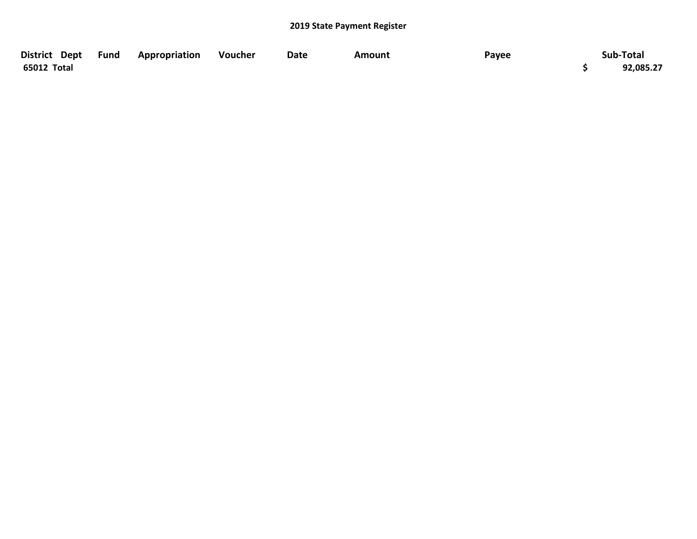| District Dept Fund | Appropriation | Voucher | <b>Date</b> | Amount | Payee | Sub-Total |
|--------------------|---------------|---------|-------------|--------|-------|-----------|
| 65012 Total        |               |         |             |        |       | 92,085.27 |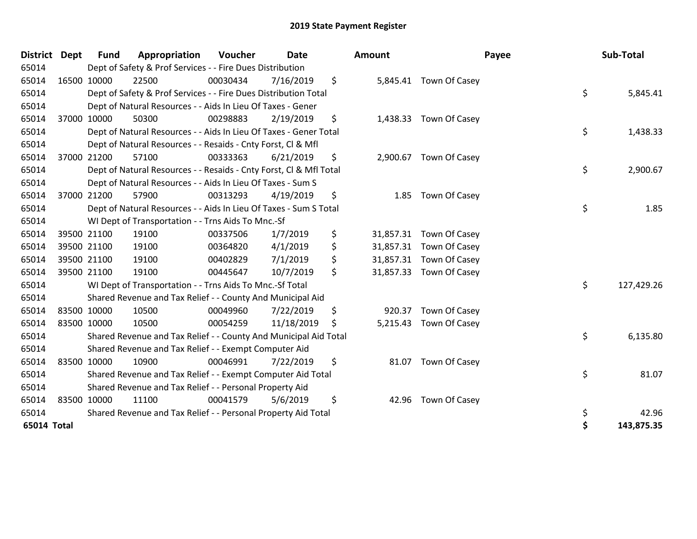| <b>District</b> | <b>Dept</b> | <b>Fund</b> | Appropriation                                                      | Voucher  | <b>Date</b> |    | Amount    |                         | Payee | Sub-Total  |
|-----------------|-------------|-------------|--------------------------------------------------------------------|----------|-------------|----|-----------|-------------------------|-------|------------|
| 65014           |             |             | Dept of Safety & Prof Services - - Fire Dues Distribution          |          |             |    |           |                         |       |            |
| 65014           | 16500 10000 |             | 22500                                                              | 00030434 | 7/16/2019   | \$ |           | 5,845.41 Town Of Casey  |       |            |
| 65014           |             |             | Dept of Safety & Prof Services - - Fire Dues Distribution Total    |          |             |    |           |                         | \$    | 5,845.41   |
| 65014           |             |             | Dept of Natural Resources - - Aids In Lieu Of Taxes - Gener        |          |             |    |           |                         |       |            |
| 65014           | 37000 10000 |             | 50300                                                              | 00298883 | 2/19/2019   | \$ |           | 1,438.33 Town Of Casey  |       |            |
| 65014           |             |             | Dept of Natural Resources - - Aids In Lieu Of Taxes - Gener Total  |          |             |    |           |                         | \$    | 1,438.33   |
| 65014           |             |             | Dept of Natural Resources - - Resaids - Cnty Forst, CI & Mfl       |          |             |    |           |                         |       |            |
| 65014           | 37000 21200 |             | 57100                                                              | 00333363 | 6/21/2019   | \$ |           | 2,900.67 Town Of Casey  |       |            |
| 65014           |             |             | Dept of Natural Resources - - Resaids - Cnty Forst, CI & Mfl Total |          |             |    |           |                         | \$    | 2,900.67   |
| 65014           |             |             | Dept of Natural Resources - - Aids In Lieu Of Taxes - Sum S        |          |             |    |           |                         |       |            |
| 65014           | 37000 21200 |             | 57900                                                              | 00313293 | 4/19/2019   | \$ | 1.85      | Town Of Casey           |       |            |
| 65014           |             |             | Dept of Natural Resources - - Aids In Lieu Of Taxes - Sum S Total  |          |             |    |           |                         | \$    | 1.85       |
| 65014           |             |             | WI Dept of Transportation - - Trns Aids To Mnc.-Sf                 |          |             |    |           |                         |       |            |
| 65014           |             | 39500 21100 | 19100                                                              | 00337506 | 1/7/2019    | \$ | 31,857.31 | Town Of Casey           |       |            |
| 65014           | 39500 21100 |             | 19100                                                              | 00364820 | 4/1/2019    | \$ |           | 31,857.31 Town Of Casey |       |            |
| 65014           | 39500 21100 |             | 19100                                                              | 00402829 | 7/1/2019    | \$ |           | 31,857.31 Town Of Casey |       |            |
| 65014           | 39500 21100 |             | 19100                                                              | 00445647 | 10/7/2019   | \$ |           | 31,857.33 Town Of Casey |       |            |
| 65014           |             |             | WI Dept of Transportation - - Trns Aids To Mnc.-Sf Total           |          |             |    |           |                         | \$    | 127,429.26 |
| 65014           |             |             | Shared Revenue and Tax Relief - - County And Municipal Aid         |          |             |    |           |                         |       |            |
| 65014           | 83500 10000 |             | 10500                                                              | 00049960 | 7/22/2019   | \$ |           | 920.37 Town Of Casey    |       |            |
| 65014           | 83500 10000 |             | 10500                                                              | 00054259 | 11/18/2019  | S  |           | 5,215.43 Town Of Casey  |       |            |
| 65014           |             |             | Shared Revenue and Tax Relief - - County And Municipal Aid Total   |          |             |    |           |                         | \$    | 6,135.80   |
| 65014           |             |             | Shared Revenue and Tax Relief - - Exempt Computer Aid              |          |             |    |           |                         |       |            |
| 65014           | 83500 10000 |             | 10900                                                              | 00046991 | 7/22/2019   | \$ |           | 81.07 Town Of Casey     |       |            |
| 65014           |             |             | Shared Revenue and Tax Relief - - Exempt Computer Aid Total        |          |             |    |           |                         | \$    | 81.07      |
| 65014           |             |             | Shared Revenue and Tax Relief - - Personal Property Aid            |          |             |    |           |                         |       |            |
| 65014           | 83500 10000 |             | 11100                                                              | 00041579 | 5/6/2019    | \$ | 42.96     | Town Of Casey           |       |            |
| 65014           |             |             | Shared Revenue and Tax Relief - - Personal Property Aid Total      |          |             |    |           |                         | \$    | 42.96      |
| 65014 Total     |             |             |                                                                    |          |             |    |           |                         | \$    | 143,875.35 |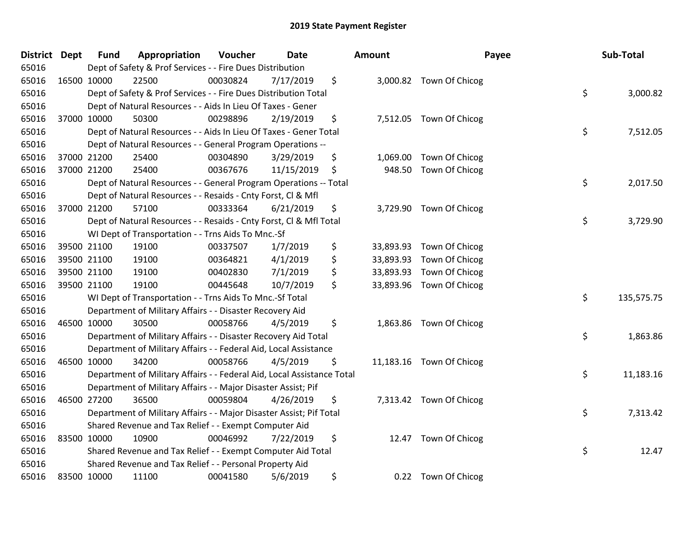| <b>District</b> | <b>Dept</b> | <b>Fund</b> | Appropriation                                                          | Voucher  | <b>Date</b> | Amount          |                          | Payee | Sub-Total  |
|-----------------|-------------|-------------|------------------------------------------------------------------------|----------|-------------|-----------------|--------------------------|-------|------------|
| 65016           |             |             | Dept of Safety & Prof Services - - Fire Dues Distribution              |          |             |                 |                          |       |            |
| 65016           | 16500 10000 |             | 22500                                                                  | 00030824 | 7/17/2019   | \$              | 3,000.82 Town Of Chicog  |       |            |
| 65016           |             |             | Dept of Safety & Prof Services - - Fire Dues Distribution Total        |          |             |                 |                          | \$    | 3,000.82   |
| 65016           |             |             | Dept of Natural Resources - - Aids In Lieu Of Taxes - Gener            |          |             |                 |                          |       |            |
| 65016           |             | 37000 10000 | 50300                                                                  | 00298896 | 2/19/2019   | \$              | 7,512.05 Town Of Chicog  |       |            |
| 65016           |             |             | Dept of Natural Resources - - Aids In Lieu Of Taxes - Gener Total      |          |             |                 |                          | \$    | 7,512.05   |
| 65016           |             |             | Dept of Natural Resources - - General Program Operations --            |          |             |                 |                          |       |            |
| 65016           |             | 37000 21200 | 25400                                                                  | 00304890 | 3/29/2019   | \$<br>1,069.00  | Town Of Chicog           |       |            |
| 65016           |             | 37000 21200 | 25400                                                                  | 00367676 | 11/15/2019  | \$<br>948.50    | Town Of Chicog           |       |            |
| 65016           |             |             | Dept of Natural Resources - - General Program Operations -- Total      |          |             |                 |                          | \$    | 2,017.50   |
| 65016           |             |             | Dept of Natural Resources - - Resaids - Cnty Forst, Cl & Mfl           |          |             |                 |                          |       |            |
| 65016           |             | 37000 21200 | 57100                                                                  | 00333364 | 6/21/2019   | \$              | 3,729.90 Town Of Chicog  |       |            |
| 65016           |             |             | Dept of Natural Resources - - Resaids - Cnty Forst, CI & Mfl Total     |          |             |                 |                          | \$    | 3,729.90   |
| 65016           |             |             | WI Dept of Transportation - - Trns Aids To Mnc.-Sf                     |          |             |                 |                          |       |            |
| 65016           |             | 39500 21100 | 19100                                                                  | 00337507 | 1/7/2019    | \$<br>33,893.93 | Town Of Chicog           |       |            |
| 65016           |             | 39500 21100 | 19100                                                                  | 00364821 | 4/1/2019    | \$<br>33,893.93 | Town Of Chicog           |       |            |
| 65016           |             | 39500 21100 | 19100                                                                  | 00402830 | 7/1/2019    | \$<br>33,893.93 | Town Of Chicog           |       |            |
| 65016           |             | 39500 21100 | 19100                                                                  | 00445648 | 10/7/2019   | \$<br>33,893.96 | Town Of Chicog           |       |            |
| 65016           |             |             | WI Dept of Transportation - - Trns Aids To Mnc.-Sf Total               |          |             |                 |                          | \$    | 135,575.75 |
| 65016           |             |             | Department of Military Affairs - - Disaster Recovery Aid               |          |             |                 |                          |       |            |
| 65016           |             | 46500 10000 | 30500                                                                  | 00058766 | 4/5/2019    | \$              | 1,863.86 Town Of Chicog  |       |            |
| 65016           |             |             | Department of Military Affairs - - Disaster Recovery Aid Total         |          |             |                 |                          | \$    | 1,863.86   |
| 65016           |             |             | Department of Military Affairs - - Federal Aid, Local Assistance       |          |             |                 |                          |       |            |
| 65016           |             | 46500 10000 | 34200                                                                  | 00058766 | 4/5/2019    | \$              | 11,183.16 Town Of Chicog |       |            |
| 65016           |             |             | Department of Military Affairs - - Federal Aid, Local Assistance Total |          |             |                 |                          | \$    | 11,183.16  |
| 65016           |             |             | Department of Military Affairs - - Major Disaster Assist; Pif          |          |             |                 |                          |       |            |
| 65016           | 46500 27200 |             | 36500                                                                  | 00059804 | 4/26/2019   | \$              | 7,313.42 Town Of Chicog  |       |            |
| 65016           |             |             | Department of Military Affairs - - Major Disaster Assist; Pif Total    |          |             |                 |                          | \$    | 7,313.42   |
| 65016           |             |             | Shared Revenue and Tax Relief - - Exempt Computer Aid                  |          |             |                 |                          |       |            |
| 65016           | 83500 10000 |             | 10900                                                                  | 00046992 | 7/22/2019   | \$<br>12.47     | Town Of Chicog           |       |            |
| 65016           |             |             | Shared Revenue and Tax Relief - - Exempt Computer Aid Total            |          |             |                 |                          | \$    | 12.47      |
| 65016           |             |             | Shared Revenue and Tax Relief - - Personal Property Aid                |          |             |                 |                          |       |            |
| 65016           | 83500 10000 |             | 11100                                                                  | 00041580 | 5/6/2019    | \$<br>0.22      | Town Of Chicog           |       |            |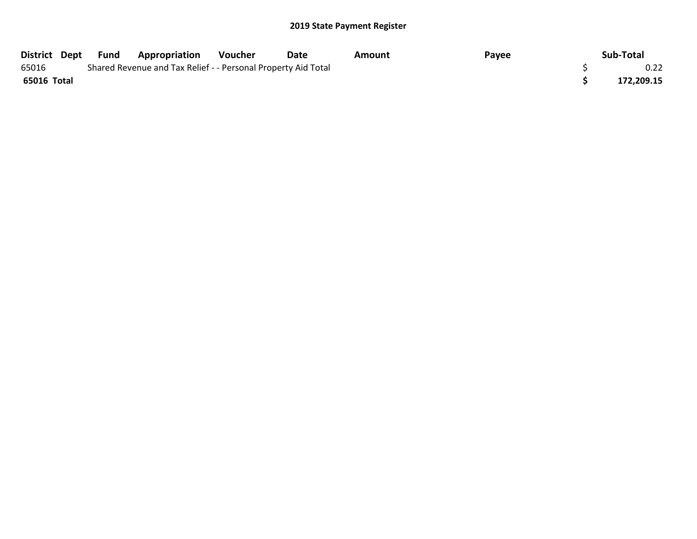|             | District Dept Fund | Appropriation                                                 | Voucher | Date | Amount | Payee | Sub-Total  |
|-------------|--------------------|---------------------------------------------------------------|---------|------|--------|-------|------------|
| 65016       |                    | Shared Revenue and Tax Relief - - Personal Property Aid Total |         |      |        |       | 0.22       |
| 65016 Total |                    |                                                               |         |      |        |       | 172,209.15 |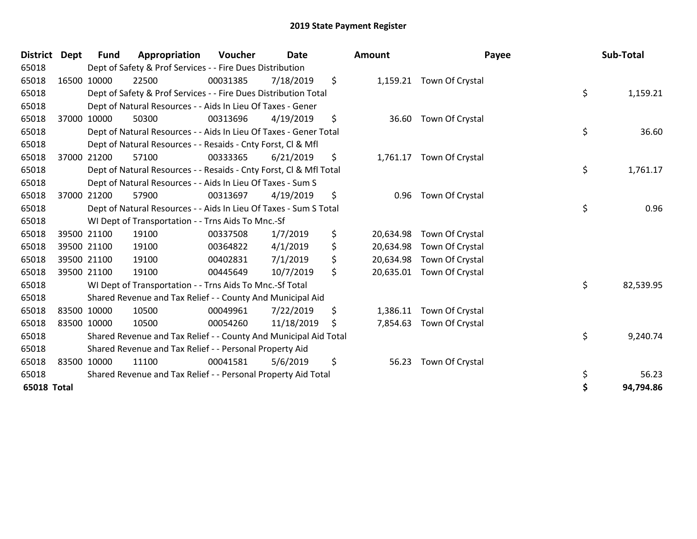| <b>District</b>    | Dept | Fund        | Appropriation                                                      | Voucher  | <b>Date</b> |    | Amount    | Payee                     | Sub-Total       |
|--------------------|------|-------------|--------------------------------------------------------------------|----------|-------------|----|-----------|---------------------------|-----------------|
| 65018              |      |             | Dept of Safety & Prof Services - - Fire Dues Distribution          |          |             |    |           |                           |                 |
| 65018              |      | 16500 10000 | 22500                                                              | 00031385 | 7/18/2019   | \$ |           | 1,159.21 Town Of Crystal  |                 |
| 65018              |      |             | Dept of Safety & Prof Services - - Fire Dues Distribution Total    |          |             |    |           |                           | \$<br>1,159.21  |
| 65018              |      |             | Dept of Natural Resources - - Aids In Lieu Of Taxes - Gener        |          |             |    |           |                           |                 |
| 65018              |      | 37000 10000 | 50300                                                              | 00313696 | 4/19/2019   | \$ |           | 36.60 Town Of Crystal     |                 |
| 65018              |      |             | Dept of Natural Resources - - Aids In Lieu Of Taxes - Gener Total  |          |             |    |           |                           | \$<br>36.60     |
| 65018              |      |             | Dept of Natural Resources - - Resaids - Cnty Forst, CI & Mfl       |          |             |    |           |                           |                 |
| 65018              |      | 37000 21200 | 57100                                                              | 00333365 | 6/21/2019   | \$ |           | 1,761.17 Town Of Crystal  |                 |
| 65018              |      |             | Dept of Natural Resources - - Resaids - Cnty Forst, CI & Mfl Total |          |             |    |           |                           | \$<br>1,761.17  |
| 65018              |      |             | Dept of Natural Resources - - Aids In Lieu Of Taxes - Sum S        |          |             |    |           |                           |                 |
| 65018              |      | 37000 21200 | 57900                                                              | 00313697 | 4/19/2019   | \$ | 0.96      | Town Of Crystal           |                 |
| 65018              |      |             | Dept of Natural Resources - - Aids In Lieu Of Taxes - Sum S Total  |          |             |    |           |                           | \$<br>0.96      |
| 65018              |      |             | WI Dept of Transportation - - Trns Aids To Mnc.-Sf                 |          |             |    |           |                           |                 |
| 65018              |      | 39500 21100 | 19100                                                              | 00337508 | 1/7/2019    | \$ | 20,634.98 | Town Of Crystal           |                 |
| 65018              |      | 39500 21100 | 19100                                                              | 00364822 | 4/1/2019    | \$ | 20,634.98 | Town Of Crystal           |                 |
| 65018              |      | 39500 21100 | 19100                                                              | 00402831 | 7/1/2019    | \$ | 20,634.98 | Town Of Crystal           |                 |
| 65018              |      | 39500 21100 | 19100                                                              | 00445649 | 10/7/2019   | \$ |           | 20,635.01 Town Of Crystal |                 |
| 65018              |      |             | WI Dept of Transportation - - Trns Aids To Mnc.-Sf Total           |          |             |    |           |                           | \$<br>82,539.95 |
| 65018              |      |             | Shared Revenue and Tax Relief - - County And Municipal Aid         |          |             |    |           |                           |                 |
| 65018              |      | 83500 10000 | 10500                                                              | 00049961 | 7/22/2019   | \$ |           | 1,386.11 Town Of Crystal  |                 |
| 65018              |      | 83500 10000 | 10500                                                              | 00054260 | 11/18/2019  | S  |           | 7,854.63 Town Of Crystal  |                 |
| 65018              |      |             | Shared Revenue and Tax Relief - - County And Municipal Aid Total   |          |             |    |           |                           | \$<br>9,240.74  |
| 65018              |      |             | Shared Revenue and Tax Relief - - Personal Property Aid            |          |             |    |           |                           |                 |
| 65018              |      | 83500 10000 | 11100                                                              | 00041581 | 5/6/2019    | \$ | 56.23     | Town Of Crystal           |                 |
| 65018              |      |             | Shared Revenue and Tax Relief - - Personal Property Aid Total      |          |             |    |           |                           | \$<br>56.23     |
| <b>65018 Total</b> |      |             |                                                                    |          |             |    |           |                           | 94,794.86       |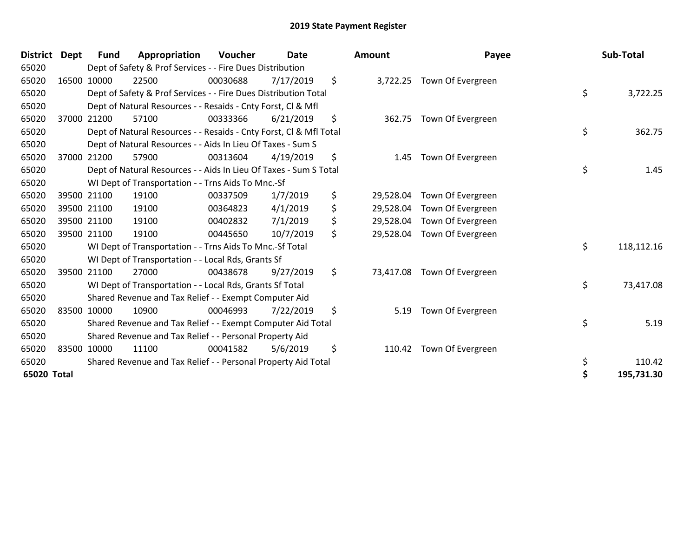| <b>District</b> | <b>Dept</b> | Fund        | Appropriation                                                      | Voucher  | <b>Date</b> | Amount          | Payee                      | Sub-Total        |
|-----------------|-------------|-------------|--------------------------------------------------------------------|----------|-------------|-----------------|----------------------------|------------------|
| 65020           |             |             | Dept of Safety & Prof Services - - Fire Dues Distribution          |          |             |                 |                            |                  |
| 65020           |             | 16500 10000 | 22500                                                              | 00030688 | 7/17/2019   | \$              | 3,722.25 Town Of Evergreen |                  |
| 65020           |             |             | Dept of Safety & Prof Services - - Fire Dues Distribution Total    |          |             |                 |                            | \$<br>3,722.25   |
| 65020           |             |             | Dept of Natural Resources - - Resaids - Cnty Forst, CI & Mfl       |          |             |                 |                            |                  |
| 65020           |             | 37000 21200 | 57100                                                              | 00333366 | 6/21/2019   | \$<br>362.75    | Town Of Evergreen          |                  |
| 65020           |             |             | Dept of Natural Resources - - Resaids - Cnty Forst, Cl & Mfl Total |          |             |                 |                            | \$<br>362.75     |
| 65020           |             |             | Dept of Natural Resources - - Aids In Lieu Of Taxes - Sum S        |          |             |                 |                            |                  |
| 65020           |             | 37000 21200 | 57900                                                              | 00313604 | 4/19/2019   | \$<br>1.45      | Town Of Evergreen          |                  |
| 65020           |             |             | Dept of Natural Resources - - Aids In Lieu Of Taxes - Sum S Total  |          |             |                 |                            | \$<br>1.45       |
| 65020           |             |             | WI Dept of Transportation - - Trns Aids To Mnc.-Sf                 |          |             |                 |                            |                  |
| 65020           |             | 39500 21100 | 19100                                                              | 00337509 | 1/7/2019    | \$<br>29,528.04 | Town Of Evergreen          |                  |
| 65020           |             | 39500 21100 | 19100                                                              | 00364823 | 4/1/2019    | \$<br>29,528.04 | Town Of Evergreen          |                  |
| 65020           |             | 39500 21100 | 19100                                                              | 00402832 | 7/1/2019    | \$<br>29,528.04 | Town Of Evergreen          |                  |
| 65020           |             | 39500 21100 | 19100                                                              | 00445650 | 10/7/2019   | \$<br>29,528.04 | Town Of Evergreen          |                  |
| 65020           |             |             | WI Dept of Transportation - - Trns Aids To Mnc.-Sf Total           |          |             |                 |                            | \$<br>118,112.16 |
| 65020           |             |             | WI Dept of Transportation - - Local Rds, Grants Sf                 |          |             |                 |                            |                  |
| 65020           |             | 39500 21100 | 27000                                                              | 00438678 | 9/27/2019   | \$<br>73,417.08 | Town Of Evergreen          |                  |
| 65020           |             |             | WI Dept of Transportation - - Local Rds, Grants Sf Total           |          |             |                 |                            | \$<br>73,417.08  |
| 65020           |             |             | Shared Revenue and Tax Relief - - Exempt Computer Aid              |          |             |                 |                            |                  |
| 65020           |             | 83500 10000 | 10900                                                              | 00046993 | 7/22/2019   | \$<br>5.19      | Town Of Evergreen          |                  |
| 65020           |             |             | Shared Revenue and Tax Relief - - Exempt Computer Aid Total        |          |             |                 |                            | \$<br>5.19       |
| 65020           |             |             | Shared Revenue and Tax Relief - - Personal Property Aid            |          |             |                 |                            |                  |
| 65020           |             | 83500 10000 | 11100                                                              | 00041582 | 5/6/2019    | \$<br>110.42    | Town Of Evergreen          |                  |
| 65020           |             |             | Shared Revenue and Tax Relief - - Personal Property Aid Total      |          |             |                 |                            | \$<br>110.42     |
| 65020 Total     |             |             |                                                                    |          |             |                 |                            | 195,731.30       |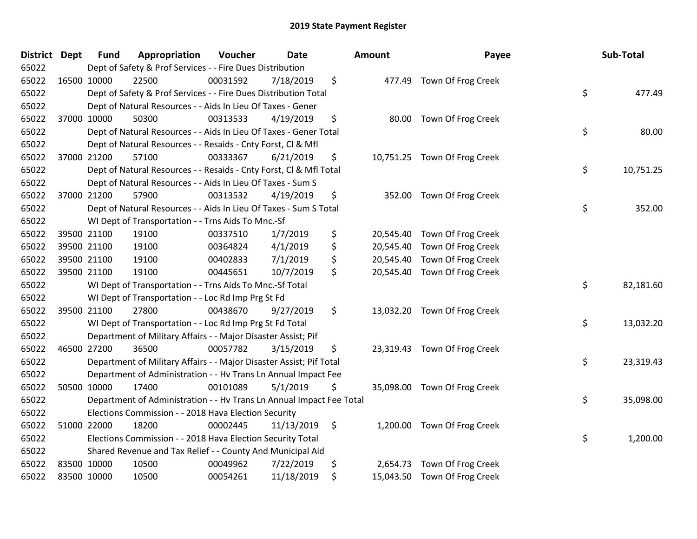| <b>District Dept</b> |             | <b>Fund</b> | Appropriation                                                        | Voucher  | <b>Date</b> | <b>Amount</b> | Payee                        | Sub-Total       |
|----------------------|-------------|-------------|----------------------------------------------------------------------|----------|-------------|---------------|------------------------------|-----------------|
| 65022                |             |             | Dept of Safety & Prof Services - - Fire Dues Distribution            |          |             |               |                              |                 |
| 65022                | 16500 10000 |             | 22500                                                                | 00031592 | 7/18/2019   | \$            | 477.49 Town Of Frog Creek    |                 |
| 65022                |             |             | Dept of Safety & Prof Services - - Fire Dues Distribution Total      |          |             |               |                              | \$<br>477.49    |
| 65022                |             |             | Dept of Natural Resources - - Aids In Lieu Of Taxes - Gener          |          |             |               |                              |                 |
| 65022                |             | 37000 10000 | 50300                                                                | 00313533 | 4/19/2019   | \$            | 80.00 Town Of Frog Creek     |                 |
| 65022                |             |             | Dept of Natural Resources - - Aids In Lieu Of Taxes - Gener Total    |          |             |               |                              | \$<br>80.00     |
| 65022                |             |             | Dept of Natural Resources - - Resaids - Cnty Forst, Cl & Mfl         |          |             |               |                              |                 |
| 65022                |             | 37000 21200 | 57100                                                                | 00333367 | 6/21/2019   | \$            | 10,751.25 Town Of Frog Creek |                 |
| 65022                |             |             | Dept of Natural Resources - - Resaids - Cnty Forst, CI & Mfl Total   |          |             |               |                              | \$<br>10,751.25 |
| 65022                |             |             | Dept of Natural Resources - - Aids In Lieu Of Taxes - Sum S          |          |             |               |                              |                 |
| 65022                |             | 37000 21200 | 57900                                                                | 00313532 | 4/19/2019   | \$            | 352.00 Town Of Frog Creek    |                 |
| 65022                |             |             | Dept of Natural Resources - - Aids In Lieu Of Taxes - Sum S Total    |          |             |               |                              | \$<br>352.00    |
| 65022                |             |             | WI Dept of Transportation - - Trns Aids To Mnc.-Sf                   |          |             |               |                              |                 |
| 65022                |             | 39500 21100 | 19100                                                                | 00337510 | 1/7/2019    | \$            | 20,545.40 Town Of Frog Creek |                 |
| 65022                |             | 39500 21100 | 19100                                                                | 00364824 | 4/1/2019    | \$            | 20,545.40 Town Of Frog Creek |                 |
| 65022                |             | 39500 21100 | 19100                                                                | 00402833 | 7/1/2019    | \$            | 20,545.40 Town Of Frog Creek |                 |
| 65022                |             | 39500 21100 | 19100                                                                | 00445651 | 10/7/2019   | \$            | 20,545.40 Town Of Frog Creek |                 |
| 65022                |             |             | WI Dept of Transportation - - Trns Aids To Mnc.-Sf Total             |          |             |               |                              | \$<br>82,181.60 |
| 65022                |             |             | WI Dept of Transportation - - Loc Rd Imp Prg St Fd                   |          |             |               |                              |                 |
| 65022                |             | 39500 21100 | 27800                                                                | 00438670 | 9/27/2019   | \$            | 13,032.20 Town Of Frog Creek |                 |
| 65022                |             |             | WI Dept of Transportation - - Loc Rd Imp Prg St Fd Total             |          |             |               |                              | \$<br>13,032.20 |
| 65022                |             |             | Department of Military Affairs - - Major Disaster Assist; Pif        |          |             |               |                              |                 |
| 65022                |             | 46500 27200 | 36500                                                                | 00057782 | 3/15/2019   | \$            | 23,319.43 Town Of Frog Creek |                 |
| 65022                |             |             | Department of Military Affairs - - Major Disaster Assist; Pif Total  |          |             |               |                              | \$<br>23,319.43 |
| 65022                |             |             | Department of Administration - - Hv Trans Ln Annual Impact Fee       |          |             |               |                              |                 |
| 65022                |             | 50500 10000 | 17400                                                                | 00101089 | 5/1/2019    | \$            | 35,098.00 Town Of Frog Creek |                 |
| 65022                |             |             | Department of Administration - - Hv Trans Ln Annual Impact Fee Total |          |             |               |                              | \$<br>35,098.00 |
| 65022                |             |             | Elections Commission - - 2018 Hava Election Security                 |          |             |               |                              |                 |
| 65022                |             | 51000 22000 | 18200                                                                | 00002445 | 11/13/2019  | \$            | 1,200.00 Town Of Frog Creek  |                 |
| 65022                |             |             | Elections Commission - - 2018 Hava Election Security Total           |          |             |               |                              | \$<br>1,200.00  |
| 65022                |             |             | Shared Revenue and Tax Relief - - County And Municipal Aid           |          |             |               |                              |                 |
| 65022                | 83500 10000 |             | 10500                                                                | 00049962 | 7/22/2019   | \$            | 2,654.73 Town Of Frog Creek  |                 |
| 65022                | 83500 10000 |             | 10500                                                                | 00054261 | 11/18/2019  | \$            | 15,043.50 Town Of Frog Creek |                 |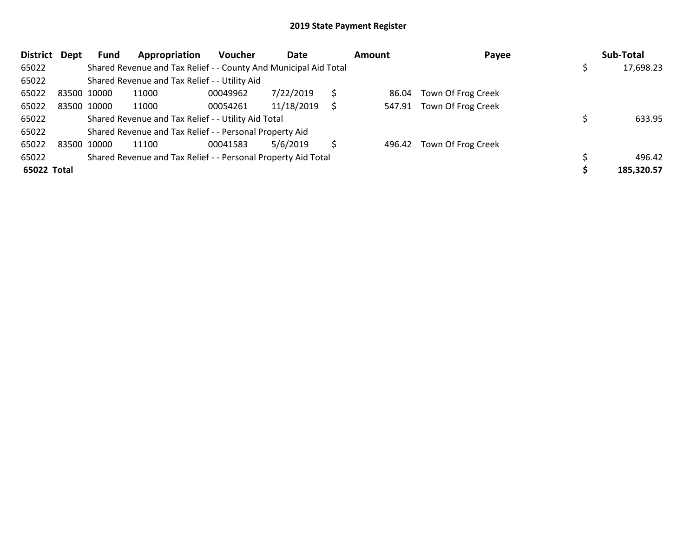| <b>District</b> | Dept        | Fund        | Appropriation                                                    | <b>Voucher</b> | Date       |    | <b>Amount</b> | Payee                     | Sub-Total  |
|-----------------|-------------|-------------|------------------------------------------------------------------|----------------|------------|----|---------------|---------------------------|------------|
| 65022           |             |             | Shared Revenue and Tax Relief - - County And Municipal Aid Total |                |            |    |               |                           | 17,698.23  |
| 65022           |             |             | Shared Revenue and Tax Relief - - Utility Aid                    |                |            |    |               |                           |            |
| 65022           | 83500 10000 |             | 11000                                                            | 00049962       | 7/22/2019  | S  | 86.04         | Town Of Frog Creek        |            |
| 65022           |             | 83500 10000 | 11000                                                            | 00054261       | 11/18/2019 | Ś  |               | 547.91 Town Of Frog Creek |            |
| 65022           |             |             | Shared Revenue and Tax Relief - - Utility Aid Total              |                |            |    |               |                           | 633.95     |
| 65022           |             |             | Shared Revenue and Tax Relief - - Personal Property Aid          |                |            |    |               |                           |            |
| 65022           | 83500 10000 |             | 11100                                                            | 00041583       | 5/6/2019   | S. |               | 496.42 Town Of Frog Creek |            |
| 65022           |             |             | Shared Revenue and Tax Relief - - Personal Property Aid Total    |                |            |    |               |                           | 496.42     |
| 65022 Total     |             |             |                                                                  |                |            |    |               |                           | 185,320.57 |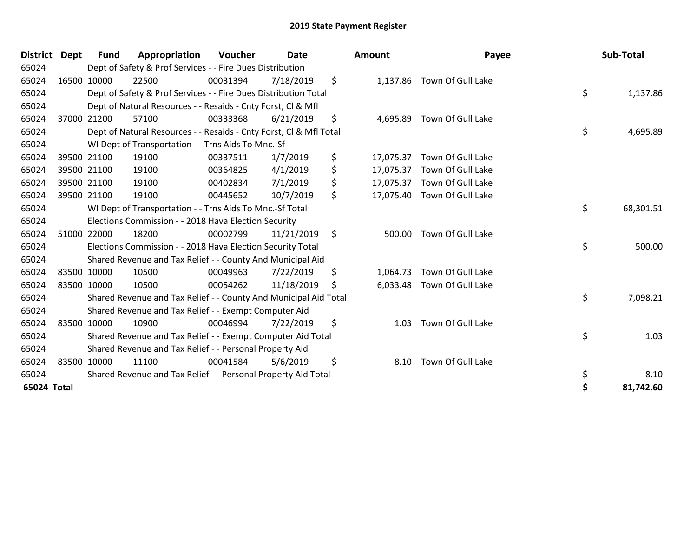| <b>District</b> | <b>Dept</b> | <b>Fund</b> | Appropriation                                                      | Voucher  | <b>Date</b> |         | Amount    | Payee                       | Sub-Total       |
|-----------------|-------------|-------------|--------------------------------------------------------------------|----------|-------------|---------|-----------|-----------------------------|-----------------|
| 65024           |             |             | Dept of Safety & Prof Services - - Fire Dues Distribution          |          |             |         |           |                             |                 |
| 65024           |             | 16500 10000 | 22500                                                              | 00031394 | 7/18/2019   | \$      | 1,137.86  | Town Of Gull Lake           |                 |
| 65024           |             |             | Dept of Safety & Prof Services - - Fire Dues Distribution Total    |          |             |         |           |                             | \$<br>1,137.86  |
| 65024           |             |             | Dept of Natural Resources - - Resaids - Cnty Forst, CI & Mfl       |          |             |         |           |                             |                 |
| 65024           |             | 37000 21200 | 57100                                                              | 00333368 | 6/21/2019   | \$      | 4,695.89  | Town Of Gull Lake           |                 |
| 65024           |             |             | Dept of Natural Resources - - Resaids - Cnty Forst, CI & Mfl Total |          |             |         |           |                             | \$<br>4,695.89  |
| 65024           |             |             | WI Dept of Transportation - - Trns Aids To Mnc.-Sf                 |          |             |         |           |                             |                 |
| 65024           |             | 39500 21100 | 19100                                                              | 00337511 | 1/7/2019    | \$      | 17,075.37 | Town Of Gull Lake           |                 |
| 65024           |             | 39500 21100 | 19100                                                              | 00364825 | 4/1/2019    | \$      | 17,075.37 | Town Of Gull Lake           |                 |
| 65024           |             | 39500 21100 | 19100                                                              | 00402834 | 7/1/2019    | \$      |           | 17,075.37 Town Of Gull Lake |                 |
| 65024           |             | 39500 21100 | 19100                                                              | 00445652 | 10/7/2019   | \$      |           | 17,075.40 Town Of Gull Lake |                 |
| 65024           |             |             | WI Dept of Transportation - - Trns Aids To Mnc.-Sf Total           |          |             |         |           |                             | \$<br>68,301.51 |
| 65024           |             |             | Elections Commission - - 2018 Hava Election Security               |          |             |         |           |                             |                 |
| 65024           |             | 51000 22000 | 18200                                                              | 00002799 | 11/21/2019  | $\zeta$ | 500.00    | Town Of Gull Lake           |                 |
| 65024           |             |             | Elections Commission - - 2018 Hava Election Security Total         |          |             |         |           |                             | \$<br>500.00    |
| 65024           |             |             | Shared Revenue and Tax Relief - - County And Municipal Aid         |          |             |         |           |                             |                 |
| 65024           |             | 83500 10000 | 10500                                                              | 00049963 | 7/22/2019   | \$      | 1,064.73  | Town Of Gull Lake           |                 |
| 65024           |             | 83500 10000 | 10500                                                              | 00054262 | 11/18/2019  | S       | 6,033.48  | Town Of Gull Lake           |                 |
| 65024           |             |             | Shared Revenue and Tax Relief - - County And Municipal Aid Total   |          |             |         |           |                             | \$<br>7,098.21  |
| 65024           |             |             | Shared Revenue and Tax Relief - - Exempt Computer Aid              |          |             |         |           |                             |                 |
| 65024           |             | 83500 10000 | 10900                                                              | 00046994 | 7/22/2019   | \$      | 1.03      | Town Of Gull Lake           |                 |
| 65024           |             |             | Shared Revenue and Tax Relief - - Exempt Computer Aid Total        |          |             |         |           |                             | \$<br>1.03      |
| 65024           |             |             | Shared Revenue and Tax Relief - - Personal Property Aid            |          |             |         |           |                             |                 |
| 65024           |             | 83500 10000 | 11100                                                              | 00041584 | 5/6/2019    | \$      | 8.10      | Town Of Gull Lake           |                 |
| 65024           |             |             | Shared Revenue and Tax Relief - - Personal Property Aid Total      |          |             |         |           |                             | \$<br>8.10      |
| 65024 Total     |             |             |                                                                    |          |             |         |           |                             | 81,742.60       |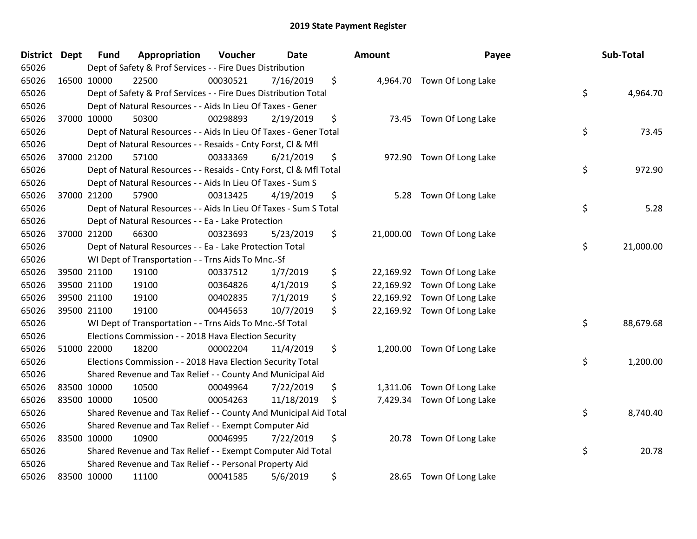| <b>District</b> | <b>Dept</b> | <b>Fund</b> | Appropriation                                                      | Voucher  | Date       | Amount         | Payee                       | Sub-Total       |
|-----------------|-------------|-------------|--------------------------------------------------------------------|----------|------------|----------------|-----------------------------|-----------------|
| 65026           |             |             | Dept of Safety & Prof Services - - Fire Dues Distribution          |          |            |                |                             |                 |
| 65026           |             | 16500 10000 | 22500                                                              | 00030521 | 7/16/2019  | \$             | 4,964.70 Town Of Long Lake  |                 |
| 65026           |             |             | Dept of Safety & Prof Services - - Fire Dues Distribution Total    |          |            |                |                             | \$<br>4,964.70  |
| 65026           |             |             | Dept of Natural Resources - - Aids In Lieu Of Taxes - Gener        |          |            |                |                             |                 |
| 65026           |             | 37000 10000 | 50300                                                              | 00298893 | 2/19/2019  | \$             | 73.45 Town Of Long Lake     |                 |
| 65026           |             |             | Dept of Natural Resources - - Aids In Lieu Of Taxes - Gener Total  |          |            |                |                             | \$<br>73.45     |
| 65026           |             |             | Dept of Natural Resources - - Resaids - Cnty Forst, Cl & Mfl       |          |            |                |                             |                 |
| 65026           |             | 37000 21200 | 57100                                                              | 00333369 | 6/21/2019  | \$             | 972.90 Town Of Long Lake    |                 |
| 65026           |             |             | Dept of Natural Resources - - Resaids - Cnty Forst, CI & Mfl Total |          |            |                |                             | \$<br>972.90    |
| 65026           |             |             | Dept of Natural Resources - - Aids In Lieu Of Taxes - Sum S        |          |            |                |                             |                 |
| 65026           |             | 37000 21200 | 57900                                                              | 00313425 | 4/19/2019  | \$<br>5.28     | Town Of Long Lake           |                 |
| 65026           |             |             | Dept of Natural Resources - - Aids In Lieu Of Taxes - Sum S Total  |          |            |                |                             | \$<br>5.28      |
| 65026           |             |             | Dept of Natural Resources - - Ea - Lake Protection                 |          |            |                |                             |                 |
| 65026           |             | 37000 21200 | 66300                                                              | 00323693 | 5/23/2019  | \$             | 21,000.00 Town Of Long Lake |                 |
| 65026           |             |             | Dept of Natural Resources - - Ea - Lake Protection Total           |          |            |                |                             | \$<br>21,000.00 |
| 65026           |             |             | WI Dept of Transportation - - Trns Aids To Mnc.-Sf                 |          |            |                |                             |                 |
| 65026           |             | 39500 21100 | 19100                                                              | 00337512 | 1/7/2019   | \$             | 22,169.92 Town Of Long Lake |                 |
| 65026           |             | 39500 21100 | 19100                                                              | 00364826 | 4/1/2019   | \$             | 22,169.92 Town Of Long Lake |                 |
| 65026           |             | 39500 21100 | 19100                                                              | 00402835 | 7/1/2019   | \$             | 22,169.92 Town Of Long Lake |                 |
| 65026           |             | 39500 21100 | 19100                                                              | 00445653 | 10/7/2019  | \$             | 22,169.92 Town Of Long Lake |                 |
| 65026           |             |             | WI Dept of Transportation - - Trns Aids To Mnc.-Sf Total           |          |            |                |                             | \$<br>88,679.68 |
| 65026           |             |             | Elections Commission - - 2018 Hava Election Security               |          |            |                |                             |                 |
| 65026           |             | 51000 22000 | 18200                                                              | 00002204 | 11/4/2019  | \$             | 1,200.00 Town Of Long Lake  |                 |
| 65026           |             |             | Elections Commission - - 2018 Hava Election Security Total         |          |            |                |                             | \$<br>1,200.00  |
| 65026           |             |             | Shared Revenue and Tax Relief - - County And Municipal Aid         |          |            |                |                             |                 |
| 65026           | 83500 10000 |             | 10500                                                              | 00049964 | 7/22/2019  | \$<br>1,311.06 | Town Of Long Lake           |                 |
| 65026           |             | 83500 10000 | 10500                                                              | 00054263 | 11/18/2019 | \$             | 7,429.34 Town Of Long Lake  |                 |
| 65026           |             |             | Shared Revenue and Tax Relief - - County And Municipal Aid Total   |          |            |                |                             | \$<br>8,740.40  |
| 65026           |             |             | Shared Revenue and Tax Relief - - Exempt Computer Aid              |          |            |                |                             |                 |
| 65026           |             | 83500 10000 | 10900                                                              | 00046995 | 7/22/2019  | \$             | 20.78 Town Of Long Lake     |                 |
| 65026           |             |             | Shared Revenue and Tax Relief - - Exempt Computer Aid Total        |          |            |                |                             | \$<br>20.78     |
| 65026           |             |             | Shared Revenue and Tax Relief - - Personal Property Aid            |          |            |                |                             |                 |
| 65026           |             | 83500 10000 | 11100                                                              | 00041585 | 5/6/2019   | \$             | 28.65 Town Of Long Lake     |                 |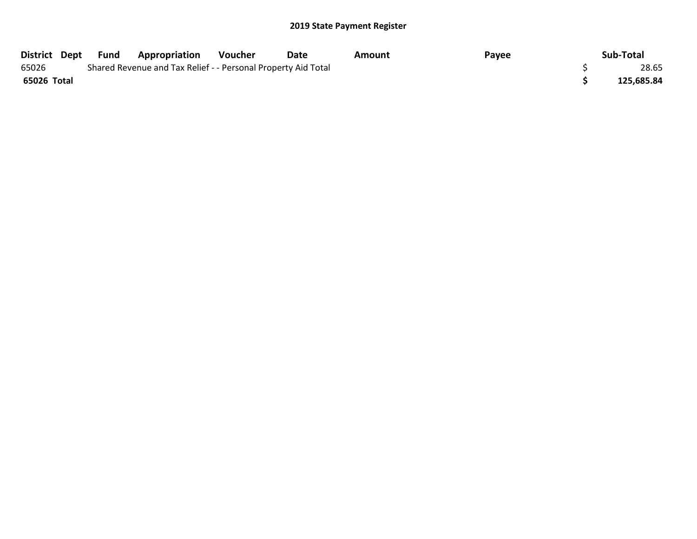| District Dept Fund |  | Appropriation                                                 | Voucher | Date | Amount | Payee | Sub-Total  |
|--------------------|--|---------------------------------------------------------------|---------|------|--------|-------|------------|
| 65026              |  | Shared Revenue and Tax Relief - - Personal Property Aid Total |         |      |        |       | 28.65      |
| 65026 Total        |  |                                                               |         |      |        |       | 125,685.84 |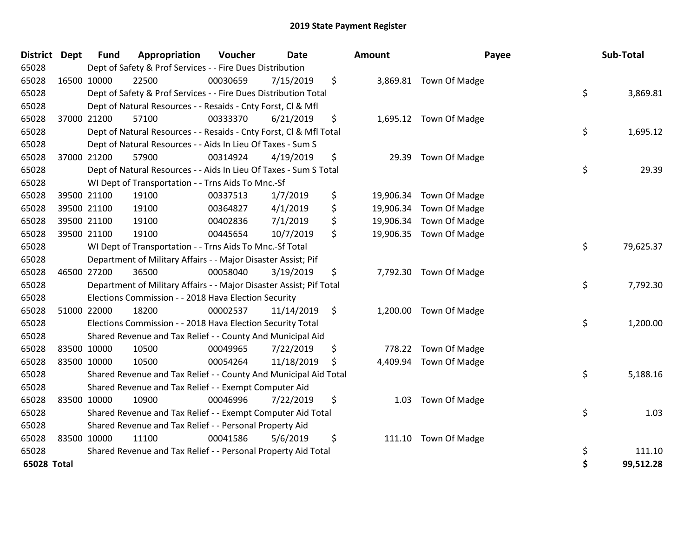| District Dept |             | <b>Fund</b> | Appropriation                                                       | Voucher  | <b>Date</b> | Amount     | Payee                   |    | Sub-Total |
|---------------|-------------|-------------|---------------------------------------------------------------------|----------|-------------|------------|-------------------------|----|-----------|
| 65028         |             |             | Dept of Safety & Prof Services - - Fire Dues Distribution           |          |             |            |                         |    |           |
| 65028         |             | 16500 10000 | 22500                                                               | 00030659 | 7/15/2019   | \$         | 3,869.81 Town Of Madge  |    |           |
| 65028         |             |             | Dept of Safety & Prof Services - - Fire Dues Distribution Total     |          |             |            |                         | \$ | 3,869.81  |
| 65028         |             |             | Dept of Natural Resources - - Resaids - Cnty Forst, Cl & Mfl        |          |             |            |                         |    |           |
| 65028         |             | 37000 21200 | 57100                                                               | 00333370 | 6/21/2019   | \$         | 1,695.12 Town Of Madge  |    |           |
| 65028         |             |             | Dept of Natural Resources - - Resaids - Cnty Forst, CI & Mfl Total  |          |             |            |                         | \$ | 1,695.12  |
| 65028         |             |             | Dept of Natural Resources - - Aids In Lieu Of Taxes - Sum S         |          |             |            |                         |    |           |
| 65028         |             | 37000 21200 | 57900                                                               | 00314924 | 4/19/2019   | \$         | 29.39 Town Of Madge     |    |           |
| 65028         |             |             | Dept of Natural Resources - - Aids In Lieu Of Taxes - Sum S Total   |          |             |            |                         | \$ | 29.39     |
| 65028         |             |             | WI Dept of Transportation - - Trns Aids To Mnc.-Sf                  |          |             |            |                         |    |           |
| 65028         |             | 39500 21100 | 19100                                                               | 00337513 | 1/7/2019    | \$         | 19,906.34 Town Of Madge |    |           |
| 65028         |             | 39500 21100 | 19100                                                               | 00364827 | 4/1/2019    | \$         | 19,906.34 Town Of Madge |    |           |
| 65028         |             | 39500 21100 | 19100                                                               | 00402836 | 7/1/2019    | \$         | 19,906.34 Town Of Madge |    |           |
| 65028         |             | 39500 21100 | 19100                                                               | 00445654 | 10/7/2019   | \$         | 19,906.35 Town Of Madge |    |           |
| 65028         |             |             | WI Dept of Transportation - - Trns Aids To Mnc.-Sf Total            |          |             |            |                         | \$ | 79,625.37 |
| 65028         |             |             | Department of Military Affairs - - Major Disaster Assist; Pif       |          |             |            |                         |    |           |
| 65028         |             | 46500 27200 | 36500                                                               | 00058040 | 3/19/2019   | \$         | 7,792.30 Town Of Madge  |    |           |
| 65028         |             |             | Department of Military Affairs - - Major Disaster Assist; Pif Total |          |             |            |                         | \$ | 7,792.30  |
| 65028         |             |             | Elections Commission - - 2018 Hava Election Security                |          |             |            |                         |    |           |
| 65028         |             | 51000 22000 | 18200                                                               | 00002537 | 11/14/2019  | \$         | 1,200.00 Town Of Madge  |    |           |
| 65028         |             |             | Elections Commission - - 2018 Hava Election Security Total          |          |             |            |                         | \$ | 1,200.00  |
| 65028         |             |             | Shared Revenue and Tax Relief - - County And Municipal Aid          |          |             |            |                         |    |           |
| 65028         |             | 83500 10000 | 10500                                                               | 00049965 | 7/22/2019   | \$         | 778.22 Town Of Madge    |    |           |
| 65028         | 83500 10000 |             | 10500                                                               | 00054264 | 11/18/2019  | \$         | 4,409.94 Town Of Madge  |    |           |
| 65028         |             |             | Shared Revenue and Tax Relief - - County And Municipal Aid Total    |          |             |            |                         | \$ | 5,188.16  |
| 65028         |             |             | Shared Revenue and Tax Relief - - Exempt Computer Aid               |          |             |            |                         |    |           |
| 65028         |             | 83500 10000 | 10900                                                               | 00046996 | 7/22/2019   | \$<br>1.03 | Town Of Madge           |    |           |
| 65028         |             |             | Shared Revenue and Tax Relief - - Exempt Computer Aid Total         |          |             |            |                         | \$ | 1.03      |
| 65028         |             |             | Shared Revenue and Tax Relief - - Personal Property Aid             |          |             |            |                         |    |           |
| 65028         |             | 83500 10000 | 11100                                                               | 00041586 | 5/6/2019    | \$         | 111.10 Town Of Madge    |    |           |
| 65028         |             |             | Shared Revenue and Tax Relief - - Personal Property Aid Total       |          |             |            |                         | \$ | 111.10    |
| 65028 Total   |             |             |                                                                     |          |             |            |                         | Ś  | 99,512.28 |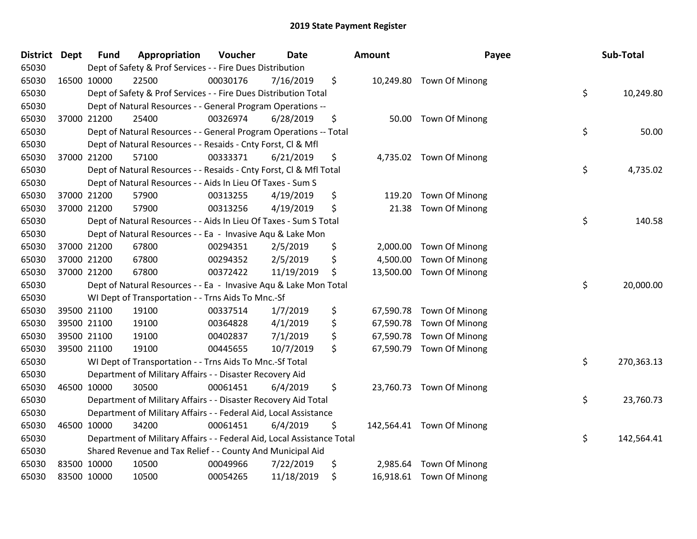| District | <b>Dept</b> | <b>Fund</b> | Appropriation                                                          | Voucher  | <b>Date</b> | <b>Amount</b>  | Payee                     | Sub-Total        |
|----------|-------------|-------------|------------------------------------------------------------------------|----------|-------------|----------------|---------------------------|------------------|
| 65030    |             |             | Dept of Safety & Prof Services - - Fire Dues Distribution              |          |             |                |                           |                  |
| 65030    | 16500 10000 |             | 22500                                                                  | 00030176 | 7/16/2019   | \$             | 10,249.80 Town Of Minong  |                  |
| 65030    |             |             | Dept of Safety & Prof Services - - Fire Dues Distribution Total        |          |             |                |                           | \$<br>10,249.80  |
| 65030    |             |             | Dept of Natural Resources - - General Program Operations --            |          |             |                |                           |                  |
| 65030    |             | 37000 21200 | 25400                                                                  | 00326974 | 6/28/2019   | \$             | 50.00 Town Of Minong      |                  |
| 65030    |             |             | Dept of Natural Resources - - General Program Operations -- Total      |          |             |                |                           | \$<br>50.00      |
| 65030    |             |             | Dept of Natural Resources - - Resaids - Cnty Forst, Cl & Mfl           |          |             |                |                           |                  |
| 65030    |             | 37000 21200 | 57100                                                                  | 00333371 | 6/21/2019   | \$             | 4,735.02 Town Of Minong   |                  |
| 65030    |             |             | Dept of Natural Resources - - Resaids - Cnty Forst, Cl & Mfl Total     |          |             |                |                           | \$<br>4,735.02   |
| 65030    |             |             | Dept of Natural Resources - - Aids In Lieu Of Taxes - Sum S            |          |             |                |                           |                  |
| 65030    |             | 37000 21200 | 57900                                                                  | 00313255 | 4/19/2019   | \$<br>119.20   | Town Of Minong            |                  |
| 65030    |             | 37000 21200 | 57900                                                                  | 00313256 | 4/19/2019   | \$<br>21.38    | Town Of Minong            |                  |
| 65030    |             |             | Dept of Natural Resources - - Aids In Lieu Of Taxes - Sum S Total      |          |             |                |                           | \$<br>140.58     |
| 65030    |             |             | Dept of Natural Resources - - Ea - Invasive Aqu & Lake Mon             |          |             |                |                           |                  |
| 65030    |             | 37000 21200 | 67800                                                                  | 00294351 | 2/5/2019    | \$<br>2,000.00 | Town Of Minong            |                  |
| 65030    |             | 37000 21200 | 67800                                                                  | 00294352 | 2/5/2019    | \$<br>4,500.00 | Town Of Minong            |                  |
| 65030    |             | 37000 21200 | 67800                                                                  | 00372422 | 11/19/2019  | \$             | 13,500.00 Town Of Minong  |                  |
| 65030    |             |             | Dept of Natural Resources - - Ea - Invasive Aqu & Lake Mon Total       |          |             |                |                           | \$<br>20,000.00  |
| 65030    |             |             | WI Dept of Transportation - - Trns Aids To Mnc.-Sf                     |          |             |                |                           |                  |
| 65030    |             | 39500 21100 | 19100                                                                  | 00337514 | 1/7/2019    | \$             | 67,590.78 Town Of Minong  |                  |
| 65030    |             | 39500 21100 | 19100                                                                  | 00364828 | 4/1/2019    | \$             | 67,590.78 Town Of Minong  |                  |
| 65030    |             | 39500 21100 | 19100                                                                  | 00402837 | 7/1/2019    | \$             | 67,590.78 Town Of Minong  |                  |
| 65030    |             | 39500 21100 | 19100                                                                  | 00445655 | 10/7/2019   | \$             | 67,590.79 Town Of Minong  |                  |
| 65030    |             |             | WI Dept of Transportation - - Trns Aids To Mnc.-Sf Total               |          |             |                |                           | \$<br>270,363.13 |
| 65030    |             |             | Department of Military Affairs - - Disaster Recovery Aid               |          |             |                |                           |                  |
| 65030    |             | 46500 10000 | 30500                                                                  | 00061451 | 6/4/2019    | \$             | 23,760.73 Town Of Minong  |                  |
| 65030    |             |             | Department of Military Affairs - - Disaster Recovery Aid Total         |          |             |                |                           | \$<br>23,760.73  |
| 65030    |             |             | Department of Military Affairs - - Federal Aid, Local Assistance       |          |             |                |                           |                  |
| 65030    |             | 46500 10000 | 34200                                                                  | 00061451 | 6/4/2019    | \$             | 142,564.41 Town Of Minong |                  |
| 65030    |             |             | Department of Military Affairs - - Federal Aid, Local Assistance Total |          |             |                |                           | \$<br>142,564.41 |
| 65030    |             |             | Shared Revenue and Tax Relief - - County And Municipal Aid             |          |             |                |                           |                  |
| 65030    |             | 83500 10000 | 10500                                                                  | 00049966 | 7/22/2019   | \$<br>2,985.64 | Town Of Minong            |                  |
| 65030    | 83500 10000 |             | 10500                                                                  | 00054265 | 11/18/2019  | \$             | 16,918.61 Town Of Minong  |                  |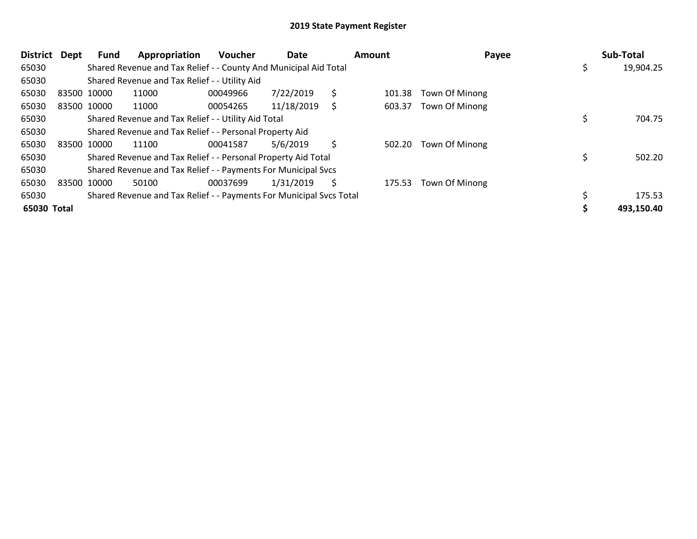| <b>District</b> | <b>Dept</b> | Fund | Appropriation                                                       | Voucher  | Date       |    | Amount | Payee                 | Sub-Total  |
|-----------------|-------------|------|---------------------------------------------------------------------|----------|------------|----|--------|-----------------------|------------|
| 65030           |             |      | Shared Revenue and Tax Relief - - County And Municipal Aid Total    |          |            |    |        |                       | 19,904.25  |
| 65030           |             |      | Shared Revenue and Tax Relief - - Utility Aid                       |          |            |    |        |                       |            |
| 65030           | 83500 10000 |      | 11000                                                               | 00049966 | 7/22/2019  | \$ | 101.38 | <b>Town Of Minong</b> |            |
| 65030           | 83500 10000 |      | 11000                                                               | 00054265 | 11/18/2019 | S  | 603.37 | Town Of Minong        |            |
| 65030           |             |      | Shared Revenue and Tax Relief - - Utility Aid Total                 |          |            |    |        |                       | 704.75     |
| 65030           |             |      | Shared Revenue and Tax Relief - - Personal Property Aid             |          |            |    |        |                       |            |
| 65030           | 83500 10000 |      | 11100                                                               | 00041587 | 5/6/2019   | \$ | 502.20 | Town Of Minong        |            |
| 65030           |             |      | Shared Revenue and Tax Relief - - Personal Property Aid Total       |          |            |    |        |                       | 502.20     |
| 65030           |             |      | Shared Revenue and Tax Relief - - Payments For Municipal Svcs       |          |            |    |        |                       |            |
| 65030           | 83500 10000 |      | 50100                                                               | 00037699 | 1/31/2019  | S  | 175.53 | Town Of Minong        |            |
| 65030           |             |      | Shared Revenue and Tax Relief - - Payments For Municipal Svcs Total |          |            |    |        |                       | 175.53     |
| 65030 Total     |             |      |                                                                     |          |            |    |        |                       | 493,150.40 |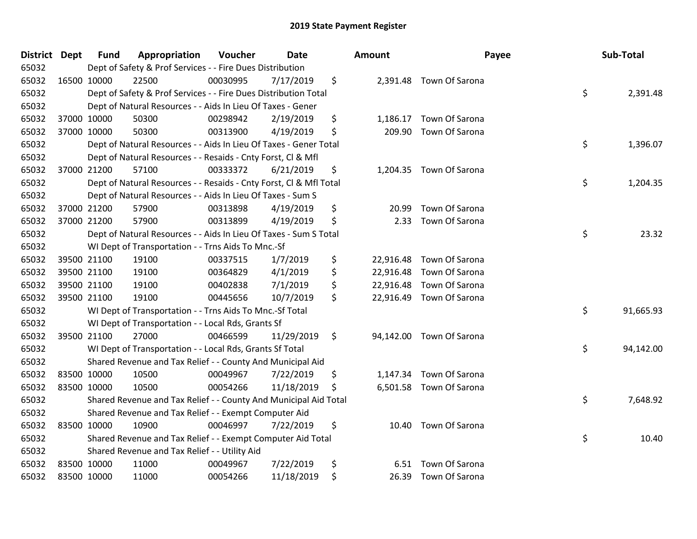| <b>District Dept</b> |             | <b>Fund</b> | Appropriation                                                      | Voucher  | <b>Date</b> | Amount      | Payee                    | Sub-Total       |
|----------------------|-------------|-------------|--------------------------------------------------------------------|----------|-------------|-------------|--------------------------|-----------------|
| 65032                |             |             | Dept of Safety & Prof Services - - Fire Dues Distribution          |          |             |             |                          |                 |
| 65032                | 16500 10000 |             | 22500                                                              | 00030995 | 7/17/2019   | \$          | 2,391.48 Town Of Sarona  |                 |
| 65032                |             |             | Dept of Safety & Prof Services - - Fire Dues Distribution Total    |          |             |             |                          | \$<br>2,391.48  |
| 65032                |             |             | Dept of Natural Resources - - Aids In Lieu Of Taxes - Gener        |          |             |             |                          |                 |
| 65032                |             | 37000 10000 | 50300                                                              | 00298942 | 2/19/2019   | \$          | 1,186.17 Town Of Sarona  |                 |
| 65032                | 37000 10000 |             | 50300                                                              | 00313900 | 4/19/2019   | \$          | 209.90 Town Of Sarona    |                 |
| 65032                |             |             | Dept of Natural Resources - - Aids In Lieu Of Taxes - Gener Total  |          |             |             |                          | \$<br>1,396.07  |
| 65032                |             |             | Dept of Natural Resources - - Resaids - Cnty Forst, Cl & Mfl       |          |             |             |                          |                 |
| 65032                |             | 37000 21200 | 57100                                                              | 00333372 | 6/21/2019   | \$          | 1,204.35 Town Of Sarona  |                 |
| 65032                |             |             | Dept of Natural Resources - - Resaids - Cnty Forst, CI & Mfl Total |          |             |             |                          | \$<br>1,204.35  |
| 65032                |             |             | Dept of Natural Resources - - Aids In Lieu Of Taxes - Sum S        |          |             |             |                          |                 |
| 65032                |             | 37000 21200 | 57900                                                              | 00313898 | 4/19/2019   | \$<br>20.99 | Town Of Sarona           |                 |
| 65032                | 37000 21200 |             | 57900                                                              | 00313899 | 4/19/2019   | \$<br>2.33  | Town Of Sarona           |                 |
| 65032                |             |             | Dept of Natural Resources - - Aids In Lieu Of Taxes - Sum S Total  |          |             |             |                          | \$<br>23.32     |
| 65032                |             |             | WI Dept of Transportation - - Trns Aids To Mnc.-Sf                 |          |             |             |                          |                 |
| 65032                |             | 39500 21100 | 19100                                                              | 00337515 | 1/7/2019    | \$          | 22,916.48 Town Of Sarona |                 |
| 65032                |             | 39500 21100 | 19100                                                              | 00364829 | 4/1/2019    | \$          | 22,916.48 Town Of Sarona |                 |
| 65032                |             | 39500 21100 | 19100                                                              | 00402838 | 7/1/2019    | \$          | 22,916.48 Town Of Sarona |                 |
| 65032                | 39500 21100 |             | 19100                                                              | 00445656 | 10/7/2019   | \$          | 22,916.49 Town Of Sarona |                 |
| 65032                |             |             | WI Dept of Transportation - - Trns Aids To Mnc.-Sf Total           |          |             |             |                          | \$<br>91,665.93 |
| 65032                |             |             | WI Dept of Transportation - - Local Rds, Grants Sf                 |          |             |             |                          |                 |
| 65032                | 39500 21100 |             | 27000                                                              | 00466599 | 11/29/2019  | \$          | 94,142.00 Town Of Sarona |                 |
| 65032                |             |             | WI Dept of Transportation - - Local Rds, Grants Sf Total           |          |             |             |                          | \$<br>94,142.00 |
| 65032                |             |             | Shared Revenue and Tax Relief - - County And Municipal Aid         |          |             |             |                          |                 |
| 65032                | 83500 10000 |             | 10500                                                              | 00049967 | 7/22/2019   | \$          | 1,147.34 Town Of Sarona  |                 |
| 65032                | 83500 10000 |             | 10500                                                              | 00054266 | 11/18/2019  | \$          | 6,501.58 Town Of Sarona  |                 |
| 65032                |             |             | Shared Revenue and Tax Relief - - County And Municipal Aid Total   |          |             |             |                          | \$<br>7,648.92  |
| 65032                |             |             | Shared Revenue and Tax Relief - - Exempt Computer Aid              |          |             |             |                          |                 |
| 65032                | 83500 10000 |             | 10900                                                              | 00046997 | 7/22/2019   | \$          | 10.40 Town Of Sarona     |                 |
| 65032                |             |             | Shared Revenue and Tax Relief - - Exempt Computer Aid Total        |          |             |             |                          | \$<br>10.40     |
| 65032                |             |             | Shared Revenue and Tax Relief - - Utility Aid                      |          |             |             |                          |                 |
| 65032                | 83500 10000 |             | 11000                                                              | 00049967 | 7/22/2019   | \$          | 6.51 Town Of Sarona      |                 |
| 65032                | 83500 10000 |             | 11000                                                              | 00054266 | 11/18/2019  | \$          | 26.39 Town Of Sarona     |                 |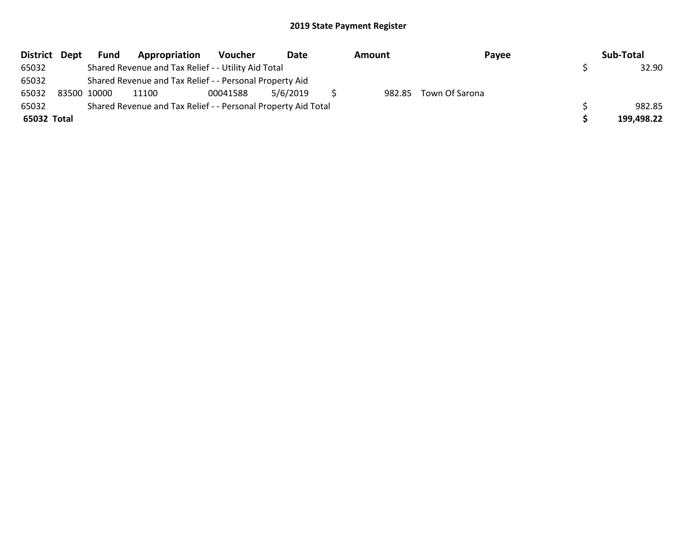| District Dept | <b>Fund</b> | Appropriation                                                 | Voucher  | Date     | Amount | Payee                 | Sub-Total  |
|---------------|-------------|---------------------------------------------------------------|----------|----------|--------|-----------------------|------------|
| 65032         |             | Shared Revenue and Tax Relief - - Utility Aid Total           |          |          |        |                       | 32.90      |
| 65032         |             | Shared Revenue and Tax Relief - - Personal Property Aid       |          |          |        |                       |            |
| 65032         | 83500 10000 | 11100                                                         | 00041588 | 5/6/2019 |        | 982.85 Town Of Sarona |            |
| 65032         |             | Shared Revenue and Tax Relief - - Personal Property Aid Total |          |          |        |                       | 982.85     |
| 65032 Total   |             |                                                               |          |          |        |                       | 199,498.22 |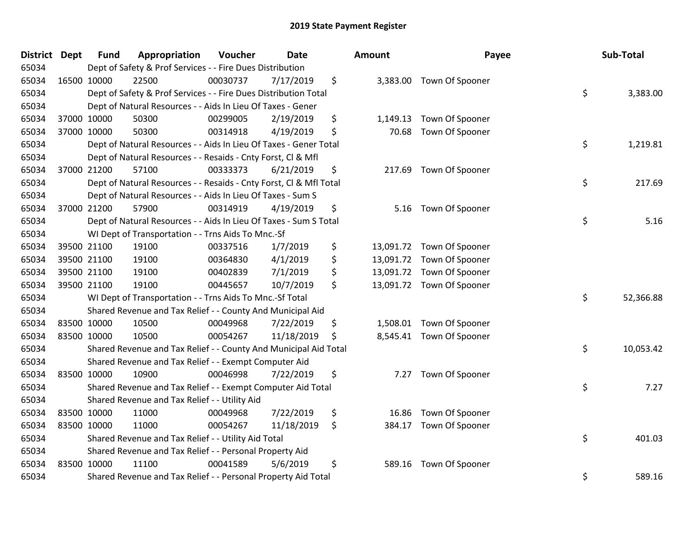| <b>District</b> | <b>Dept</b> | <b>Fund</b> | Appropriation                                                      | Voucher  | Date       | <b>Amount</b>   | Payee                     | Sub-Total       |
|-----------------|-------------|-------------|--------------------------------------------------------------------|----------|------------|-----------------|---------------------------|-----------------|
| 65034           |             |             | Dept of Safety & Prof Services - - Fire Dues Distribution          |          |            |                 |                           |                 |
| 65034           |             | 16500 10000 | 22500                                                              | 00030737 | 7/17/2019  | \$              | 3,383.00 Town Of Spooner  |                 |
| 65034           |             |             | Dept of Safety & Prof Services - - Fire Dues Distribution Total    |          |            |                 |                           | \$<br>3,383.00  |
| 65034           |             |             | Dept of Natural Resources - - Aids In Lieu Of Taxes - Gener        |          |            |                 |                           |                 |
| 65034           |             | 37000 10000 | 50300                                                              | 00299005 | 2/19/2019  | \$<br>1,149.13  | Town Of Spooner           |                 |
| 65034           |             | 37000 10000 | 50300                                                              | 00314918 | 4/19/2019  | \$<br>70.68     | Town Of Spooner           |                 |
| 65034           |             |             | Dept of Natural Resources - - Aids In Lieu Of Taxes - Gener Total  |          |            |                 |                           | \$<br>1,219.81  |
| 65034           |             |             | Dept of Natural Resources - - Resaids - Cnty Forst, Cl & Mfl       |          |            |                 |                           |                 |
| 65034           |             | 37000 21200 | 57100                                                              | 00333373 | 6/21/2019  | \$<br>217.69    | Town Of Spooner           |                 |
| 65034           |             |             | Dept of Natural Resources - - Resaids - Cnty Forst, Cl & Mfl Total |          |            |                 |                           | \$<br>217.69    |
| 65034           |             |             | Dept of Natural Resources - - Aids In Lieu Of Taxes - Sum S        |          |            |                 |                           |                 |
| 65034           |             | 37000 21200 | 57900                                                              | 00314919 | 4/19/2019  | \$<br>5.16      | Town Of Spooner           |                 |
| 65034           |             |             | Dept of Natural Resources - - Aids In Lieu Of Taxes - Sum S Total  |          |            |                 |                           | \$<br>5.16      |
| 65034           |             |             | WI Dept of Transportation - - Trns Aids To Mnc.-Sf                 |          |            |                 |                           |                 |
| 65034           |             | 39500 21100 | 19100                                                              | 00337516 | 1/7/2019   | \$<br>13,091.72 | Town Of Spooner           |                 |
| 65034           |             | 39500 21100 | 19100                                                              | 00364830 | 4/1/2019   | \$              | 13,091.72 Town Of Spooner |                 |
| 65034           |             | 39500 21100 | 19100                                                              | 00402839 | 7/1/2019   | \$              | 13,091.72 Town Of Spooner |                 |
| 65034           |             | 39500 21100 | 19100                                                              | 00445657 | 10/7/2019  | \$              | 13,091.72 Town Of Spooner |                 |
| 65034           |             |             | WI Dept of Transportation - - Trns Aids To Mnc.-Sf Total           |          |            |                 |                           | \$<br>52,366.88 |
| 65034           |             |             | Shared Revenue and Tax Relief - - County And Municipal Aid         |          |            |                 |                           |                 |
| 65034           |             | 83500 10000 | 10500                                                              | 00049968 | 7/22/2019  | \$<br>1,508.01  | Town Of Spooner           |                 |
| 65034           |             | 83500 10000 | 10500                                                              | 00054267 | 11/18/2019 | \$              | 8,545.41 Town Of Spooner  |                 |
| 65034           |             |             | Shared Revenue and Tax Relief - - County And Municipal Aid Total   |          |            |                 |                           | \$<br>10,053.42 |
| 65034           |             |             | Shared Revenue and Tax Relief - - Exempt Computer Aid              |          |            |                 |                           |                 |
| 65034           |             | 83500 10000 | 10900                                                              | 00046998 | 7/22/2019  | \$<br>7.27      | Town Of Spooner           |                 |
| 65034           |             |             | Shared Revenue and Tax Relief - - Exempt Computer Aid Total        |          |            |                 |                           | \$<br>7.27      |
| 65034           |             |             | Shared Revenue and Tax Relief - - Utility Aid                      |          |            |                 |                           |                 |
| 65034           |             | 83500 10000 | 11000                                                              | 00049968 | 7/22/2019  | \$<br>16.86     | Town Of Spooner           |                 |
| 65034           |             | 83500 10000 | 11000                                                              | 00054267 | 11/18/2019 | \$<br>384.17    | Town Of Spooner           |                 |
| 65034           |             |             | Shared Revenue and Tax Relief - - Utility Aid Total                |          |            |                 |                           | \$<br>401.03    |
| 65034           |             |             | Shared Revenue and Tax Relief - - Personal Property Aid            |          |            |                 |                           |                 |
| 65034           |             | 83500 10000 | 11100                                                              | 00041589 | 5/6/2019   | \$<br>589.16    | Town Of Spooner           |                 |
| 65034           |             |             | Shared Revenue and Tax Relief - - Personal Property Aid Total      |          |            |                 |                           | \$<br>589.16    |

| ∣ount     | Payee           | Sub-Total       |
|-----------|-----------------|-----------------|
| 3,383.00  | Town Of Spooner | \$<br>3,383.00  |
| 1,149.13  | Town Of Spooner |                 |
| 70.68     | Town Of Spooner |                 |
|           |                 | \$<br>1,219.81  |
| 217.69    | Town Of Spooner |                 |
|           |                 | \$<br>217.69    |
| 5.16      | Town Of Spooner |                 |
|           |                 | \$<br>5.16      |
| 13,091.72 | Town Of Spooner |                 |
| 13,091.72 | Town Of Spooner |                 |
| 13,091.72 | Town Of Spooner |                 |
| 13,091.72 | Town Of Spooner |                 |
|           |                 | \$<br>52,366.88 |
| 1,508.01  | Town Of Spooner |                 |
| 8,545.41  | Town Of Spooner |                 |
|           |                 | \$<br>10,053.42 |
| 7.27      | Town Of Spooner |                 |
|           |                 | \$<br>7.27      |
| 16.86     | Town Of Spooner |                 |
| 384.17    | Town Of Spooner |                 |
|           |                 | \$<br>401.03    |
| 589.16    | Town Of Spooner |                 |
|           |                 | \$<br>589.16    |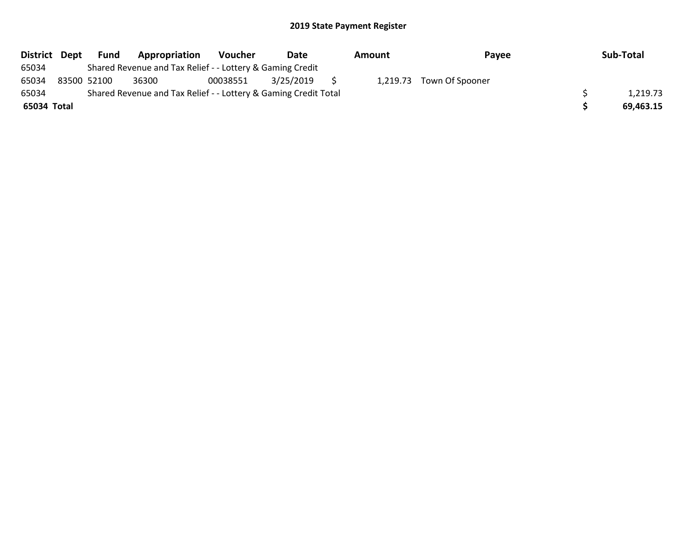| District Dept | Fund        | Appropriation                                                   | <b>Voucher</b> | Date      | Amount | Payee                    | Sub-Total |
|---------------|-------------|-----------------------------------------------------------------|----------------|-----------|--------|--------------------------|-----------|
| 65034         |             | Shared Revenue and Tax Relief - - Lottery & Gaming Credit       |                |           |        |                          |           |
| 65034         | 83500 52100 | 36300                                                           | 00038551       | 3/25/2019 |        | 1,219.73 Town Of Spooner |           |
| 65034         |             | Shared Revenue and Tax Relief - - Lottery & Gaming Credit Total |                |           |        |                          | 1,219.73  |
| 65034 Total   |             |                                                                 |                |           |        |                          | 69,463.15 |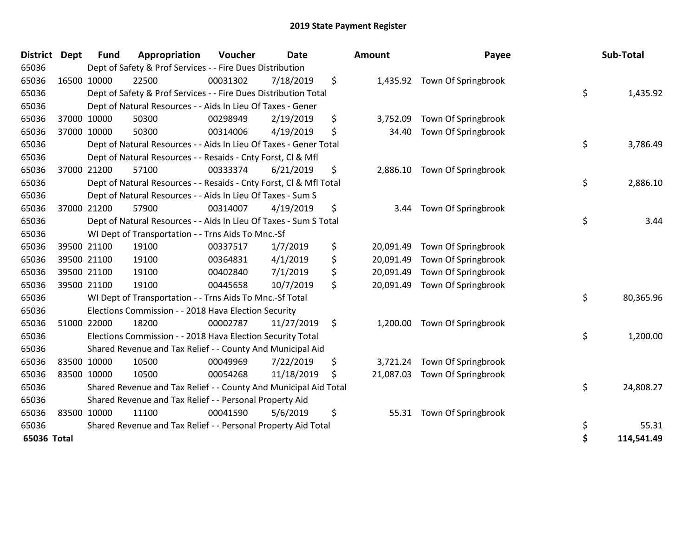| <b>District</b> | Dept | <b>Fund</b> | Appropriation                                                      | Voucher  | <b>Date</b> | Amount          | Payee               | Sub-Total        |
|-----------------|------|-------------|--------------------------------------------------------------------|----------|-------------|-----------------|---------------------|------------------|
| 65036           |      |             | Dept of Safety & Prof Services - - Fire Dues Distribution          |          |             |                 |                     |                  |
| 65036           |      | 16500 10000 | 22500                                                              | 00031302 | 7/18/2019   | \$<br>1,435.92  | Town Of Springbrook |                  |
| 65036           |      |             | Dept of Safety & Prof Services - - Fire Dues Distribution Total    |          |             |                 |                     | \$<br>1,435.92   |
| 65036           |      |             | Dept of Natural Resources - - Aids In Lieu Of Taxes - Gener        |          |             |                 |                     |                  |
| 65036           |      | 37000 10000 | 50300                                                              | 00298949 | 2/19/2019   | \$<br>3,752.09  | Town Of Springbrook |                  |
| 65036           |      | 37000 10000 | 50300                                                              | 00314006 | 4/19/2019   | \$<br>34.40     | Town Of Springbrook |                  |
| 65036           |      |             | Dept of Natural Resources - - Aids In Lieu Of Taxes - Gener Total  |          |             |                 |                     | \$<br>3,786.49   |
| 65036           |      |             | Dept of Natural Resources - - Resaids - Cnty Forst, Cl & Mfl       |          |             |                 |                     |                  |
| 65036           |      | 37000 21200 | 57100                                                              | 00333374 | 6/21/2019   | \$<br>2,886.10  | Town Of Springbrook |                  |
| 65036           |      |             | Dept of Natural Resources - - Resaids - Cnty Forst, CI & Mfl Total |          |             |                 |                     | \$<br>2,886.10   |
| 65036           |      |             | Dept of Natural Resources - - Aids In Lieu Of Taxes - Sum S        |          |             |                 |                     |                  |
| 65036           |      | 37000 21200 | 57900                                                              | 00314007 | 4/19/2019   | \$<br>3.44      | Town Of Springbrook |                  |
| 65036           |      |             | Dept of Natural Resources - - Aids In Lieu Of Taxes - Sum S Total  |          |             |                 |                     | \$<br>3.44       |
| 65036           |      |             | WI Dept of Transportation - - Trns Aids To Mnc.-Sf                 |          |             |                 |                     |                  |
| 65036           |      | 39500 21100 | 19100                                                              | 00337517 | 1/7/2019    | \$<br>20,091.49 | Town Of Springbrook |                  |
| 65036           |      | 39500 21100 | 19100                                                              | 00364831 | 4/1/2019    | \$<br>20,091.49 | Town Of Springbrook |                  |
| 65036           |      | 39500 21100 | 19100                                                              | 00402840 | 7/1/2019    | \$<br>20,091.49 | Town Of Springbrook |                  |
| 65036           |      | 39500 21100 | 19100                                                              | 00445658 | 10/7/2019   | \$<br>20,091.49 | Town Of Springbrook |                  |
| 65036           |      |             | WI Dept of Transportation - - Trns Aids To Mnc.-Sf Total           |          |             |                 |                     | \$<br>80,365.96  |
| 65036           |      |             | Elections Commission - - 2018 Hava Election Security               |          |             |                 |                     |                  |
| 65036           |      | 51000 22000 | 18200                                                              | 00002787 | 11/27/2019  | \$<br>1,200.00  | Town Of Springbrook |                  |
| 65036           |      |             | Elections Commission - - 2018 Hava Election Security Total         |          |             |                 |                     | \$<br>1,200.00   |
| 65036           |      |             | Shared Revenue and Tax Relief - - County And Municipal Aid         |          |             |                 |                     |                  |
| 65036           |      | 83500 10000 | 10500                                                              | 00049969 | 7/22/2019   | \$<br>3,721.24  | Town Of Springbrook |                  |
| 65036           |      | 83500 10000 | 10500                                                              | 00054268 | 11/18/2019  | \$<br>21,087.03 | Town Of Springbrook |                  |
| 65036           |      |             | Shared Revenue and Tax Relief - - County And Municipal Aid Total   |          |             |                 |                     | \$<br>24,808.27  |
| 65036           |      |             | Shared Revenue and Tax Relief - - Personal Property Aid            |          |             |                 |                     |                  |
| 65036           |      | 83500 10000 | 11100                                                              | 00041590 | 5/6/2019    | \$<br>55.31     | Town Of Springbrook |                  |
| 65036           |      |             | Shared Revenue and Tax Relief - - Personal Property Aid Total      |          |             |                 |                     | \$<br>55.31      |
| 65036 Total     |      |             |                                                                    |          |             |                 |                     | \$<br>114,541.49 |

| District Dept | <b>Fund</b> | Appropriation                                                      | Voucher  | <b>Date</b> | <b>Amount</b>   | Payee                        | Sub-Total        |
|---------------|-------------|--------------------------------------------------------------------|----------|-------------|-----------------|------------------------------|------------------|
| 65036         |             | Dept of Safety & Prof Services - - Fire Dues Distribution          |          |             |                 |                              |                  |
| 65036         | 16500 10000 | 22500                                                              | 00031302 | 7/18/2019   | \$              | 1,435.92 Town Of Springbrook |                  |
| 65036         |             | Dept of Safety & Prof Services - - Fire Dues Distribution Total    |          |             |                 |                              | \$<br>1,435.92   |
| 65036         |             | Dept of Natural Resources - - Aids In Lieu Of Taxes - Gener        |          |             |                 |                              |                  |
| 65036         | 37000 10000 | 50300                                                              | 00298949 | 2/19/2019   | \$<br>3,752.09  | Town Of Springbrook          |                  |
| 65036         | 37000 10000 | 50300                                                              | 00314006 | 4/19/2019   | \$<br>34.40     | Town Of Springbrook          |                  |
| 65036         |             | Dept of Natural Resources - - Aids In Lieu Of Taxes - Gener Total  |          |             |                 |                              | \$<br>3,786.49   |
| 65036         |             | Dept of Natural Resources - - Resaids - Cnty Forst, CI & Mfl       |          |             |                 |                              |                  |
| 65036         | 37000 21200 | 57100                                                              | 00333374 | 6/21/2019   | \$<br>2,886.10  | Town Of Springbrook          |                  |
| 65036         |             | Dept of Natural Resources - - Resaids - Cnty Forst, CI & Mfl Total |          |             |                 |                              | \$<br>2,886.10   |
| 65036         |             | Dept of Natural Resources - - Aids In Lieu Of Taxes - Sum S        |          |             |                 |                              |                  |
| 65036         | 37000 21200 | 57900                                                              | 00314007 | 4/19/2019   | \$<br>3.44      | Town Of Springbrook          |                  |
| 65036         |             | Dept of Natural Resources - - Aids In Lieu Of Taxes - Sum S Total  |          |             |                 |                              | \$<br>3.44       |
| 65036         |             | WI Dept of Transportation - - Trns Aids To Mnc.-Sf                 |          |             |                 |                              |                  |
| 65036         | 39500 21100 | 19100                                                              | 00337517 | 1/7/2019    | \$<br>20,091.49 | Town Of Springbrook          |                  |
| 65036         | 39500 21100 | 19100                                                              | 00364831 | 4/1/2019    | \$<br>20,091.49 | Town Of Springbrook          |                  |
| 65036         | 39500 21100 | 19100                                                              | 00402840 | 7/1/2019    | \$<br>20,091.49 | Town Of Springbrook          |                  |
| 65036         | 39500 21100 | 19100                                                              | 00445658 | 10/7/2019   | \$<br>20,091.49 | Town Of Springbrook          |                  |
| 65036         |             | WI Dept of Transportation - - Trns Aids To Mnc.-Sf Total           |          |             |                 |                              | \$<br>80,365.96  |
| 65036         |             | Elections Commission - - 2018 Hava Election Security               |          |             |                 |                              |                  |
| 65036         | 51000 22000 | 18200                                                              | 00002787 | 11/27/2019  | \$              | 1,200.00 Town Of Springbrook |                  |
| 65036         |             | Elections Commission - - 2018 Hava Election Security Total         |          |             |                 |                              | \$<br>1,200.00   |
| 65036         |             | Shared Revenue and Tax Relief - - County And Municipal Aid         |          |             |                 |                              |                  |
| 65036         | 83500 10000 | 10500                                                              | 00049969 | 7/22/2019   | \$<br>3,721.24  | Town Of Springbrook          |                  |
| 65036         | 83500 10000 | 10500                                                              | 00054268 | 11/18/2019  | \$<br>21,087.03 | Town Of Springbrook          |                  |
| 65036         |             | Shared Revenue and Tax Relief - - County And Municipal Aid Total   |          |             |                 |                              | \$<br>24,808.27  |
| 65036         |             | Shared Revenue and Tax Relief - - Personal Property Aid            |          |             |                 |                              |                  |
| 65036         | 83500 10000 | 11100                                                              | 00041590 | 5/6/2019    | \$              | 55.31 Town Of Springbrook    |                  |
| 65036         |             | Shared Revenue and Tax Relief - - Personal Property Aid Total      |          |             |                 |                              | \$<br>55.31      |
| 65036 Total   |             |                                                                    |          |             |                 |                              | \$<br>114,541.49 |
|               |             |                                                                    |          |             |                 |                              |                  |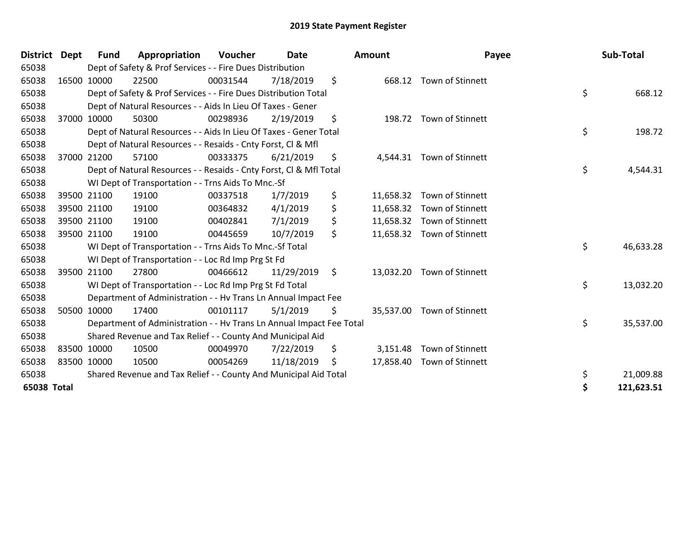| District Dept |             | Fund        | Appropriation                                                        | Voucher  | <b>Date</b> | Amount          | Payee                      | Sub-Total        |
|---------------|-------------|-------------|----------------------------------------------------------------------|----------|-------------|-----------------|----------------------------|------------------|
| 65038         |             |             | Dept of Safety & Prof Services - - Fire Dues Distribution            |          |             |                 |                            |                  |
| 65038         |             | 16500 10000 | 22500                                                                | 00031544 | 7/18/2019   | \$              | 668.12 Town of Stinnett    |                  |
| 65038         |             |             | Dept of Safety & Prof Services - - Fire Dues Distribution Total      |          |             |                 |                            | \$<br>668.12     |
| 65038         |             |             | Dept of Natural Resources - - Aids In Lieu Of Taxes - Gener          |          |             |                 |                            |                  |
| 65038         |             | 37000 10000 | 50300                                                                | 00298936 | 2/19/2019   | \$<br>198.72    | Town of Stinnett           |                  |
| 65038         |             |             | Dept of Natural Resources - - Aids In Lieu Of Taxes - Gener Total    |          |             |                 |                            | \$<br>198.72     |
| 65038         |             |             | Dept of Natural Resources - - Resaids - Cnty Forst, CI & Mfl         |          |             |                 |                            |                  |
| 65038         | 37000       | 21200       | 57100                                                                | 00333375 | 6/21/2019   | \$              | 4,544.31 Town of Stinnett  |                  |
| 65038         |             |             | Dept of Natural Resources - - Resaids - Cnty Forst, Cl & Mfl Total   |          |             |                 |                            | \$<br>4,544.31   |
| 65038         |             |             | WI Dept of Transportation - - Trns Aids To Mnc.-Sf                   |          |             |                 |                            |                  |
| 65038         | 39500 21100 |             | 19100                                                                | 00337518 | 1/7/2019    | \$<br>11,658.32 | Town of Stinnett           |                  |
| 65038         |             | 39500 21100 | 19100                                                                | 00364832 | 4/1/2019    | \$              | 11,658.32 Town of Stinnett |                  |
| 65038         |             | 39500 21100 | 19100                                                                | 00402841 | 7/1/2019    | \$              | 11,658.32 Town of Stinnett |                  |
| 65038         | 39500 21100 |             | 19100                                                                | 00445659 | 10/7/2019   | \$              | 11,658.32 Town of Stinnett |                  |
| 65038         |             |             | WI Dept of Transportation - - Trns Aids To Mnc.-Sf Total             |          |             |                 |                            | \$<br>46,633.28  |
| 65038         |             |             | WI Dept of Transportation - - Loc Rd Imp Prg St Fd                   |          |             |                 |                            |                  |
| 65038         | 39500 21100 |             | 27800                                                                | 00466612 | 11/29/2019  | \$              | 13,032.20 Town of Stinnett |                  |
| 65038         |             |             | WI Dept of Transportation - - Loc Rd Imp Prg St Fd Total             |          |             |                 |                            | \$<br>13,032.20  |
| 65038         |             |             | Department of Administration - - Hv Trans Ln Annual Impact Fee       |          |             |                 |                            |                  |
| 65038         |             | 50500 10000 | 17400                                                                | 00101117 | 5/1/2019    | \$              | 35,537.00 Town of Stinnett |                  |
| 65038         |             |             | Department of Administration - - Hv Trans Ln Annual Impact Fee Total |          |             |                 |                            | \$<br>35,537.00  |
| 65038         |             |             | Shared Revenue and Tax Relief - - County And Municipal Aid           |          |             |                 |                            |                  |
| 65038         | 83500 10000 |             | 10500                                                                | 00049970 | 7/22/2019   | \$<br>3,151.48  | Town of Stinnett           |                  |
| 65038         | 83500 10000 |             | 10500                                                                | 00054269 | 11/18/2019  | \$              | 17,858.40 Town of Stinnett |                  |
| 65038         |             |             | Shared Revenue and Tax Relief - - County And Municipal Aid Total     |          |             |                 |                            | \$<br>21,009.88  |
| 65038 Total   |             |             |                                                                      |          |             |                 |                            | \$<br>121,623.51 |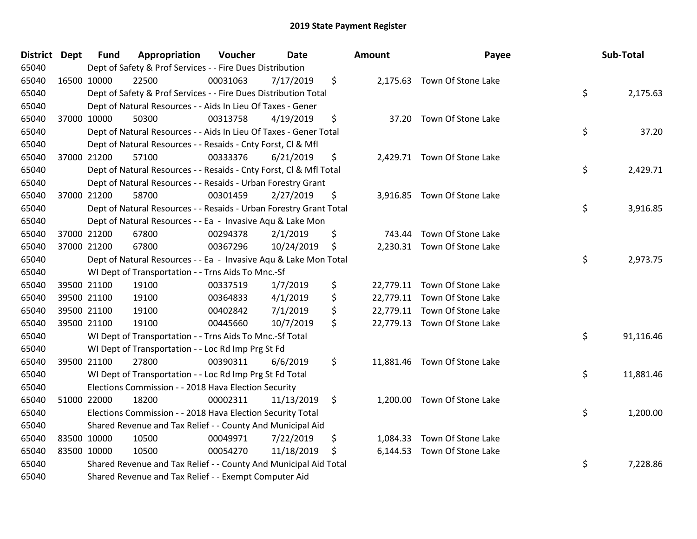| District Dept | Fund        | Appropriation                                                      | Voucher  | Date       | <b>Amount</b>  | Payee                        | Sub-Total       |
|---------------|-------------|--------------------------------------------------------------------|----------|------------|----------------|------------------------------|-----------------|
| 65040         |             | Dept of Safety & Prof Services - - Fire Dues Distribution          |          |            |                |                              |                 |
| 65040         | 16500 10000 | 22500                                                              | 00031063 | 7/17/2019  | \$             | 2,175.63 Town Of Stone Lake  |                 |
| 65040         |             | Dept of Safety & Prof Services - - Fire Dues Distribution Total    |          |            |                |                              | \$<br>2,175.63  |
| 65040         |             | Dept of Natural Resources - - Aids In Lieu Of Taxes - Gener        |          |            |                |                              |                 |
| 65040         | 37000 10000 | 50300                                                              | 00313758 | 4/19/2019  | \$             | 37.20 Town Of Stone Lake     |                 |
| 65040         |             | Dept of Natural Resources - - Aids In Lieu Of Taxes - Gener Total  |          |            |                |                              | \$<br>37.20     |
| 65040         |             | Dept of Natural Resources - - Resaids - Cnty Forst, Cl & Mfl       |          |            |                |                              |                 |
| 65040         | 37000 21200 | 57100                                                              | 00333376 | 6/21/2019  | \$             | 2,429.71 Town Of Stone Lake  |                 |
| 65040         |             | Dept of Natural Resources - - Resaids - Cnty Forst, Cl & Mfl Total |          |            |                |                              | \$<br>2,429.71  |
| 65040         |             | Dept of Natural Resources - - Resaids - Urban Forestry Grant       |          |            |                |                              |                 |
| 65040         | 37000 21200 | 58700                                                              | 00301459 | 2/27/2019  | \$             | 3,916.85 Town Of Stone Lake  |                 |
| 65040         |             | Dept of Natural Resources - - Resaids - Urban Forestry Grant Total |          |            |                |                              | \$<br>3,916.85  |
| 65040         |             | Dept of Natural Resources - - Ea - Invasive Aqu & Lake Mon         |          |            |                |                              |                 |
| 65040         | 37000 21200 | 67800                                                              | 00294378 | 2/1/2019   | \$<br>743.44   | Town Of Stone Lake           |                 |
| 65040         | 37000 21200 | 67800                                                              | 00367296 | 10/24/2019 | \$             | 2,230.31 Town Of Stone Lake  |                 |
| 65040         |             | Dept of Natural Resources - - Ea - Invasive Aqu & Lake Mon Total   |          |            |                |                              | \$<br>2,973.75  |
| 65040         |             | WI Dept of Transportation - - Trns Aids To Mnc.-Sf                 |          |            |                |                              |                 |
| 65040         | 39500 21100 | 19100                                                              | 00337519 | 1/7/2019   | \$             | 22,779.11 Town Of Stone Lake |                 |
| 65040         | 39500 21100 | 19100                                                              | 00364833 | 4/1/2019   | \$             | 22,779.11 Town Of Stone Lake |                 |
| 65040         | 39500 21100 | 19100                                                              | 00402842 | 7/1/2019   | \$             | 22,779.11 Town Of Stone Lake |                 |
| 65040         | 39500 21100 | 19100                                                              | 00445660 | 10/7/2019  | \$             | 22,779.13 Town Of Stone Lake |                 |
| 65040         |             | WI Dept of Transportation - - Trns Aids To Mnc.-Sf Total           |          |            |                |                              | \$<br>91,116.46 |
| 65040         |             | WI Dept of Transportation - - Loc Rd Imp Prg St Fd                 |          |            |                |                              |                 |
| 65040         | 39500 21100 | 27800                                                              | 00390311 | 6/6/2019   | \$             | 11,881.46 Town Of Stone Lake |                 |
| 65040         |             | WI Dept of Transportation - - Loc Rd Imp Prg St Fd Total           |          |            |                |                              | \$<br>11,881.46 |
| 65040         |             | Elections Commission - - 2018 Hava Election Security               |          |            |                |                              |                 |
| 65040         | 51000 22000 | 18200                                                              | 00002311 | 11/13/2019 | \$             | 1,200.00 Town Of Stone Lake  |                 |
| 65040         |             | Elections Commission - - 2018 Hava Election Security Total         |          |            |                |                              | \$<br>1,200.00  |
| 65040         |             | Shared Revenue and Tax Relief - - County And Municipal Aid         |          |            |                |                              |                 |
| 65040         | 83500 10000 | 10500                                                              | 00049971 | 7/22/2019  | \$<br>1,084.33 | Town Of Stone Lake           |                 |
| 65040         | 83500 10000 | 10500                                                              | 00054270 | 11/18/2019 | \$             | 6,144.53 Town Of Stone Lake  |                 |
| 65040         |             | Shared Revenue and Tax Relief - - County And Municipal Aid Total   |          |            |                |                              | \$<br>7,228.86  |
| 65040         |             | Shared Revenue and Tax Relief - - Exempt Computer Aid              |          |            |                |                              |                 |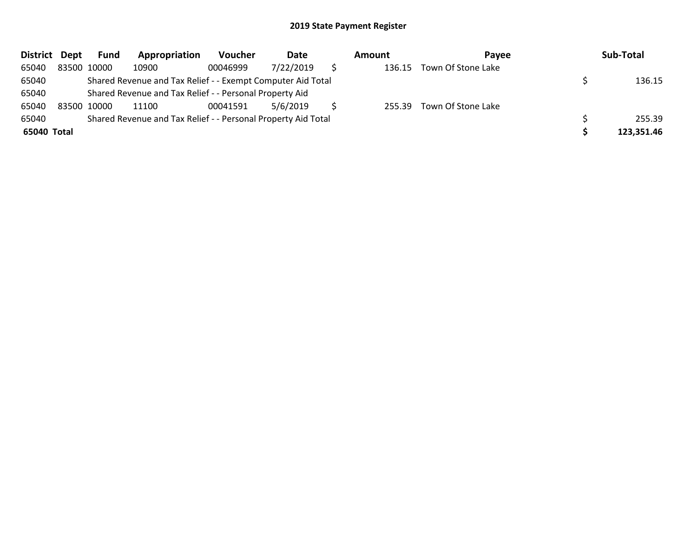| <b>District</b> | Dept | Fund        | Appropriation                                                 | Voucher  | Date      | Amount | Pavee                     | Sub-Total  |
|-----------------|------|-------------|---------------------------------------------------------------|----------|-----------|--------|---------------------------|------------|
| 65040           |      | 83500 10000 | 10900                                                         | 00046999 | 7/22/2019 | 136.15 | Town Of Stone Lake        |            |
| 65040           |      |             | Shared Revenue and Tax Relief - - Exempt Computer Aid Total   |          |           |        |                           | 136.15     |
| 65040           |      |             | Shared Revenue and Tax Relief - - Personal Property Aid       |          |           |        |                           |            |
| 65040           |      | 83500 10000 | 11100                                                         | 00041591 | 5/6/2019  |        | 255.39 Town Of Stone Lake |            |
| 65040           |      |             | Shared Revenue and Tax Relief - - Personal Property Aid Total |          |           |        |                           | 255.39     |
| 65040 Total     |      |             |                                                               |          |           |        |                           | 123,351.46 |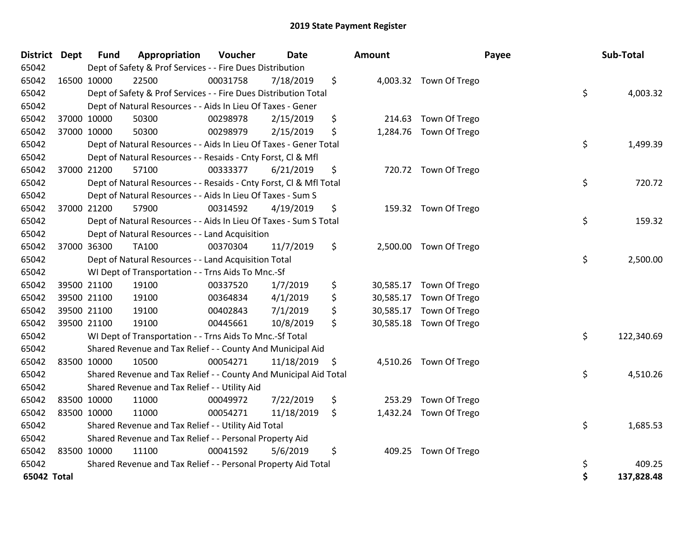| District Dept |             | <b>Fund</b> | Appropriation                                                      | Voucher  | <b>Date</b> | <b>Amount</b> |                         | Payee | Sub-Total  |
|---------------|-------------|-------------|--------------------------------------------------------------------|----------|-------------|---------------|-------------------------|-------|------------|
| 65042         |             |             | Dept of Safety & Prof Services - - Fire Dues Distribution          |          |             |               |                         |       |            |
| 65042         | 16500 10000 |             | 22500                                                              | 00031758 | 7/18/2019   | \$            | 4,003.32 Town Of Trego  |       |            |
| 65042         |             |             | Dept of Safety & Prof Services - - Fire Dues Distribution Total    |          |             |               |                         | \$    | 4,003.32   |
| 65042         |             |             | Dept of Natural Resources - - Aids In Lieu Of Taxes - Gener        |          |             |               |                         |       |            |
| 65042         |             | 37000 10000 | 50300                                                              | 00298978 | 2/15/2019   | \$<br>214.63  | Town Of Trego           |       |            |
| 65042         |             | 37000 10000 | 50300                                                              | 00298979 | 2/15/2019   | \$            | 1,284.76 Town Of Trego  |       |            |
| 65042         |             |             | Dept of Natural Resources - - Aids In Lieu Of Taxes - Gener Total  |          |             |               |                         | \$    | 1,499.39   |
| 65042         |             |             | Dept of Natural Resources - - Resaids - Cnty Forst, Cl & Mfl       |          |             |               |                         |       |            |
| 65042         | 37000 21200 |             | 57100                                                              | 00333377 | 6/21/2019   | \$            | 720.72 Town Of Trego    |       |            |
| 65042         |             |             | Dept of Natural Resources - - Resaids - Cnty Forst, Cl & Mfl Total |          |             |               |                         | \$    | 720.72     |
| 65042         |             |             | Dept of Natural Resources - - Aids In Lieu Of Taxes - Sum S        |          |             |               |                         |       |            |
| 65042         | 37000 21200 |             | 57900                                                              | 00314592 | 4/19/2019   | \$            | 159.32 Town Of Trego    |       |            |
| 65042         |             |             | Dept of Natural Resources - - Aids In Lieu Of Taxes - Sum S Total  |          |             |               |                         | \$    | 159.32     |
| 65042         |             |             | Dept of Natural Resources - - Land Acquisition                     |          |             |               |                         |       |            |
| 65042         |             | 37000 36300 | <b>TA100</b>                                                       | 00370304 | 11/7/2019   | \$            | 2,500.00 Town Of Trego  |       |            |
| 65042         |             |             | Dept of Natural Resources - - Land Acquisition Total               |          |             |               |                         | \$    | 2,500.00   |
| 65042         |             |             | WI Dept of Transportation - - Trns Aids To Mnc.-Sf                 |          |             |               |                         |       |            |
| 65042         | 39500 21100 |             | 19100                                                              | 00337520 | 1/7/2019    | \$            | 30,585.17 Town Of Trego |       |            |
| 65042         | 39500 21100 |             | 19100                                                              | 00364834 | 4/1/2019    | \$            | 30,585.17 Town Of Trego |       |            |
| 65042         |             | 39500 21100 | 19100                                                              | 00402843 | 7/1/2019    | \$            | 30,585.17 Town Of Trego |       |            |
| 65042         |             | 39500 21100 | 19100                                                              | 00445661 | 10/8/2019   | \$            | 30,585.18 Town Of Trego |       |            |
| 65042         |             |             | WI Dept of Transportation - - Trns Aids To Mnc.-Sf Total           |          |             |               |                         | \$    | 122,340.69 |
| 65042         |             |             | Shared Revenue and Tax Relief - - County And Municipal Aid         |          |             |               |                         |       |            |
| 65042         | 83500 10000 |             | 10500                                                              | 00054271 | 11/18/2019  | \$            | 4,510.26 Town Of Trego  |       |            |
| 65042         |             |             | Shared Revenue and Tax Relief - - County And Municipal Aid Total   |          |             |               |                         | \$    | 4,510.26   |
| 65042         |             |             | Shared Revenue and Tax Relief - - Utility Aid                      |          |             |               |                         |       |            |
| 65042         | 83500 10000 |             | 11000                                                              | 00049972 | 7/22/2019   | \$<br>253.29  | Town Of Trego           |       |            |
| 65042         | 83500 10000 |             | 11000                                                              | 00054271 | 11/18/2019  | \$            | 1,432.24 Town Of Trego  |       |            |
| 65042         |             |             | Shared Revenue and Tax Relief - - Utility Aid Total                |          |             |               |                         | \$    | 1,685.53   |
| 65042         |             |             | Shared Revenue and Tax Relief - - Personal Property Aid            |          |             |               |                         |       |            |
| 65042         | 83500 10000 |             | 11100                                                              | 00041592 | 5/6/2019    | \$<br>409.25  | Town Of Trego           |       |            |
| 65042         |             |             | Shared Revenue and Tax Relief - - Personal Property Aid Total      |          |             |               |                         | \$    | 409.25     |
| 65042 Total   |             |             |                                                                    |          |             |               |                         | \$    | 137,828.48 |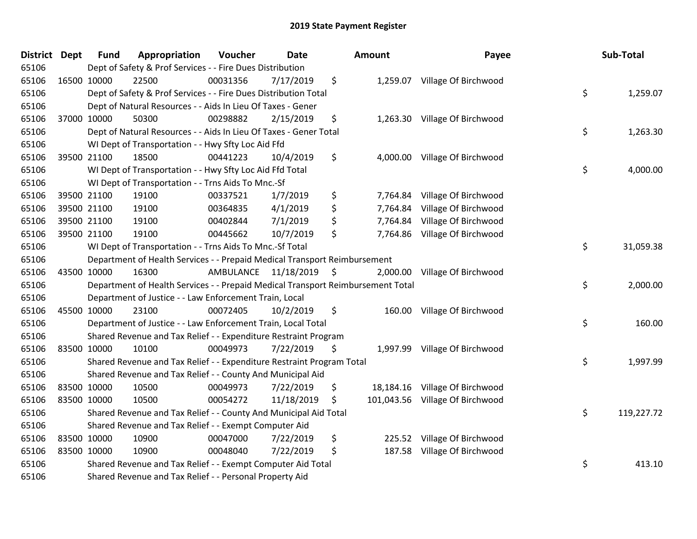| District Dept |             | <b>Fund</b> | Appropriation                                                                   | Voucher                 | <b>Date</b> | <b>Amount</b>   | Payee                           | Sub-Total        |
|---------------|-------------|-------------|---------------------------------------------------------------------------------|-------------------------|-------------|-----------------|---------------------------------|------------------|
| 65106         |             |             | Dept of Safety & Prof Services - - Fire Dues Distribution                       |                         |             |                 |                                 |                  |
| 65106         | 16500 10000 |             | 22500                                                                           | 00031356                | 7/17/2019   | \$              | 1,259.07 Village Of Birchwood   |                  |
| 65106         |             |             | Dept of Safety & Prof Services - - Fire Dues Distribution Total                 |                         |             |                 |                                 | \$<br>1,259.07   |
| 65106         |             |             | Dept of Natural Resources - - Aids In Lieu Of Taxes - Gener                     |                         |             |                 |                                 |                  |
| 65106         | 37000 10000 |             | 50300                                                                           | 00298882                | 2/15/2019   | \$              | 1,263.30 Village Of Birchwood   |                  |
| 65106         |             |             | Dept of Natural Resources - - Aids In Lieu Of Taxes - Gener Total               |                         |             |                 |                                 | \$<br>1,263.30   |
| 65106         |             |             | WI Dept of Transportation - - Hwy Sfty Loc Aid Ffd                              |                         |             |                 |                                 |                  |
| 65106         | 39500 21100 |             | 18500                                                                           | 00441223                | 10/4/2019   | \$              | 4,000.00 Village Of Birchwood   |                  |
| 65106         |             |             | WI Dept of Transportation - - Hwy Sfty Loc Aid Ffd Total                        |                         |             |                 |                                 | \$<br>4,000.00   |
| 65106         |             |             | WI Dept of Transportation - - Trns Aids To Mnc.-Sf                              |                         |             |                 |                                 |                  |
| 65106         |             | 39500 21100 | 19100                                                                           | 00337521                | 1/7/2019    | \$<br>7,764.84  | Village Of Birchwood            |                  |
| 65106         | 39500 21100 |             | 19100                                                                           | 00364835                | 4/1/2019    | \$<br>7,764.84  | Village Of Birchwood            |                  |
| 65106         | 39500 21100 |             | 19100                                                                           | 00402844                | 7/1/2019    | \$              | 7,764.84 Village Of Birchwood   |                  |
| 65106         | 39500 21100 |             | 19100                                                                           | 00445662                | 10/7/2019   | \$<br>7,764.86  | Village Of Birchwood            |                  |
| 65106         |             |             | WI Dept of Transportation - - Trns Aids To Mnc.-Sf Total                        |                         |             |                 |                                 | \$<br>31,059.38  |
| 65106         |             |             | Department of Health Services - - Prepaid Medical Transport Reimbursement       |                         |             |                 |                                 |                  |
| 65106         | 43500 10000 |             | 16300                                                                           | AMBULANCE 11/18/2019 \$ |             | 2,000.00        | Village Of Birchwood            |                  |
| 65106         |             |             | Department of Health Services - - Prepaid Medical Transport Reimbursement Total |                         |             |                 |                                 | \$<br>2,000.00   |
| 65106         |             |             | Department of Justice - - Law Enforcement Train, Local                          |                         |             |                 |                                 |                  |
| 65106         | 45500 10000 |             | 23100                                                                           | 00072405                | 10/2/2019   | \$              | 160.00 Village Of Birchwood     |                  |
| 65106         |             |             | Department of Justice - - Law Enforcement Train, Local Total                    |                         |             |                 |                                 | \$<br>160.00     |
| 65106         |             |             | Shared Revenue and Tax Relief - - Expenditure Restraint Program                 |                         |             |                 |                                 |                  |
| 65106         |             | 83500 10000 | 10100                                                                           | 00049973                | 7/22/2019   | \$              | 1,997.99 Village Of Birchwood   |                  |
| 65106         |             |             | Shared Revenue and Tax Relief - - Expenditure Restraint Program Total           |                         |             |                 |                                 | \$<br>1,997.99   |
| 65106         |             |             | Shared Revenue and Tax Relief - - County And Municipal Aid                      |                         |             |                 |                                 |                  |
| 65106         | 83500 10000 |             | 10500                                                                           | 00049973                | 7/22/2019   | \$<br>18,184.16 | Village Of Birchwood            |                  |
| 65106         | 83500 10000 |             | 10500                                                                           | 00054272                | 11/18/2019  | \$              | 101,043.56 Village Of Birchwood |                  |
| 65106         |             |             | Shared Revenue and Tax Relief - - County And Municipal Aid Total                |                         |             |                 |                                 | \$<br>119,227.72 |
| 65106         |             |             | Shared Revenue and Tax Relief - - Exempt Computer Aid                           |                         |             |                 |                                 |                  |
| 65106         | 83500 10000 |             | 10900                                                                           | 00047000                | 7/22/2019   | \$<br>225.52    | Village Of Birchwood            |                  |
| 65106         | 83500 10000 |             | 10900                                                                           | 00048040                | 7/22/2019   | \$<br>187.58    | Village Of Birchwood            |                  |
| 65106         |             |             | Shared Revenue and Tax Relief - - Exempt Computer Aid Total                     |                         |             |                 |                                 | \$<br>413.10     |
| 65106         |             |             | Shared Revenue and Tax Relief - - Personal Property Aid                         |                         |             |                 |                                 |                  |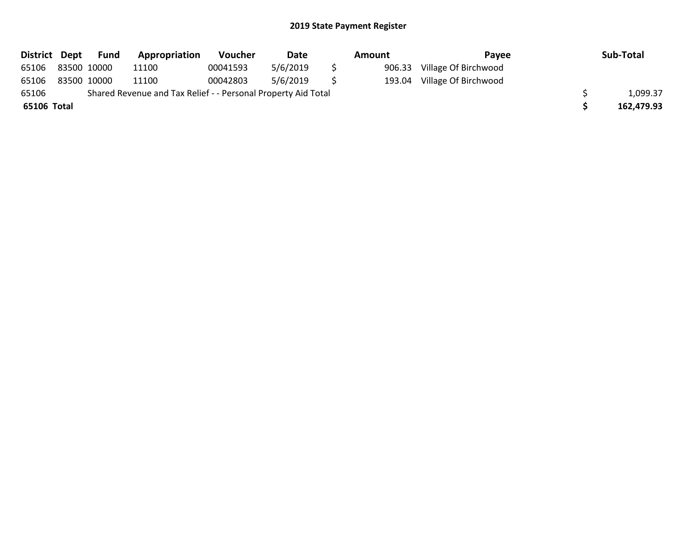| District Dept | Fund        | Appropriation                                                 | <b>Voucher</b> | Date     | Amount | Pavee                | Sub-Total  |
|---------------|-------------|---------------------------------------------------------------|----------------|----------|--------|----------------------|------------|
| 65106         | 83500 10000 | 11100                                                         | 00041593       | 5/6/2019 | 906.33 | Village Of Birchwood |            |
| 65106         | 83500 10000 | 11100                                                         | 00042803       | 5/6/2019 | 193.04 | Village Of Birchwood |            |
| 65106         |             | Shared Revenue and Tax Relief - - Personal Property Aid Total |                |          |        |                      | 1,099.37   |
| 65106 Total   |             |                                                               |                |          |        |                      | 162,479.93 |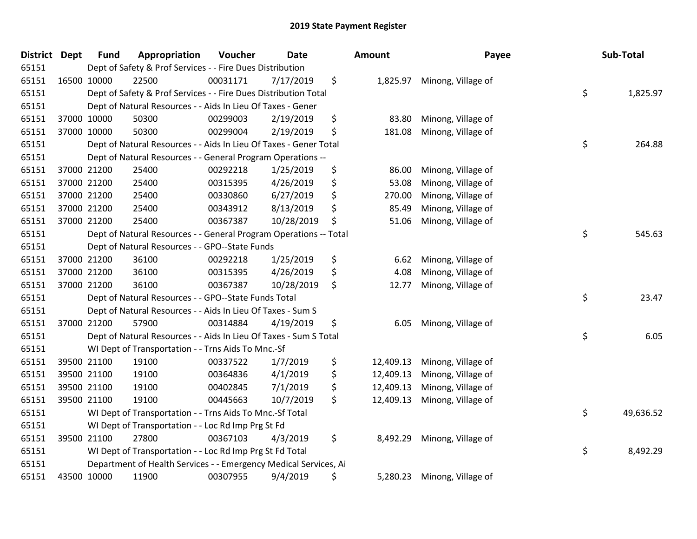| <b>District Dept</b> |             | <b>Fund</b> | Appropriation                                                     | Voucher  | Date       | Amount          | Payee              | Sub-Total       |
|----------------------|-------------|-------------|-------------------------------------------------------------------|----------|------------|-----------------|--------------------|-----------------|
| 65151                |             |             | Dept of Safety & Prof Services - - Fire Dues Distribution         |          |            |                 |                    |                 |
| 65151                |             | 16500 10000 | 22500                                                             | 00031171 | 7/17/2019  | \$<br>1,825.97  | Minong, Village of |                 |
| 65151                |             |             | Dept of Safety & Prof Services - - Fire Dues Distribution Total   |          |            |                 |                    | \$<br>1,825.97  |
| 65151                |             |             | Dept of Natural Resources - - Aids In Lieu Of Taxes - Gener       |          |            |                 |                    |                 |
| 65151                |             | 37000 10000 | 50300                                                             | 00299003 | 2/19/2019  | \$<br>83.80     | Minong, Village of |                 |
| 65151                |             | 37000 10000 | 50300                                                             | 00299004 | 2/19/2019  | \$<br>181.08    | Minong, Village of |                 |
| 65151                |             |             | Dept of Natural Resources - - Aids In Lieu Of Taxes - Gener Total |          |            |                 |                    | \$<br>264.88    |
| 65151                |             |             | Dept of Natural Resources - - General Program Operations --       |          |            |                 |                    |                 |
| 65151                |             | 37000 21200 | 25400                                                             | 00292218 | 1/25/2019  | \$<br>86.00     | Minong, Village of |                 |
| 65151                |             | 37000 21200 | 25400                                                             | 00315395 | 4/26/2019  | \$<br>53.08     | Minong, Village of |                 |
| 65151                |             | 37000 21200 | 25400                                                             | 00330860 | 6/27/2019  | \$<br>270.00    | Minong, Village of |                 |
| 65151                |             | 37000 21200 | 25400                                                             | 00343912 | 8/13/2019  | \$<br>85.49     | Minong, Village of |                 |
| 65151                |             | 37000 21200 | 25400                                                             | 00367387 | 10/28/2019 | \$<br>51.06     | Minong, Village of |                 |
| 65151                |             |             | Dept of Natural Resources - - General Program Operations -- Total |          |            |                 |                    | \$<br>545.63    |
| 65151                |             |             | Dept of Natural Resources - - GPO--State Funds                    |          |            |                 |                    |                 |
| 65151                |             | 37000 21200 | 36100                                                             | 00292218 | 1/25/2019  | \$<br>6.62      | Minong, Village of |                 |
| 65151                |             | 37000 21200 | 36100                                                             | 00315395 | 4/26/2019  | \$<br>4.08      | Minong, Village of |                 |
| 65151                |             | 37000 21200 | 36100                                                             | 00367387 | 10/28/2019 | \$<br>12.77     | Minong, Village of |                 |
| 65151                |             |             | Dept of Natural Resources - - GPO--State Funds Total              |          |            |                 |                    | \$<br>23.47     |
| 65151                |             |             | Dept of Natural Resources - - Aids In Lieu Of Taxes - Sum S       |          |            |                 |                    |                 |
| 65151                | 37000 21200 |             | 57900                                                             | 00314884 | 4/19/2019  | \$<br>6.05      | Minong, Village of |                 |
| 65151                |             |             | Dept of Natural Resources - - Aids In Lieu Of Taxes - Sum S Total |          |            |                 |                    | \$<br>6.05      |
| 65151                |             |             | WI Dept of Transportation - - Trns Aids To Mnc.-Sf                |          |            |                 |                    |                 |
| 65151                |             | 39500 21100 | 19100                                                             | 00337522 | 1/7/2019   | \$<br>12,409.13 | Minong, Village of |                 |
| 65151                |             | 39500 21100 | 19100                                                             | 00364836 | 4/1/2019   | \$<br>12,409.13 | Minong, Village of |                 |
| 65151                |             | 39500 21100 | 19100                                                             | 00402845 | 7/1/2019   | \$<br>12,409.13 | Minong, Village of |                 |
| 65151                |             | 39500 21100 | 19100                                                             | 00445663 | 10/7/2019  | \$<br>12,409.13 | Minong, Village of |                 |
| 65151                |             |             | WI Dept of Transportation - - Trns Aids To Mnc .- Sf Total        |          |            |                 |                    | \$<br>49,636.52 |
| 65151                |             |             | WI Dept of Transportation - - Loc Rd Imp Prg St Fd                |          |            |                 |                    |                 |
| 65151                |             | 39500 21100 | 27800                                                             | 00367103 | 4/3/2019   | \$<br>8,492.29  | Minong, Village of |                 |
| 65151                |             |             | WI Dept of Transportation - - Loc Rd Imp Prg St Fd Total          |          |            |                 |                    | \$<br>8,492.29  |
| 65151                |             |             | Department of Health Services - - Emergency Medical Services, Ai  |          |            |                 |                    |                 |
| 65151                |             | 43500 10000 | 11900                                                             | 00307955 | 9/4/2019   | \$<br>5,280.23  | Minong, Village of |                 |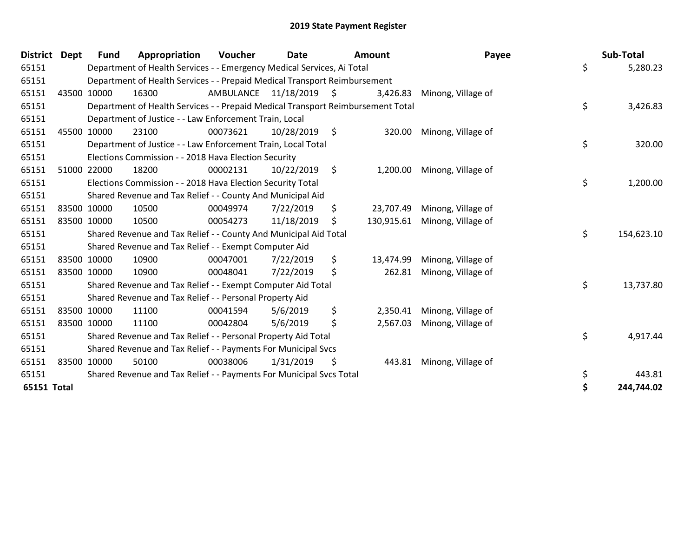| <b>District</b> | Dept        | <b>Fund</b> | Appropriation                                                                   | Voucher                 | <b>Date</b>     |         | <b>Amount</b> | Payee                         | Sub-Total        |
|-----------------|-------------|-------------|---------------------------------------------------------------------------------|-------------------------|-----------------|---------|---------------|-------------------------------|------------------|
| 65151           |             |             | Department of Health Services - - Emergency Medical Services, Ai Total          |                         |                 |         |               |                               | \$<br>5,280.23   |
| 65151           |             |             | Department of Health Services - - Prepaid Medical Transport Reimbursement       |                         |                 |         |               |                               |                  |
| 65151           | 43500 10000 |             | 16300                                                                           | AMBULANCE 11/18/2019 \$ |                 |         | 3,426.83      | Minong, Village of            |                  |
| 65151           |             |             | Department of Health Services - - Prepaid Medical Transport Reimbursement Total |                         |                 |         |               |                               | \$<br>3,426.83   |
| 65151           |             |             | Department of Justice - - Law Enforcement Train, Local                          |                         |                 |         |               |                               |                  |
| 65151           | 45500 10000 |             | 23100                                                                           | 00073621                | $10/28/2019$ \$ |         | 320.00        | Minong, Village of            |                  |
| 65151           |             |             | Department of Justice - - Law Enforcement Train, Local Total                    |                         |                 |         |               |                               | \$<br>320.00     |
| 65151           |             |             | Elections Commission - - 2018 Hava Election Security                            |                         |                 |         |               |                               |                  |
| 65151           |             | 51000 22000 | 18200                                                                           | 00002131                | 10/22/2019      | $\zeta$ | 1,200.00      | Minong, Village of            |                  |
| 65151           |             |             | Elections Commission - - 2018 Hava Election Security Total                      |                         |                 |         |               |                               | \$<br>1,200.00   |
| 65151           |             |             | Shared Revenue and Tax Relief - - County And Municipal Aid                      |                         |                 |         |               |                               |                  |
| 65151           | 83500 10000 |             | 10500                                                                           | 00049974                | 7/22/2019       | \$      | 23,707.49     | Minong, Village of            |                  |
| 65151           | 83500 10000 |             | 10500                                                                           | 00054273                | 11/18/2019      | \$      |               | 130,915.61 Minong, Village of |                  |
| 65151           |             |             | Shared Revenue and Tax Relief - - County And Municipal Aid Total                |                         |                 |         |               |                               | \$<br>154,623.10 |
| 65151           |             |             | Shared Revenue and Tax Relief - - Exempt Computer Aid                           |                         |                 |         |               |                               |                  |
| 65151           | 83500 10000 |             | 10900                                                                           | 00047001                | 7/22/2019       | \$      | 13,474.99     | Minong, Village of            |                  |
| 65151           | 83500 10000 |             | 10900                                                                           | 00048041                | 7/22/2019       | \$      | 262.81        | Minong, Village of            |                  |
| 65151           |             |             | Shared Revenue and Tax Relief - - Exempt Computer Aid Total                     |                         |                 |         |               |                               | \$<br>13,737.80  |
| 65151           |             |             | Shared Revenue and Tax Relief - - Personal Property Aid                         |                         |                 |         |               |                               |                  |
| 65151           | 83500 10000 |             | 11100                                                                           | 00041594                | 5/6/2019        | \$      | 2,350.41      | Minong, Village of            |                  |
| 65151           | 83500 10000 |             | 11100                                                                           | 00042804                | 5/6/2019        | \$      | 2,567.03      | Minong, Village of            |                  |
| 65151           |             |             | Shared Revenue and Tax Relief - - Personal Property Aid Total                   |                         |                 |         |               |                               | \$<br>4,917.44   |
| 65151           |             |             | Shared Revenue and Tax Relief - - Payments For Municipal Svcs                   |                         |                 |         |               |                               |                  |
| 65151           | 83500 10000 |             | 50100                                                                           | 00038006                | 1/31/2019       | \$      |               | 443.81 Minong, Village of     |                  |
| 65151           |             |             | Shared Revenue and Tax Relief - - Payments For Municipal Svcs Total             |                         |                 |         |               |                               | \$<br>443.81     |
| 65151 Total     |             |             |                                                                                 |                         |                 |         |               |                               | 244,744.02       |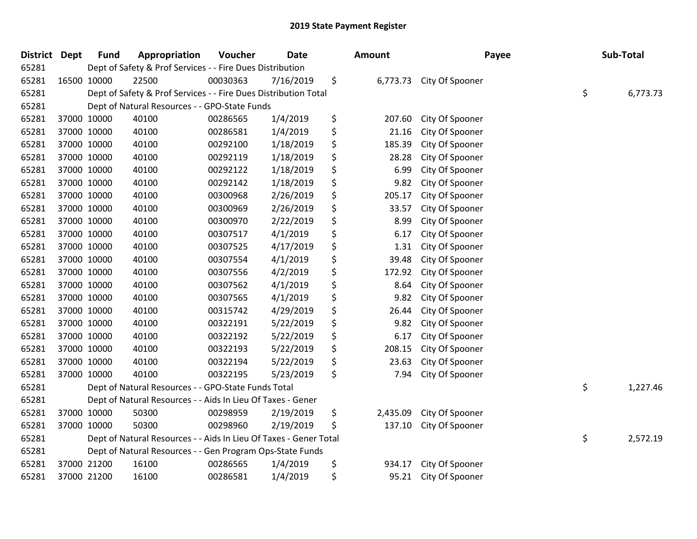| District Dept | <b>Fund</b> | Appropriation                                                     | Voucher  | <b>Date</b> | <b>Amount</b>  | Payee           | Sub-Total      |
|---------------|-------------|-------------------------------------------------------------------|----------|-------------|----------------|-----------------|----------------|
| 65281         |             | Dept of Safety & Prof Services - - Fire Dues Distribution         |          |             |                |                 |                |
| 65281         | 16500 10000 | 22500                                                             | 00030363 | 7/16/2019   | \$<br>6,773.73 | City Of Spooner |                |
| 65281         |             | Dept of Safety & Prof Services - - Fire Dues Distribution Total   |          |             |                |                 | \$<br>6,773.73 |
| 65281         |             | Dept of Natural Resources - - GPO-State Funds                     |          |             |                |                 |                |
| 65281         | 37000 10000 | 40100                                                             | 00286565 | 1/4/2019    | \$<br>207.60   | City Of Spooner |                |
| 65281         | 37000 10000 | 40100                                                             | 00286581 | 1/4/2019    | \$<br>21.16    | City Of Spooner |                |
| 65281         | 37000 10000 | 40100                                                             | 00292100 | 1/18/2019   | \$<br>185.39   | City Of Spooner |                |
| 65281         | 37000 10000 | 40100                                                             | 00292119 | 1/18/2019   | \$<br>28.28    | City Of Spooner |                |
| 65281         | 37000 10000 | 40100                                                             | 00292122 | 1/18/2019   | \$<br>6.99     | City Of Spooner |                |
| 65281         | 37000 10000 | 40100                                                             | 00292142 | 1/18/2019   | \$<br>9.82     | City Of Spooner |                |
| 65281         | 37000 10000 | 40100                                                             | 00300968 | 2/26/2019   | \$<br>205.17   | City Of Spooner |                |
| 65281         | 37000 10000 | 40100                                                             | 00300969 | 2/26/2019   | \$<br>33.57    | City Of Spooner |                |
| 65281         | 37000 10000 | 40100                                                             | 00300970 | 2/22/2019   | \$<br>8.99     | City Of Spooner |                |
| 65281         | 37000 10000 | 40100                                                             | 00307517 | 4/1/2019    | \$<br>6.17     | City Of Spooner |                |
| 65281         | 37000 10000 | 40100                                                             | 00307525 | 4/17/2019   | \$<br>1.31     | City Of Spooner |                |
| 65281         | 37000 10000 | 40100                                                             | 00307554 | 4/1/2019    | \$<br>39.48    | City Of Spooner |                |
| 65281         | 37000 10000 | 40100                                                             | 00307556 | 4/2/2019    | \$<br>172.92   | City Of Spooner |                |
| 65281         | 37000 10000 | 40100                                                             | 00307562 | 4/1/2019    | \$<br>8.64     | City Of Spooner |                |
| 65281         | 37000 10000 | 40100                                                             | 00307565 | 4/1/2019    | \$<br>9.82     | City Of Spooner |                |
| 65281         | 37000 10000 | 40100                                                             | 00315742 | 4/29/2019   | \$<br>26.44    | City Of Spooner |                |
| 65281         | 37000 10000 | 40100                                                             | 00322191 | 5/22/2019   | \$<br>9.82     | City Of Spooner |                |
| 65281         | 37000 10000 | 40100                                                             | 00322192 | 5/22/2019   | \$<br>6.17     | City Of Spooner |                |
| 65281         | 37000 10000 | 40100                                                             | 00322193 | 5/22/2019   | \$<br>208.15   | City Of Spooner |                |
| 65281         | 37000 10000 | 40100                                                             | 00322194 | 5/22/2019   | \$<br>23.63    | City Of Spooner |                |
| 65281         | 37000 10000 | 40100                                                             | 00322195 | 5/23/2019   | \$<br>7.94     | City Of Spooner |                |
| 65281         |             | Dept of Natural Resources - - GPO-State Funds Total               |          |             |                |                 | \$<br>1,227.46 |
| 65281         |             | Dept of Natural Resources - - Aids In Lieu Of Taxes - Gener       |          |             |                |                 |                |
| 65281         | 37000 10000 | 50300                                                             | 00298959 | 2/19/2019   | \$<br>2,435.09 | City Of Spooner |                |
| 65281         | 37000 10000 | 50300                                                             | 00298960 | 2/19/2019   | \$<br>137.10   | City Of Spooner |                |
| 65281         |             | Dept of Natural Resources - - Aids In Lieu Of Taxes - Gener Total |          |             |                |                 | \$<br>2,572.19 |
| 65281         |             | Dept of Natural Resources - - Gen Program Ops-State Funds         |          |             |                |                 |                |
| 65281         | 37000 21200 | 16100                                                             | 00286565 | 1/4/2019    | \$<br>934.17   | City Of Spooner |                |
| 65281         | 37000 21200 | 16100                                                             | 00286581 | 1/4/2019    | \$<br>95.21    | City Of Spooner |                |
|               |             |                                                                   |          |             |                |                 |                |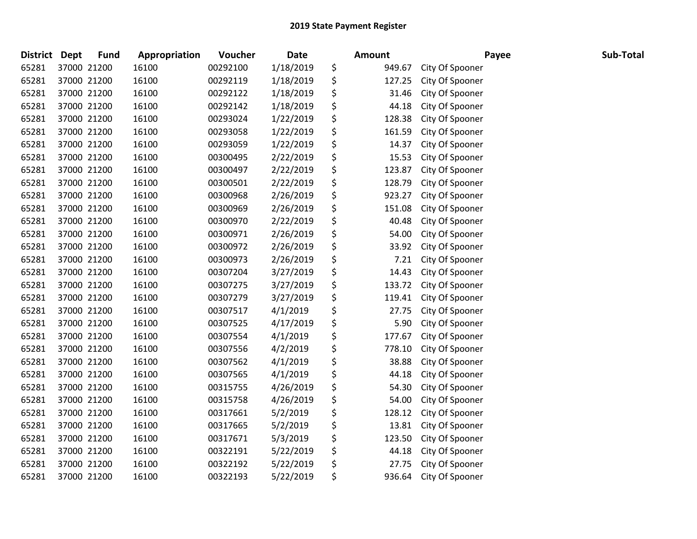| <b>District</b> | <b>Dept</b> | <b>Fund</b> | Appropriation | <b>Voucher</b> | <b>Date</b> | Amount       | Payee           | Sub-Total |
|-----------------|-------------|-------------|---------------|----------------|-------------|--------------|-----------------|-----------|
| 65281           | 37000 21200 |             | 16100         | 00292100       | 1/18/2019   | \$<br>949.67 | City Of Spooner |           |
| 65281           | 37000 21200 |             | 16100         | 00292119       | 1/18/2019   | \$<br>127.25 | City Of Spooner |           |
| 65281           | 37000 21200 |             | 16100         | 00292122       | 1/18/2019   | \$<br>31.46  | City Of Spooner |           |
| 65281           | 37000 21200 |             | 16100         | 00292142       | 1/18/2019   | \$<br>44.18  | City Of Spooner |           |
| 65281           | 37000 21200 |             | 16100         | 00293024       | 1/22/2019   | \$<br>128.38 | City Of Spooner |           |
| 65281           | 37000 21200 |             | 16100         | 00293058       | 1/22/2019   | \$<br>161.59 | City Of Spooner |           |
| 65281           | 37000 21200 |             | 16100         | 00293059       | 1/22/2019   | \$<br>14.37  | City Of Spooner |           |
| 65281           | 37000 21200 |             | 16100         | 00300495       | 2/22/2019   | \$<br>15.53  | City Of Spooner |           |
| 65281           | 37000 21200 |             | 16100         | 00300497       | 2/22/2019   | \$<br>123.87 | City Of Spooner |           |
| 65281           | 37000 21200 |             | 16100         | 00300501       | 2/22/2019   | \$<br>128.79 | City Of Spooner |           |
| 65281           | 37000 21200 |             | 16100         | 00300968       | 2/26/2019   | \$<br>923.27 | City Of Spooner |           |
| 65281           | 37000 21200 |             | 16100         | 00300969       | 2/26/2019   | \$<br>151.08 | City Of Spooner |           |
| 65281           | 37000 21200 |             | 16100         | 00300970       | 2/22/2019   | \$<br>40.48  | City Of Spooner |           |
| 65281           | 37000 21200 |             | 16100         | 00300971       | 2/26/2019   | \$<br>54.00  | City Of Spooner |           |
| 65281           | 37000 21200 |             | 16100         | 00300972       | 2/26/2019   | \$<br>33.92  | City Of Spooner |           |
| 65281           | 37000 21200 |             | 16100         | 00300973       | 2/26/2019   | \$<br>7.21   | City Of Spooner |           |
| 65281           | 37000 21200 |             | 16100         | 00307204       | 3/27/2019   | \$<br>14.43  | City Of Spooner |           |
| 65281           | 37000 21200 |             | 16100         | 00307275       | 3/27/2019   | \$<br>133.72 | City Of Spooner |           |
| 65281           | 37000 21200 |             | 16100         | 00307279       | 3/27/2019   | \$<br>119.41 | City Of Spooner |           |
| 65281           | 37000 21200 |             | 16100         | 00307517       | 4/1/2019    | \$<br>27.75  | City Of Spooner |           |
| 65281           | 37000 21200 |             | 16100         | 00307525       | 4/17/2019   | \$<br>5.90   | City Of Spooner |           |
| 65281           | 37000 21200 |             | 16100         | 00307554       | 4/1/2019    | \$<br>177.67 | City Of Spooner |           |
| 65281           | 37000 21200 |             | 16100         | 00307556       | 4/2/2019    | \$<br>778.10 | City Of Spooner |           |
| 65281           | 37000 21200 |             | 16100         | 00307562       | 4/1/2019    | \$<br>38.88  | City Of Spooner |           |
| 65281           | 37000 21200 |             | 16100         | 00307565       | 4/1/2019    | \$<br>44.18  | City Of Spooner |           |
| 65281           | 37000 21200 |             | 16100         | 00315755       | 4/26/2019   | \$<br>54.30  | City Of Spooner |           |
| 65281           | 37000 21200 |             | 16100         | 00315758       | 4/26/2019   | \$<br>54.00  | City Of Spooner |           |
| 65281           | 37000 21200 |             | 16100         | 00317661       | 5/2/2019    | \$<br>128.12 | City Of Spooner |           |
| 65281           | 37000 21200 |             | 16100         | 00317665       | 5/2/2019    | \$<br>13.81  | City Of Spooner |           |
| 65281           | 37000 21200 |             | 16100         | 00317671       | 5/3/2019    | \$<br>123.50 | City Of Spooner |           |
| 65281           | 37000 21200 |             | 16100         | 00322191       | 5/22/2019   | \$<br>44.18  | City Of Spooner |           |
| 65281           | 37000 21200 |             | 16100         | 00322192       | 5/22/2019   | \$<br>27.75  | City Of Spooner |           |
| 65281           | 37000 21200 |             | 16100         | 00322193       | 5/22/2019   | \$<br>936.64 | City Of Spooner |           |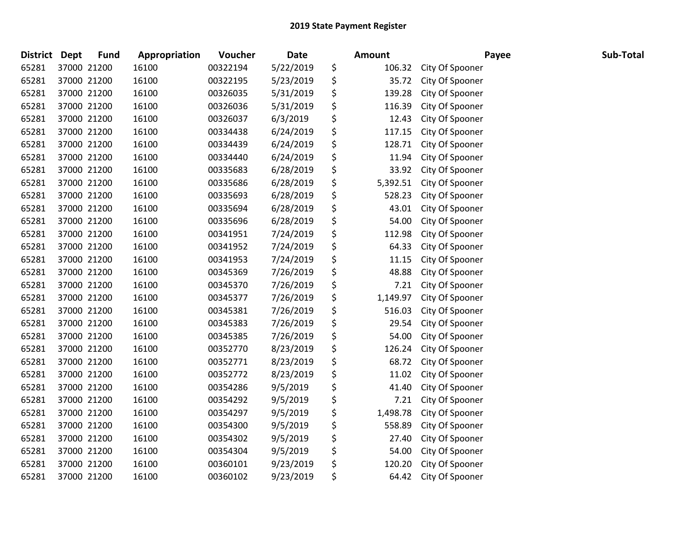| <b>District</b> | <b>Dept</b> | <b>Fund</b> | Appropriation | Voucher  | <b>Date</b> | <b>Amount</b>  | Payee           | Sub-Total |
|-----------------|-------------|-------------|---------------|----------|-------------|----------------|-----------------|-----------|
| 65281           |             | 37000 21200 | 16100         | 00322194 | 5/22/2019   | \$<br>106.32   | City Of Spooner |           |
| 65281           |             | 37000 21200 | 16100         | 00322195 | 5/23/2019   | \$<br>35.72    | City Of Spooner |           |
| 65281           |             | 37000 21200 | 16100         | 00326035 | 5/31/2019   | \$<br>139.28   | City Of Spooner |           |
| 65281           |             | 37000 21200 | 16100         | 00326036 | 5/31/2019   | \$<br>116.39   | City Of Spooner |           |
| 65281           |             | 37000 21200 | 16100         | 00326037 | 6/3/2019    | \$<br>12.43    | City Of Spooner |           |
| 65281           |             | 37000 21200 | 16100         | 00334438 | 6/24/2019   | \$<br>117.15   | City Of Spooner |           |
| 65281           |             | 37000 21200 | 16100         | 00334439 | 6/24/2019   | \$<br>128.71   | City Of Spooner |           |
| 65281           |             | 37000 21200 | 16100         | 00334440 | 6/24/2019   | \$<br>11.94    | City Of Spooner |           |
| 65281           |             | 37000 21200 | 16100         | 00335683 | 6/28/2019   | \$<br>33.92    | City Of Spooner |           |
| 65281           |             | 37000 21200 | 16100         | 00335686 | 6/28/2019   | \$<br>5,392.51 | City Of Spooner |           |
| 65281           |             | 37000 21200 | 16100         | 00335693 | 6/28/2019   | \$<br>528.23   | City Of Spooner |           |
| 65281           |             | 37000 21200 | 16100         | 00335694 | 6/28/2019   | \$<br>43.01    | City Of Spooner |           |
| 65281           |             | 37000 21200 | 16100         | 00335696 | 6/28/2019   | \$<br>54.00    | City Of Spooner |           |
| 65281           |             | 37000 21200 | 16100         | 00341951 | 7/24/2019   | \$<br>112.98   | City Of Spooner |           |
| 65281           |             | 37000 21200 | 16100         | 00341952 | 7/24/2019   | \$<br>64.33    | City Of Spooner |           |
| 65281           |             | 37000 21200 | 16100         | 00341953 | 7/24/2019   | \$<br>11.15    | City Of Spooner |           |
| 65281           |             | 37000 21200 | 16100         | 00345369 | 7/26/2019   | \$<br>48.88    | City Of Spooner |           |
| 65281           |             | 37000 21200 | 16100         | 00345370 | 7/26/2019   | \$<br>7.21     | City Of Spooner |           |
| 65281           |             | 37000 21200 | 16100         | 00345377 | 7/26/2019   | \$<br>1,149.97 | City Of Spooner |           |
| 65281           |             | 37000 21200 | 16100         | 00345381 | 7/26/2019   | \$<br>516.03   | City Of Spooner |           |
| 65281           |             | 37000 21200 | 16100         | 00345383 | 7/26/2019   | \$<br>29.54    | City Of Spooner |           |
| 65281           |             | 37000 21200 | 16100         | 00345385 | 7/26/2019   | \$<br>54.00    | City Of Spooner |           |
| 65281           |             | 37000 21200 | 16100         | 00352770 | 8/23/2019   | \$<br>126.24   | City Of Spooner |           |
| 65281           |             | 37000 21200 | 16100         | 00352771 | 8/23/2019   | \$<br>68.72    | City Of Spooner |           |
| 65281           |             | 37000 21200 | 16100         | 00352772 | 8/23/2019   | \$<br>11.02    | City Of Spooner |           |
| 65281           |             | 37000 21200 | 16100         | 00354286 | 9/5/2019    | \$<br>41.40    | City Of Spooner |           |
| 65281           |             | 37000 21200 | 16100         | 00354292 | 9/5/2019    | \$<br>7.21     | City Of Spooner |           |
| 65281           |             | 37000 21200 | 16100         | 00354297 | 9/5/2019    | \$<br>1,498.78 | City Of Spooner |           |
| 65281           |             | 37000 21200 | 16100         | 00354300 | 9/5/2019    | \$<br>558.89   | City Of Spooner |           |
| 65281           |             | 37000 21200 | 16100         | 00354302 | 9/5/2019    | \$<br>27.40    | City Of Spooner |           |
| 65281           |             | 37000 21200 | 16100         | 00354304 | 9/5/2019    | \$<br>54.00    | City Of Spooner |           |
| 65281           |             | 37000 21200 | 16100         | 00360101 | 9/23/2019   | \$<br>120.20   | City Of Spooner |           |
| 65281           |             | 37000 21200 | 16100         | 00360102 | 9/23/2019   | \$<br>64.42    | City Of Spooner |           |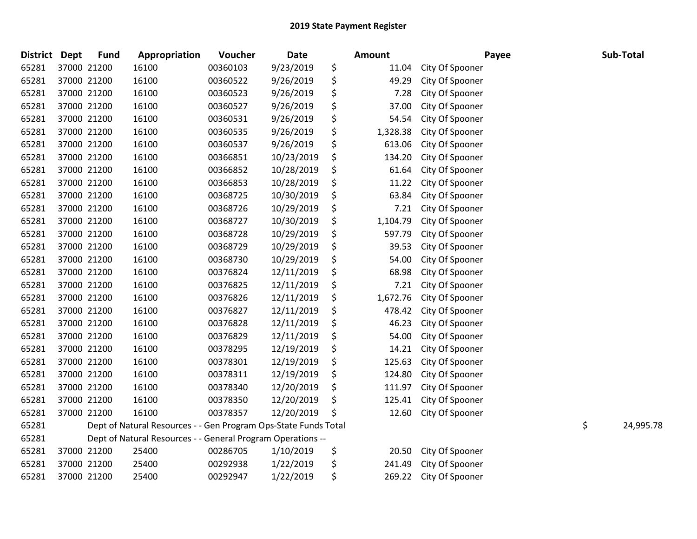| <b>District</b> | <b>Dept</b> | <b>Fund</b> | Appropriation                                                   | Voucher  | Date       |    | <b>Amount</b> | Payee           |    | Sub-Total |
|-----------------|-------------|-------------|-----------------------------------------------------------------|----------|------------|----|---------------|-----------------|----|-----------|
| 65281           | 37000 21200 |             | 16100                                                           | 00360103 | 9/23/2019  | \$ | 11.04         | City Of Spooner |    |           |
| 65281           | 37000 21200 |             | 16100                                                           | 00360522 | 9/26/2019  | \$ | 49.29         | City Of Spooner |    |           |
| 65281           | 37000 21200 |             | 16100                                                           | 00360523 | 9/26/2019  | \$ | 7.28          | City Of Spooner |    |           |
| 65281           | 37000 21200 |             | 16100                                                           | 00360527 | 9/26/2019  | \$ | 37.00         | City Of Spooner |    |           |
| 65281           | 37000 21200 |             | 16100                                                           | 00360531 | 9/26/2019  | \$ | 54.54         | City Of Spooner |    |           |
| 65281           | 37000 21200 |             | 16100                                                           | 00360535 | 9/26/2019  | \$ | 1,328.38      | City Of Spooner |    |           |
| 65281           | 37000 21200 |             | 16100                                                           | 00360537 | 9/26/2019  | \$ | 613.06        | City Of Spooner |    |           |
| 65281           | 37000 21200 |             | 16100                                                           | 00366851 | 10/23/2019 | \$ | 134.20        | City Of Spooner |    |           |
| 65281           | 37000 21200 |             | 16100                                                           | 00366852 | 10/28/2019 | \$ | 61.64         | City Of Spooner |    |           |
| 65281           | 37000 21200 |             | 16100                                                           | 00366853 | 10/28/2019 | \$ | 11.22         | City Of Spooner |    |           |
| 65281           | 37000 21200 |             | 16100                                                           | 00368725 | 10/30/2019 | \$ | 63.84         | City Of Spooner |    |           |
| 65281           | 37000 21200 |             | 16100                                                           | 00368726 | 10/29/2019 | \$ | 7.21          | City Of Spooner |    |           |
| 65281           | 37000 21200 |             | 16100                                                           | 00368727 | 10/30/2019 | \$ | 1,104.79      | City Of Spooner |    |           |
| 65281           | 37000 21200 |             | 16100                                                           | 00368728 | 10/29/2019 | \$ | 597.79        | City Of Spooner |    |           |
| 65281           | 37000 21200 |             | 16100                                                           | 00368729 | 10/29/2019 | \$ | 39.53         | City Of Spooner |    |           |
| 65281           | 37000 21200 |             | 16100                                                           | 00368730 | 10/29/2019 | \$ | 54.00         | City Of Spooner |    |           |
| 65281           | 37000 21200 |             | 16100                                                           | 00376824 | 12/11/2019 | \$ | 68.98         | City Of Spooner |    |           |
| 65281           | 37000 21200 |             | 16100                                                           | 00376825 | 12/11/2019 | \$ | 7.21          | City Of Spooner |    |           |
| 65281           | 37000 21200 |             | 16100                                                           | 00376826 | 12/11/2019 | \$ | 1,672.76      | City Of Spooner |    |           |
| 65281           | 37000 21200 |             | 16100                                                           | 00376827 | 12/11/2019 | \$ | 478.42        | City Of Spooner |    |           |
| 65281           | 37000 21200 |             | 16100                                                           | 00376828 | 12/11/2019 | \$ | 46.23         | City Of Spooner |    |           |
| 65281           | 37000 21200 |             | 16100                                                           | 00376829 | 12/11/2019 | \$ | 54.00         | City Of Spooner |    |           |
| 65281           | 37000 21200 |             | 16100                                                           | 00378295 | 12/19/2019 | \$ | 14.21         | City Of Spooner |    |           |
| 65281           | 37000 21200 |             | 16100                                                           | 00378301 | 12/19/2019 | \$ | 125.63        | City Of Spooner |    |           |
| 65281           | 37000 21200 |             | 16100                                                           | 00378311 | 12/19/2019 | \$ | 124.80        | City Of Spooner |    |           |
| 65281           | 37000 21200 |             | 16100                                                           | 00378340 | 12/20/2019 | \$ | 111.97        | City Of Spooner |    |           |
| 65281           | 37000 21200 |             | 16100                                                           | 00378350 | 12/20/2019 | \$ | 125.41        | City Of Spooner |    |           |
| 65281           | 37000 21200 |             | 16100                                                           | 00378357 | 12/20/2019 | Ś  | 12.60         | City Of Spooner |    |           |
| 65281           |             |             | Dept of Natural Resources - - Gen Program Ops-State Funds Total |          |            |    |               |                 | \$ | 24,995.78 |
| 65281           |             |             | Dept of Natural Resources - - General Program Operations --     |          |            |    |               |                 |    |           |
| 65281           | 37000 21200 |             | 25400                                                           | 00286705 | 1/10/2019  | \$ | 20.50         | City Of Spooner |    |           |
| 65281           | 37000 21200 |             | 25400                                                           | 00292938 | 1/22/2019  | \$ | 241.49        | City Of Spooner |    |           |
| 65281           | 37000 21200 |             | 25400                                                           | 00292947 | 1/22/2019  | \$ | 269.22        | City Of Spooner |    |           |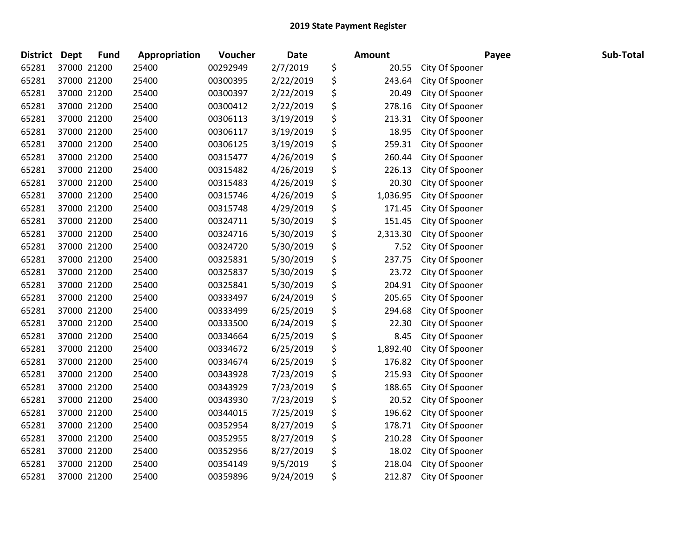| <b>District</b> | <b>Dept</b> | Fund        | Appropriation | Voucher  | <b>Date</b> | Amount         |                 | Payee | Sub-Total |
|-----------------|-------------|-------------|---------------|----------|-------------|----------------|-----------------|-------|-----------|
| 65281           |             | 37000 21200 | 25400         | 00292949 | 2/7/2019    | \$<br>20.55    | City Of Spooner |       |           |
| 65281           |             | 37000 21200 | 25400         | 00300395 | 2/22/2019   | \$<br>243.64   | City Of Spooner |       |           |
| 65281           |             | 37000 21200 | 25400         | 00300397 | 2/22/2019   | \$<br>20.49    | City Of Spooner |       |           |
| 65281           |             | 37000 21200 | 25400         | 00300412 | 2/22/2019   | \$<br>278.16   | City Of Spooner |       |           |
| 65281           |             | 37000 21200 | 25400         | 00306113 | 3/19/2019   | \$<br>213.31   | City Of Spooner |       |           |
| 65281           |             | 37000 21200 | 25400         | 00306117 | 3/19/2019   | \$<br>18.95    | City Of Spooner |       |           |
| 65281           |             | 37000 21200 | 25400         | 00306125 | 3/19/2019   | \$<br>259.31   | City Of Spooner |       |           |
| 65281           |             | 37000 21200 | 25400         | 00315477 | 4/26/2019   | \$<br>260.44   | City Of Spooner |       |           |
| 65281           |             | 37000 21200 | 25400         | 00315482 | 4/26/2019   | \$<br>226.13   | City Of Spooner |       |           |
| 65281           |             | 37000 21200 | 25400         | 00315483 | 4/26/2019   | \$<br>20.30    | City Of Spooner |       |           |
| 65281           |             | 37000 21200 | 25400         | 00315746 | 4/26/2019   | \$<br>1,036.95 | City Of Spooner |       |           |
| 65281           |             | 37000 21200 | 25400         | 00315748 | 4/29/2019   | \$<br>171.45   | City Of Spooner |       |           |
| 65281           |             | 37000 21200 | 25400         | 00324711 | 5/30/2019   | \$<br>151.45   | City Of Spooner |       |           |
| 65281           |             | 37000 21200 | 25400         | 00324716 | 5/30/2019   | \$<br>2,313.30 | City Of Spooner |       |           |
| 65281           |             | 37000 21200 | 25400         | 00324720 | 5/30/2019   | \$<br>7.52     | City Of Spooner |       |           |
| 65281           |             | 37000 21200 | 25400         | 00325831 | 5/30/2019   | \$<br>237.75   | City Of Spooner |       |           |
| 65281           |             | 37000 21200 | 25400         | 00325837 | 5/30/2019   | \$<br>23.72    | City Of Spooner |       |           |
| 65281           |             | 37000 21200 | 25400         | 00325841 | 5/30/2019   | \$<br>204.91   | City Of Spooner |       |           |
| 65281           |             | 37000 21200 | 25400         | 00333497 | 6/24/2019   | \$<br>205.65   | City Of Spooner |       |           |
| 65281           |             | 37000 21200 | 25400         | 00333499 | 6/25/2019   | \$<br>294.68   | City Of Spooner |       |           |
| 65281           |             | 37000 21200 | 25400         | 00333500 | 6/24/2019   | \$<br>22.30    | City Of Spooner |       |           |
| 65281           |             | 37000 21200 | 25400         | 00334664 | 6/25/2019   | \$<br>8.45     | City Of Spooner |       |           |
| 65281           |             | 37000 21200 | 25400         | 00334672 | 6/25/2019   | \$<br>1,892.40 | City Of Spooner |       |           |
| 65281           |             | 37000 21200 | 25400         | 00334674 | 6/25/2019   | \$<br>176.82   | City Of Spooner |       |           |
| 65281           |             | 37000 21200 | 25400         | 00343928 | 7/23/2019   | \$<br>215.93   | City Of Spooner |       |           |
| 65281           |             | 37000 21200 | 25400         | 00343929 | 7/23/2019   | \$<br>188.65   | City Of Spooner |       |           |
| 65281           |             | 37000 21200 | 25400         | 00343930 | 7/23/2019   | \$<br>20.52    | City Of Spooner |       |           |
| 65281           |             | 37000 21200 | 25400         | 00344015 | 7/25/2019   | \$<br>196.62   | City Of Spooner |       |           |
| 65281           |             | 37000 21200 | 25400         | 00352954 | 8/27/2019   | \$<br>178.71   | City Of Spooner |       |           |
| 65281           |             | 37000 21200 | 25400         | 00352955 | 8/27/2019   | \$<br>210.28   | City Of Spooner |       |           |
| 65281           |             | 37000 21200 | 25400         | 00352956 | 8/27/2019   | \$<br>18.02    | City Of Spooner |       |           |
| 65281           |             | 37000 21200 | 25400         | 00354149 | 9/5/2019    | \$<br>218.04   | City Of Spooner |       |           |
| 65281           |             | 37000 21200 | 25400         | 00359896 | 9/24/2019   | \$<br>212.87   | City Of Spooner |       |           |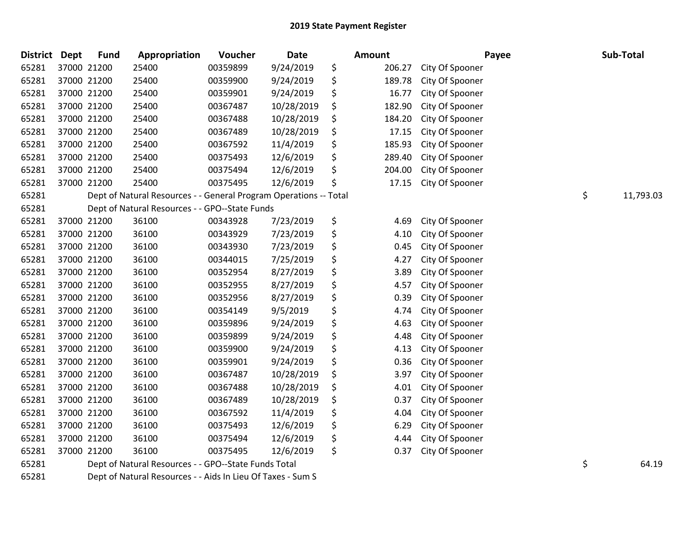| <b>District</b> | <b>Dept</b> | <b>Fund</b> | Appropriation                                                     | <b>Voucher</b> | <b>Date</b> | Amount |        | Payee           | Sub-Total       |
|-----------------|-------------|-------------|-------------------------------------------------------------------|----------------|-------------|--------|--------|-----------------|-----------------|
| 65281           |             | 37000 21200 | 25400                                                             | 00359899       | 9/24/2019   | \$     | 206.27 | City Of Spooner |                 |
| 65281           |             | 37000 21200 | 25400                                                             | 00359900       | 9/24/2019   | \$     | 189.78 | City Of Spooner |                 |
| 65281           |             | 37000 21200 | 25400                                                             | 00359901       | 9/24/2019   | \$     | 16.77  | City Of Spooner |                 |
| 65281           |             | 37000 21200 | 25400                                                             | 00367487       | 10/28/2019  | \$     | 182.90 | City Of Spooner |                 |
| 65281           |             | 37000 21200 | 25400                                                             | 00367488       | 10/28/2019  | \$     | 184.20 | City Of Spooner |                 |
| 65281           |             | 37000 21200 | 25400                                                             | 00367489       | 10/28/2019  | \$     | 17.15  | City Of Spooner |                 |
| 65281           |             | 37000 21200 | 25400                                                             | 00367592       | 11/4/2019   | \$     | 185.93 | City Of Spooner |                 |
| 65281           |             | 37000 21200 | 25400                                                             | 00375493       | 12/6/2019   | \$     | 289.40 | City Of Spooner |                 |
| 65281           |             | 37000 21200 | 25400                                                             | 00375494       | 12/6/2019   | \$     | 204.00 | City Of Spooner |                 |
| 65281           |             | 37000 21200 | 25400                                                             | 00375495       | 12/6/2019   | \$     | 17.15  | City Of Spooner |                 |
| 65281           |             |             | Dept of Natural Resources - - General Program Operations -- Total |                |             |        |        |                 | \$<br>11,793.03 |
| 65281           |             |             | Dept of Natural Resources - - GPO--State Funds                    |                |             |        |        |                 |                 |
| 65281           |             | 37000 21200 | 36100                                                             | 00343928       | 7/23/2019   | \$     | 4.69   | City Of Spooner |                 |
| 65281           |             | 37000 21200 | 36100                                                             | 00343929       | 7/23/2019   | \$     | 4.10   | City Of Spooner |                 |
| 65281           |             | 37000 21200 | 36100                                                             | 00343930       | 7/23/2019   | \$     | 0.45   | City Of Spooner |                 |
| 65281           |             | 37000 21200 | 36100                                                             | 00344015       | 7/25/2019   | \$     | 4.27   | City Of Spooner |                 |
| 65281           |             | 37000 21200 | 36100                                                             | 00352954       | 8/27/2019   | \$     | 3.89   | City Of Spooner |                 |
| 65281           |             | 37000 21200 | 36100                                                             | 00352955       | 8/27/2019   | \$     | 4.57   | City Of Spooner |                 |
| 65281           |             | 37000 21200 | 36100                                                             | 00352956       | 8/27/2019   | \$     | 0.39   | City Of Spooner |                 |
| 65281           |             | 37000 21200 | 36100                                                             | 00354149       | 9/5/2019    | \$     | 4.74   | City Of Spooner |                 |
| 65281           |             | 37000 21200 | 36100                                                             | 00359896       | 9/24/2019   | \$     | 4.63   | City Of Spooner |                 |
| 65281           |             | 37000 21200 | 36100                                                             | 00359899       | 9/24/2019   | \$     | 4.48   | City Of Spooner |                 |
| 65281           |             | 37000 21200 | 36100                                                             | 00359900       | 9/24/2019   | \$     | 4.13   | City Of Spooner |                 |
| 65281           |             | 37000 21200 | 36100                                                             | 00359901       | 9/24/2019   | \$     | 0.36   | City Of Spooner |                 |
| 65281           |             | 37000 21200 | 36100                                                             | 00367487       | 10/28/2019  | \$     | 3.97   | City Of Spooner |                 |
| 65281           |             | 37000 21200 | 36100                                                             | 00367488       | 10/28/2019  | \$     | 4.01   | City Of Spooner |                 |
| 65281           |             | 37000 21200 | 36100                                                             | 00367489       | 10/28/2019  | \$     | 0.37   | City Of Spooner |                 |
| 65281           |             | 37000 21200 | 36100                                                             | 00367592       | 11/4/2019   | \$     | 4.04   | City Of Spooner |                 |
| 65281           |             | 37000 21200 | 36100                                                             | 00375493       | 12/6/2019   | \$     | 6.29   | City Of Spooner |                 |
| 65281           |             | 37000 21200 | 36100                                                             | 00375494       | 12/6/2019   | \$     | 4.44   | City Of Spooner |                 |
| 65281           |             | 37000 21200 | 36100                                                             | 00375495       | 12/6/2019   | \$     | 0.37   | City Of Spooner |                 |
| 65281           |             |             | Dept of Natural Resources - - GPO--State Funds Total              |                |             |        |        |                 | \$<br>64.19     |
| 65281           |             |             | Dept of Natural Resources - - Aids In Lieu Of Taxes - Sum S       |                |             |        |        |                 |                 |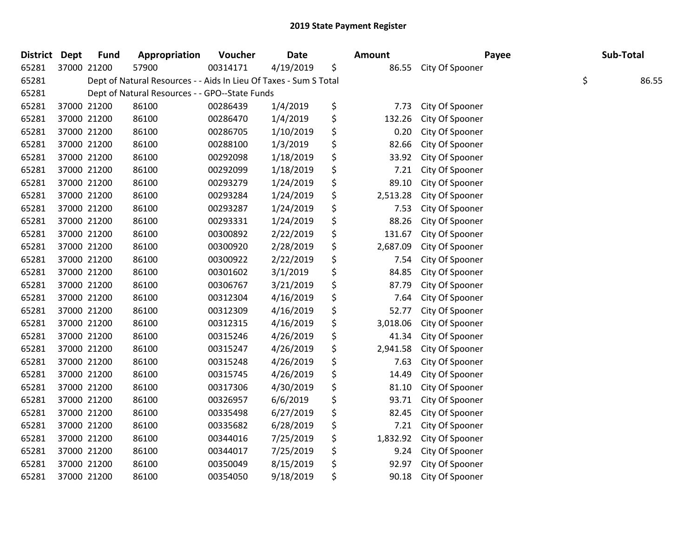| District Dept | <b>Fund</b> | Appropriation                                                     | Voucher  | <b>Date</b> | <b>Amount</b>  | Payee           | Sub-Total   |
|---------------|-------------|-------------------------------------------------------------------|----------|-------------|----------------|-----------------|-------------|
| 65281         | 37000 21200 | 57900                                                             | 00314171 | 4/19/2019   | \$<br>86.55    | City Of Spooner |             |
| 65281         |             | Dept of Natural Resources - - Aids In Lieu Of Taxes - Sum S Total |          |             |                |                 | \$<br>86.55 |
| 65281         |             | Dept of Natural Resources - - GPO--State Funds                    |          |             |                |                 |             |
| 65281         | 37000 21200 | 86100                                                             | 00286439 | 1/4/2019    | \$<br>7.73     | City Of Spooner |             |
| 65281         | 37000 21200 | 86100                                                             | 00286470 | 1/4/2019    | \$<br>132.26   | City Of Spooner |             |
| 65281         | 37000 21200 | 86100                                                             | 00286705 | 1/10/2019   | \$<br>0.20     | City Of Spooner |             |
| 65281         | 37000 21200 | 86100                                                             | 00288100 | 1/3/2019    | \$<br>82.66    | City Of Spooner |             |
| 65281         | 37000 21200 | 86100                                                             | 00292098 | 1/18/2019   | \$<br>33.92    | City Of Spooner |             |
| 65281         | 37000 21200 | 86100                                                             | 00292099 | 1/18/2019   | \$<br>7.21     | City Of Spooner |             |
| 65281         | 37000 21200 | 86100                                                             | 00293279 | 1/24/2019   | \$<br>89.10    | City Of Spooner |             |
| 65281         | 37000 21200 | 86100                                                             | 00293284 | 1/24/2019   | \$<br>2,513.28 | City Of Spooner |             |
| 65281         | 37000 21200 | 86100                                                             | 00293287 | 1/24/2019   | \$<br>7.53     | City Of Spooner |             |
| 65281         | 37000 21200 | 86100                                                             | 00293331 | 1/24/2019   | \$<br>88.26    | City Of Spooner |             |
| 65281         | 37000 21200 | 86100                                                             | 00300892 | 2/22/2019   | \$<br>131.67   | City Of Spooner |             |
| 65281         | 37000 21200 | 86100                                                             | 00300920 | 2/28/2019   | \$<br>2,687.09 | City Of Spooner |             |
| 65281         | 37000 21200 | 86100                                                             | 00300922 | 2/22/2019   | \$<br>7.54     | City Of Spooner |             |
| 65281         | 37000 21200 | 86100                                                             | 00301602 | 3/1/2019    | \$<br>84.85    | City Of Spooner |             |
| 65281         | 37000 21200 | 86100                                                             | 00306767 | 3/21/2019   | \$<br>87.79    | City Of Spooner |             |
| 65281         | 37000 21200 | 86100                                                             | 00312304 | 4/16/2019   | \$<br>7.64     | City Of Spooner |             |
| 65281         | 37000 21200 | 86100                                                             | 00312309 | 4/16/2019   | \$<br>52.77    | City Of Spooner |             |
| 65281         | 37000 21200 | 86100                                                             | 00312315 | 4/16/2019   | \$<br>3,018.06 | City Of Spooner |             |
| 65281         | 37000 21200 | 86100                                                             | 00315246 | 4/26/2019   | \$<br>41.34    | City Of Spooner |             |
| 65281         | 37000 21200 | 86100                                                             | 00315247 | 4/26/2019   | \$<br>2,941.58 | City Of Spooner |             |
| 65281         | 37000 21200 | 86100                                                             | 00315248 | 4/26/2019   | \$<br>7.63     | City Of Spooner |             |
| 65281         | 37000 21200 | 86100                                                             | 00315745 | 4/26/2019   | \$<br>14.49    | City Of Spooner |             |
| 65281         | 37000 21200 | 86100                                                             | 00317306 | 4/30/2019   | \$<br>81.10    | City Of Spooner |             |
| 65281         | 37000 21200 | 86100                                                             | 00326957 | 6/6/2019    | \$<br>93.71    | City Of Spooner |             |
| 65281         | 37000 21200 | 86100                                                             | 00335498 | 6/27/2019   | \$<br>82.45    | City Of Spooner |             |
| 65281         | 37000 21200 | 86100                                                             | 00335682 | 6/28/2019   | \$<br>7.21     | City Of Spooner |             |
| 65281         | 37000 21200 | 86100                                                             | 00344016 | 7/25/2019   | \$<br>1,832.92 | City Of Spooner |             |
| 65281         | 37000 21200 | 86100                                                             | 00344017 | 7/25/2019   | \$<br>9.24     | City Of Spooner |             |
| 65281         | 37000 21200 | 86100                                                             | 00350049 | 8/15/2019   | \$<br>92.97    | City Of Spooner |             |
| 65281         | 37000 21200 | 86100                                                             | 00354050 | 9/18/2019   | \$<br>90.18    | City Of Spooner |             |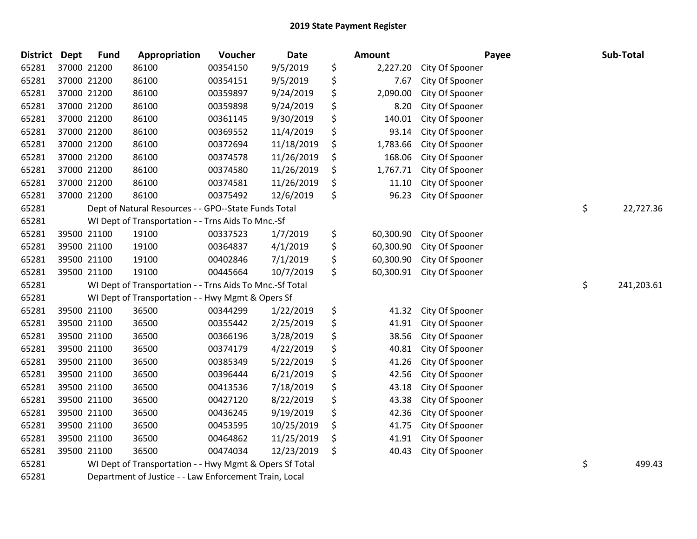| District Dept | <b>Fund</b>                                            | Appropriation                                            | Voucher  | <b>Date</b> | Amount          | Payee           | Sub-Total        |
|---------------|--------------------------------------------------------|----------------------------------------------------------|----------|-------------|-----------------|-----------------|------------------|
| 65281         | 37000 21200                                            | 86100                                                    | 00354150 | 9/5/2019    | \$<br>2,227.20  | City Of Spooner |                  |
| 65281         | 37000 21200                                            | 86100                                                    | 00354151 | 9/5/2019    | \$<br>7.67      | City Of Spooner |                  |
| 65281         | 37000 21200                                            | 86100                                                    | 00359897 | 9/24/2019   | \$<br>2,090.00  | City Of Spooner |                  |
| 65281         | 37000 21200                                            | 86100                                                    | 00359898 | 9/24/2019   | \$<br>8.20      | City Of Spooner |                  |
| 65281         | 37000 21200                                            | 86100                                                    | 00361145 | 9/30/2019   | \$<br>140.01    | City Of Spooner |                  |
| 65281         | 37000 21200                                            | 86100                                                    | 00369552 | 11/4/2019   | \$<br>93.14     | City Of Spooner |                  |
| 65281         | 37000 21200                                            | 86100                                                    | 00372694 | 11/18/2019  | \$<br>1,783.66  | City Of Spooner |                  |
| 65281         | 37000 21200                                            | 86100                                                    | 00374578 | 11/26/2019  | \$<br>168.06    | City Of Spooner |                  |
| 65281         | 37000 21200                                            | 86100                                                    | 00374580 | 11/26/2019  | \$<br>1,767.71  | City Of Spooner |                  |
| 65281         | 37000 21200                                            | 86100                                                    | 00374581 | 11/26/2019  | \$<br>11.10     | City Of Spooner |                  |
| 65281         | 37000 21200                                            | 86100                                                    | 00375492 | 12/6/2019   | \$<br>96.23     | City Of Spooner |                  |
| 65281         |                                                        | Dept of Natural Resources - - GPO--State Funds Total     |          |             |                 |                 | \$<br>22,727.36  |
| 65281         |                                                        | WI Dept of Transportation - - Trns Aids To Mnc.-Sf       |          |             |                 |                 |                  |
| 65281         | 39500 21100                                            | 19100                                                    | 00337523 | 1/7/2019    | \$<br>60,300.90 | City Of Spooner |                  |
| 65281         | 39500 21100                                            | 19100                                                    | 00364837 | 4/1/2019    | \$<br>60,300.90 | City Of Spooner |                  |
| 65281         | 39500 21100                                            | 19100                                                    | 00402846 | 7/1/2019    | \$<br>60,300.90 | City Of Spooner |                  |
| 65281         | 39500 21100                                            | 19100                                                    | 00445664 | 10/7/2019   | \$<br>60,300.91 | City Of Spooner |                  |
| 65281         |                                                        | WI Dept of Transportation - - Trns Aids To Mnc.-Sf Total |          |             |                 |                 | \$<br>241,203.61 |
| 65281         |                                                        | WI Dept of Transportation - - Hwy Mgmt & Opers Sf        |          |             |                 |                 |                  |
| 65281         | 39500 21100                                            | 36500                                                    | 00344299 | 1/22/2019   | \$<br>41.32     | City Of Spooner |                  |
| 65281         | 39500 21100                                            | 36500                                                    | 00355442 | 2/25/2019   | \$<br>41.91     | City Of Spooner |                  |
| 65281         | 39500 21100                                            | 36500                                                    | 00366196 | 3/28/2019   | \$<br>38.56     | City Of Spooner |                  |
| 65281         | 39500 21100                                            | 36500                                                    | 00374179 | 4/22/2019   | \$<br>40.81     | City Of Spooner |                  |
| 65281         | 39500 21100                                            | 36500                                                    | 00385349 | 5/22/2019   | \$<br>41.26     | City Of Spooner |                  |
| 65281         | 39500 21100                                            | 36500                                                    | 00396444 | 6/21/2019   | \$<br>42.56     | City Of Spooner |                  |
| 65281         | 39500 21100                                            | 36500                                                    | 00413536 | 7/18/2019   | \$<br>43.18     | City Of Spooner |                  |
| 65281         | 39500 21100                                            | 36500                                                    | 00427120 | 8/22/2019   | \$<br>43.38     | City Of Spooner |                  |
| 65281         | 39500 21100                                            | 36500                                                    | 00436245 | 9/19/2019   | \$<br>42.36     | City Of Spooner |                  |
| 65281         | 39500 21100                                            | 36500                                                    | 00453595 | 10/25/2019  | \$<br>41.75     | City Of Spooner |                  |
| 65281         | 39500 21100                                            | 36500                                                    | 00464862 | 11/25/2019  | \$<br>41.91     | City Of Spooner |                  |
| 65281         | 39500 21100                                            | 36500                                                    | 00474034 | 12/23/2019  | \$<br>40.43     | City Of Spooner |                  |
| 65281         |                                                        | WI Dept of Transportation - - Hwy Mgmt & Opers Sf Total  |          |             |                 |                 | \$<br>499.43     |
| 65281         | Department of Justice - - Law Enforcement Train, Local |                                                          |          |             |                 |                 |                  |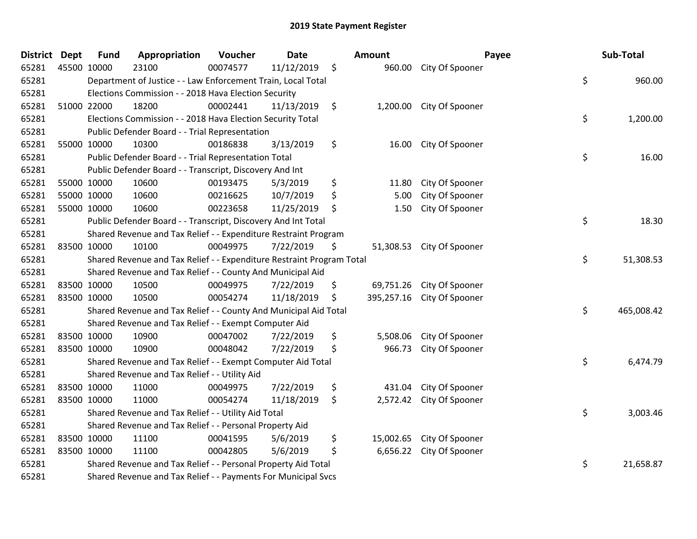| <b>District Dept</b> |             | <b>Fund</b>                                                   | Appropriation                                                         | Voucher  | <b>Date</b> |    | Amount    |                            | Payee | Sub-Total  |  |
|----------------------|-------------|---------------------------------------------------------------|-----------------------------------------------------------------------|----------|-------------|----|-----------|----------------------------|-------|------------|--|
| 65281                |             | 45500 10000                                                   | 23100                                                                 | 00074577 | 11/12/2019  | \$ |           | 960.00 City Of Spooner     |       |            |  |
| 65281                |             |                                                               | Department of Justice - - Law Enforcement Train, Local Total          |          |             |    |           |                            | \$    | 960.00     |  |
| 65281                |             |                                                               | Elections Commission - - 2018 Hava Election Security                  |          |             |    |           |                            |       |            |  |
| 65281                |             | 51000 22000                                                   | 18200                                                                 | 00002441 | 11/13/2019  | \$ | 1,200.00  | City Of Spooner            |       |            |  |
| 65281                |             |                                                               | Elections Commission - - 2018 Hava Election Security Total            |          |             |    |           |                            | \$    | 1,200.00   |  |
| 65281                |             |                                                               | Public Defender Board - - Trial Representation                        |          |             |    |           |                            |       |            |  |
| 65281                |             | 55000 10000                                                   | 10300                                                                 | 00186838 | 3/13/2019   | \$ | 16.00     | City Of Spooner            |       |            |  |
| 65281                |             |                                                               | Public Defender Board - - Trial Representation Total                  |          |             |    |           |                            | \$    | 16.00      |  |
| 65281                |             |                                                               | Public Defender Board - - Transcript, Discovery And Int               |          |             |    |           |                            |       |            |  |
| 65281                |             | 55000 10000                                                   | 10600                                                                 | 00193475 | 5/3/2019    | \$ | 11.80     | City Of Spooner            |       |            |  |
| 65281                |             | 55000 10000                                                   | 10600                                                                 | 00216625 | 10/7/2019   | \$ | 5.00      | City Of Spooner            |       |            |  |
| 65281                |             | 55000 10000                                                   | 10600                                                                 | 00223658 | 11/25/2019  | \$ | 1.50      | City Of Spooner            |       |            |  |
| 65281                |             |                                                               | Public Defender Board - - Transcript, Discovery And Int Total         |          |             |    |           |                            | \$    | 18.30      |  |
| 65281                |             |                                                               | Shared Revenue and Tax Relief - - Expenditure Restraint Program       |          |             |    |           |                            |       |            |  |
| 65281                |             | 83500 10000                                                   | 10100                                                                 | 00049975 | 7/22/2019   | \$ | 51,308.53 | City Of Spooner            |       |            |  |
| 65281                |             |                                                               | Shared Revenue and Tax Relief - - Expenditure Restraint Program Total |          |             |    |           |                            | \$    | 51,308.53  |  |
| 65281                |             |                                                               | Shared Revenue and Tax Relief - - County And Municipal Aid            |          |             |    |           |                            |       |            |  |
| 65281                | 83500 10000 |                                                               | 10500                                                                 | 00049975 | 7/22/2019   | \$ |           | 69,751.26 City Of Spooner  |       |            |  |
| 65281                | 83500 10000 |                                                               | 10500                                                                 | 00054274 | 11/18/2019  | \$ |           | 395,257.16 City Of Spooner |       |            |  |
| 65281                |             |                                                               | Shared Revenue and Tax Relief - - County And Municipal Aid Total      |          |             |    |           |                            | \$    | 465,008.42 |  |
| 65281                |             |                                                               | Shared Revenue and Tax Relief - - Exempt Computer Aid                 |          |             |    |           |                            |       |            |  |
| 65281                |             | 83500 10000                                                   | 10900                                                                 | 00047002 | 7/22/2019   | \$ | 5,508.06  | City Of Spooner            |       |            |  |
| 65281                | 83500 10000 |                                                               | 10900                                                                 | 00048042 | 7/22/2019   | \$ | 966.73    | City Of Spooner            |       |            |  |
| 65281                |             |                                                               | Shared Revenue and Tax Relief - - Exempt Computer Aid Total           |          |             |    |           |                            | \$    | 6,474.79   |  |
| 65281                |             |                                                               | Shared Revenue and Tax Relief - - Utility Aid                         |          |             |    |           |                            |       |            |  |
| 65281                |             | 83500 10000                                                   | 11000                                                                 | 00049975 | 7/22/2019   | \$ | 431.04    | City Of Spooner            |       |            |  |
| 65281                |             | 83500 10000                                                   | 11000                                                                 | 00054274 | 11/18/2019  | \$ | 2,572.42  | City Of Spooner            |       |            |  |
| 65281                |             |                                                               | Shared Revenue and Tax Relief - - Utility Aid Total                   |          |             |    |           |                            | \$    | 3,003.46   |  |
| 65281                |             |                                                               | Shared Revenue and Tax Relief - - Personal Property Aid               |          |             |    |           |                            |       |            |  |
| 65281                |             | 83500 10000                                                   | 11100                                                                 | 00041595 | 5/6/2019    | \$ | 15,002.65 | City Of Spooner            |       |            |  |
| 65281                |             | 83500 10000                                                   | 11100                                                                 | 00042805 | 5/6/2019    | \$ |           | 6,656.22 City Of Spooner   |       |            |  |
| 65281                |             |                                                               | Shared Revenue and Tax Relief - - Personal Property Aid Total         |          |             |    |           |                            | \$    | 21,658.87  |  |
| 65281                |             | Shared Revenue and Tax Relief - - Payments For Municipal Svcs |                                                                       |          |             |    |           |                            |       |            |  |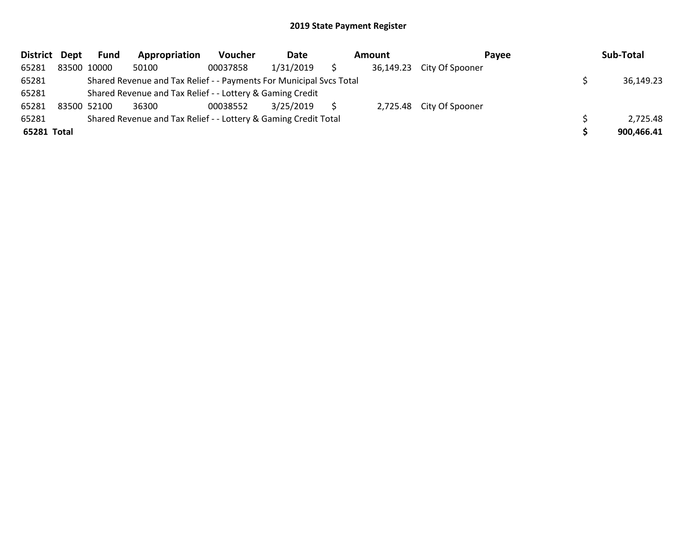| <b>District</b> | Dept | <b>Fund</b>                                                         | Appropriation | <b>Voucher</b> | Date      |  | Amount    | Payee                    |  | Sub-Total  |
|-----------------|------|---------------------------------------------------------------------|---------------|----------------|-----------|--|-----------|--------------------------|--|------------|
| 65281           |      | 83500 10000                                                         | 50100         | 00037858       | 1/31/2019 |  | 36,149.23 | City Of Spooner          |  |            |
| 65281           |      | Shared Revenue and Tax Relief - - Payments For Municipal Svcs Total |               |                |           |  |           |                          |  | 36,149.23  |
| 65281           |      | Shared Revenue and Tax Relief - - Lottery & Gaming Credit           |               |                |           |  |           |                          |  |            |
| 65281           |      | 83500 52100                                                         | 36300         | 00038552       | 3/25/2019 |  |           | 2,725.48 City Of Spooner |  |            |
| 65281           |      | Shared Revenue and Tax Relief - - Lottery & Gaming Credit Total     |               | 2,725.48       |           |  |           |                          |  |            |
| 65281 Total     |      |                                                                     |               |                |           |  |           |                          |  | 900,466.41 |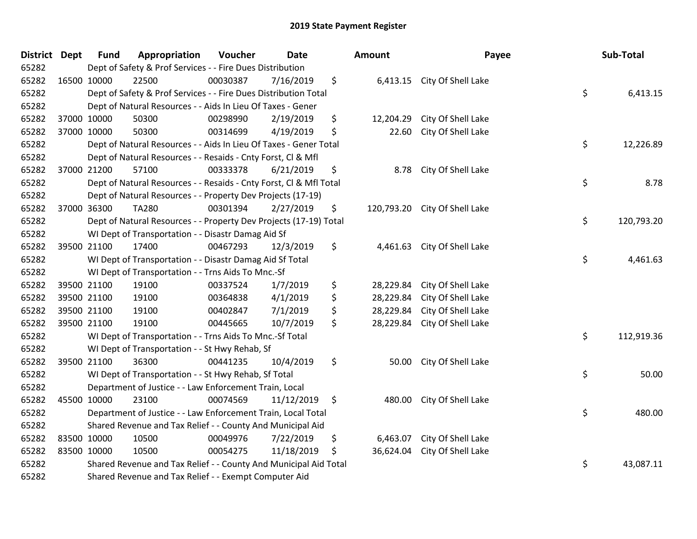| District Dept | <b>Fund</b>                                                           | Appropriation                                                      | Voucher  | <b>Date</b> |               | Amount    | Payee                         |    | Sub-Total  |
|---------------|-----------------------------------------------------------------------|--------------------------------------------------------------------|----------|-------------|---------------|-----------|-------------------------------|----|------------|
| 65282         |                                                                       | Dept of Safety & Prof Services - - Fire Dues Distribution          |          |             |               |           |                               |    |            |
| 65282         | 16500 10000                                                           | 22500                                                              | 00030387 | 7/16/2019   | \$            |           | 6,413.15 City Of Shell Lake   |    |            |
| 65282         | \$<br>Dept of Safety & Prof Services - - Fire Dues Distribution Total |                                                                    |          |             |               |           |                               |    |            |
| 65282         |                                                                       | Dept of Natural Resources - - Aids In Lieu Of Taxes - Gener        |          |             |               |           |                               |    |            |
| 65282         | 37000 10000                                                           | 50300                                                              | 00298990 | 2/19/2019   | \$            | 12,204.29 | City Of Shell Lake            |    |            |
| 65282         | 37000 10000                                                           | 50300                                                              | 00314699 | 4/19/2019   | \$            | 22.60     | City Of Shell Lake            |    |            |
| 65282         |                                                                       | Dept of Natural Resources - - Aids In Lieu Of Taxes - Gener Total  |          |             |               |           |                               | \$ | 12,226.89  |
| 65282         |                                                                       | Dept of Natural Resources - - Resaids - Cnty Forst, Cl & Mfl       |          |             |               |           |                               |    |            |
| 65282         | 37000 21200                                                           | 57100                                                              | 00333378 | 6/21/2019   | \$            | 8.78      | City Of Shell Lake            |    |            |
| 65282         |                                                                       | Dept of Natural Resources - - Resaids - Cnty Forst, Cl & Mfl Total |          |             |               |           |                               | \$ | 8.78       |
| 65282         |                                                                       | Dept of Natural Resources - - Property Dev Projects (17-19)        |          |             |               |           |                               |    |            |
| 65282         | 37000 36300                                                           | <b>TA280</b>                                                       | 00301394 | 2/27/2019   | \$            |           | 120,793.20 City Of Shell Lake |    |            |
| 65282         |                                                                       | Dept of Natural Resources - - Property Dev Projects (17-19) Total  |          |             |               |           |                               | \$ | 120,793.20 |
| 65282         |                                                                       | WI Dept of Transportation - - Disastr Damag Aid Sf                 |          |             |               |           |                               |    |            |
| 65282         | 39500 21100                                                           | 17400                                                              | 00467293 | 12/3/2019   | \$            | 4,461.63  | City Of Shell Lake            |    |            |
| 65282         |                                                                       | WI Dept of Transportation - - Disastr Damag Aid Sf Total           |          |             |               |           |                               | \$ | 4,461.63   |
| 65282         |                                                                       | WI Dept of Transportation - - Trns Aids To Mnc.-Sf                 |          |             |               |           |                               |    |            |
| 65282         | 39500 21100                                                           | 19100                                                              | 00337524 | 1/7/2019    | \$            | 28,229.84 | City Of Shell Lake            |    |            |
| 65282         | 39500 21100                                                           | 19100                                                              | 00364838 | 4/1/2019    | \$            | 28,229.84 | City Of Shell Lake            |    |            |
| 65282         | 39500 21100                                                           | 19100                                                              | 00402847 | 7/1/2019    | \$            | 28,229.84 | City Of Shell Lake            |    |            |
| 65282         | 39500 21100                                                           | 19100                                                              | 00445665 | 10/7/2019   | \$            | 28,229.84 | City Of Shell Lake            |    |            |
| 65282         |                                                                       | WI Dept of Transportation - - Trns Aids To Mnc.-Sf Total           |          |             |               |           |                               | \$ | 112,919.36 |
| 65282         |                                                                       | WI Dept of Transportation - - St Hwy Rehab, Sf                     |          |             |               |           |                               |    |            |
| 65282         | 39500 21100                                                           | 36300                                                              | 00441235 | 10/4/2019   | \$            | 50.00     | City Of Shell Lake            |    |            |
| 65282         |                                                                       | WI Dept of Transportation - - St Hwy Rehab, Sf Total               |          |             |               |           |                               | \$ | 50.00      |
| 65282         |                                                                       | Department of Justice - - Law Enforcement Train, Local             |          |             |               |           |                               |    |            |
| 65282         | 45500 10000                                                           | 23100                                                              | 00074569 | 11/12/2019  | $\ddot{\phi}$ | 480.00    | City Of Shell Lake            |    |            |
| 65282         |                                                                       | Department of Justice - - Law Enforcement Train, Local Total       |          |             |               |           |                               | \$ | 480.00     |
| 65282         | Shared Revenue and Tax Relief - - County And Municipal Aid            |                                                                    |          |             |               |           |                               |    |            |
| 65282         | 83500 10000                                                           | 10500                                                              | 00049976 | 7/22/2019   | \$            | 6,463.07  | City Of Shell Lake            |    |            |
| 65282         | 83500 10000                                                           | 10500                                                              | 00054275 | 11/18/2019  | \$            | 36,624.04 | City Of Shell Lake            |    |            |
| 65282         |                                                                       | Shared Revenue and Tax Relief - - County And Municipal Aid Total   |          |             |               |           |                               | \$ | 43,087.11  |
| 65282         | Shared Revenue and Tax Relief - - Exempt Computer Aid                 |                                                                    |          |             |               |           |                               |    |            |